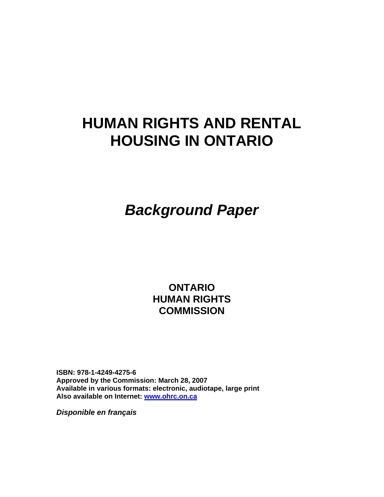# **HUMAN RIGHTS AND RENTAL HOUSING IN ONTARIO**

*Background Paper* 

**ONTARIO HUMAN RIGHTS COMMISSION** 

**ISBN: 978-1-4249-4275-6 Approved by the Commission: March 28, 2007 Available in various formats: electronic, audiotape, large print Also available on Internet: [www.ohrc.on.ca](http://www.ohrc.on.ca/)**

*Disponible en français*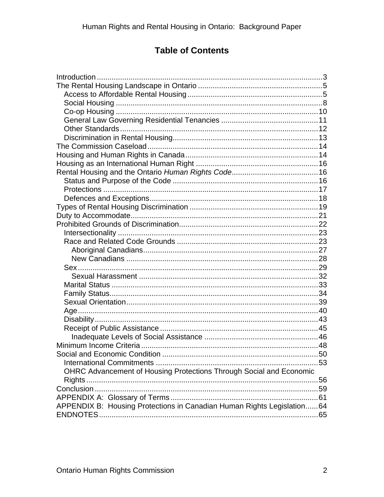# **Table of Contents**

| OHRC Advancement of Housing Protections Through Social and Economic     |  |
|-------------------------------------------------------------------------|--|
|                                                                         |  |
|                                                                         |  |
|                                                                         |  |
| APPENDIX B: Housing Protections in Canadian Human Rights Legislation 64 |  |
|                                                                         |  |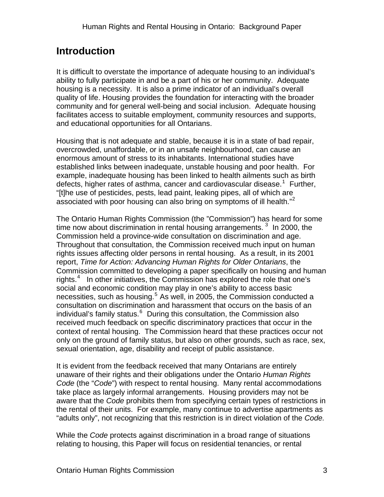# <span id="page-2-0"></span>**Introduction**

It is difficult to overstate the importance of adequate housing to an individual's ability to fully participate in and be a part of his or her community. Adequate housing is a necessity. It is also a prime indicator of an individual's overall quality of life. Housing provides the foundation for interacting with the broader community and for general well-being and social inclusion. Adequate housing facilitates access to suitable employment, community resources and supports, and educational opportunities for all Ontarians.

Housing that is not adequate and stable, because it is in a state of bad repair, overcrowded, unaffordable, or in an unsafe neighbourhood, can cause an enormous amount of stress to its inhabitants. International studies have established links between inadequate, unstable housing and poor health. For example, inadequate housing has been linked to health ailments such as birth defects, higher rates of asthma, cancer and cardiovascular disease.<sup>[1](#page-76-0)</sup> Further, "[t]he use of pesticides, pests, lead paint, leaking pipes, all of which are associated with poor housing can also bring on symptoms of ill health."<sup>[2](#page-76-1)</sup>

The Ontario Human Rights Commission (the "Commission") has heard for some time now about discrimination in rental housing arrangements.  $3\,$  $3\,$  In 2000, the Commission held a province-wide consultation on discrimination and age. Throughout that consultation, the Commission received much input on human rights issues affecting older persons in rental housing. As a result, in its 2001 report, *Time for Action: Advancing Human Rights for Older Ontarians*, the Commission committed to developing a paper specifically on housing and human rights. $4$  In other initiatives, the Commission has explored the role that one's social and economic condition may play in one's ability to access basic necessities, such as housing.<sup>[5](#page-76-1)</sup> As well, in 2005, the Commission conducted a consultation on discrimination and harassment that occurs on the basis of an individual's family status.<sup>[6](#page-76-1)</sup> During this consultation, the Commission also received much feedback on specific discriminatory practices that occur in the context of rental housing. The Commission heard that these practices occur not only on the ground of family status, but also on other grounds, such as race, sex, sexual orientation, age, disability and receipt of public assistance.

It is evident from the feedback received that many Ontarians are entirely unaware of their rights and their obligations under the Ontario *Human Rights Code* (the "*Code*") with respect to rental housing. Many rental accommodations take place as largely informal arrangements. Housing providers may not be aware that the *Code* prohibits them from specifying certain types of restrictions in the rental of their units. For example, many continue to advertise apartments as "adults only", not recognizing that this restriction is in direct violation of the *Code.* 

While the *Code* protects against discrimination in a broad range of situations relating to housing, this Paper will focus on residential tenancies, or rental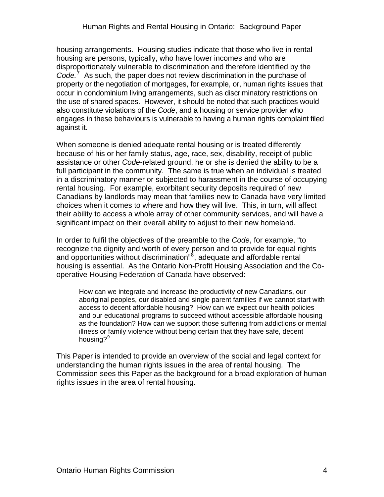housing arrangements. Housing studies indicate that those who live in rental housing are persons, typically, who have lower incomes and who are disproportionately vulnerable to discrimination and therefore identified by the Code.<sup>[7](#page-76-1)</sup> As such, the paper does not review discrimination in the purchase of property or the negotiation of mortgages, for example, or, human rights issues that occur in condominium living arrangements, such as discriminatory restrictions on the use of shared spaces. However, it should be noted that such practices would also constitute violations of the *Code*, and a housing or service provider who engages in these behaviours is vulnerable to having a human rights complaint filed against it.

When someone is denied adequate rental housing or is treated differently because of his or her family status, age, race, sex, disability, receipt of public assistance or other *Code-*related ground, he or she is denied the ability to be a full participant in the community. The same is true when an individual is treated in a discriminatory manner or subjected to harassment in the course of occupying rental housing. For example, exorbitant security deposits required of new Canadians by landlords may mean that families new to Canada have very limited choices when it comes to where and how they will live. This, in turn, will affect their ability to access a whole array of other community services, and will have a significant impact on their overall ability to adjust to their new homeland.

In order to fulfil the objectives of the preamble to the *Code*, for example, "to recognize the dignity and worth of every person and to provide for equal rights and opportunities without discrimination<sup>"[8](#page-76-1)</sup>, adequate and affordable rental housing is essential. As the Ontario Non-Profit Housing Association and the Cooperative Housing Federation of Canada have observed:

How can we integrate and increase the productivity of new Canadians, our aboriginal peoples, our disabled and single parent families if we cannot start with access to decent affordable housing? How can we expect our health policies and our educational programs to succeed without accessible affordable housing as the foundation? How can we support those suffering from addictions or mental illness or family violence without being certain that they have safe, decent housing?<sup>[9](#page-76-1)</sup>

This Paper is intended to provide an overview of the social and legal context for understanding the human rights issues in the area of rental housing. The Commission sees this Paper as the background for a broad exploration of human rights issues in the area of rental housing.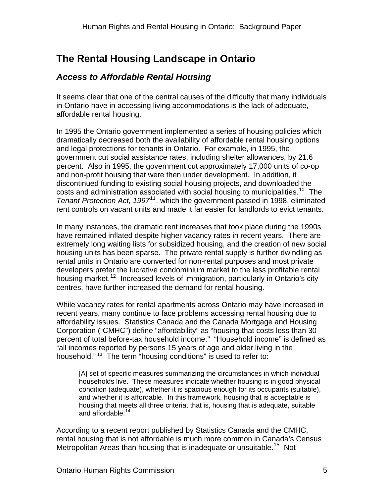# <span id="page-4-0"></span>**The Rental Housing Landscape in Ontario**

### *Access to Affordable Rental Housing*

It seems clear that one of the central causes of the difficulty that many individuals in Ontario have in accessing living accommodations is the lack of adequate, affordable rental housing.

In 1995 the Ontario government implemented a series of housing policies which dramatically decreased both the availability of affordable rental housing options and legal protections for tenants in Ontario. For example, in 1995, the government cut social assistance rates, including shelter allowances, by 21.6 percent. Also in 1995, the government cut approximately 17,000 units of co-op and non-profit housing that were then under development. In addition, it discontinued funding to existing social housing projects, and downloaded the costs and administration associated with social housing to municipalities.<sup>[10](#page-76-1)</sup> The *Tenant Protection Act, 1997*<sup>[11](#page-76-1)</sup>, which the government passed in 1998, eliminated rent controls on vacant units and made it far easier for landlords to evict tenants.

In many instances, the dramatic rent increases that took place during the 1990s have remained inflated despite higher vacancy rates in recent years. There are extremely long waiting lists for subsidized housing, and the creation of new social housing units has been sparse. The private rental supply is further dwindling as rental units in Ontario are converted for non-rental purposes and most private developers prefer the lucrative condominium market to the less profitable rental housing market.<sup>[12](#page-76-1)</sup> Increased levels of immigration, particularly in Ontario's city centres, have further increased the demand for rental housing.

While vacancy rates for rental apartments across Ontario may have increased in recent years, many continue to face problems accessing rental housing due to affordability issues. Statistics Canada and the Canada Mortgage and Housing Corporation ("CMHC") define "affordability" as "housing that costs less than 30 percent of total before-tax household income." "Household income" is defined as "all incomes reported by persons 15 years of age and older living in the household."<sup>[13](#page-76-1)</sup> The term "housing conditions" is used to refer to:

[A] set of specific measures summarizing the circumstances in which individual households live. These measures indicate whether housing is in good physical condition (adequate), whether it is spacious enough for its occupants (suitable), and whether it is affordable. In this framework, housing that is acceptable is housing that meets all three criteria, that is, housing that is adequate, suitable and affordable.<sup>[14](#page-76-1)</sup>

According to a recent report published by Statistics Canada and the CMHC, rental housing that is not affordable is much more common in Canada's Census Metropolitan Areas than housing that is inadequate or unsuitable.<sup>[15](#page-76-1)</sup> Not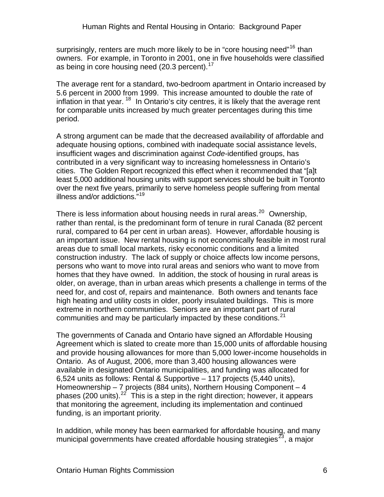surprisingly, renters are much more likely to be in "core housing need"<sup>[16](#page-76-1)</sup> than owners. For example, in Toronto in 2001, one in five households were classified as being in core housing need (20.3 percent).<sup>[17](#page-76-1)</sup>

The average rent for a standard, two-bedroom apartment in Ontario increased by 5.6 percent in 2000 from 1999. This increase amounted to double the rate of inflation in that year.  $18$  In Ontario's city centres, it is likely that the average rent for comparable units increased by much greater percentages during this time period.

A strong argument can be made that the decreased availability of affordable and adequate housing options, combined with inadequate social assistance levels, insufficient wages and discrimination against *Code-*identified groups, has contributed in a very significant way to increasing homelessness in Ontario's cities. The Golden Report recognized this effect when it recommended that "[a]t least 5,000 additional housing units with support services should be built in Toronto over the next five years, primarily to serve homeless people suffering from mental illness and/or addictions."[19](#page-76-1)

There is less information about housing needs in rural areas. $20$  Ownership, rather than rental, is the predominant form of tenure in rural Canada (82 percent rural, compared to 64 per cent in urban areas). However, affordable housing is an important issue. New rental housing is not economically feasible in most rural areas due to small local markets, risky economic conditions and a limited construction industry. The lack of supply or choice affects low income persons, persons who want to move into rural areas and seniors who want to move from homes that they have owned. In addition, the stock of housing in rural areas is older, on average, than in urban areas which presents a challenge in terms of the need for, and cost of, repairs and maintenance. Both owners and tenants face high heating and utility costs in older, poorly insulated buildings. This is more extreme in northern communities. Seniors are an important part of rural communities and may be particularly impacted by these conditions.<sup>[21](#page-76-1)</sup>

The governments of Canada and Ontario have signed an Affordable Housing Agreement which is slated to create more than 15,000 units of affordable housing and provide housing allowances for more than 5,000 lower-income households in Ontario. As of August, 2006, more than 3,400 housing allowances were available in designated Ontario municipalities, and funding was allocated for 6,524 units as follows: Rental & Supportive – 117 projects (5,440 units), Homeownership – 7 projects (884 units), Northern Housing Component – 4 phases (200 units).<sup>[22](#page-76-1)</sup> This is a step in the right direction; however, it appears that monitoring the agreement, including its implementation and continued funding, is an important priority.

In addition, while money has been earmarked for affordable housing, and many municipal governments have created affordable housing strategies<sup>[23](#page-76-1)</sup>, a major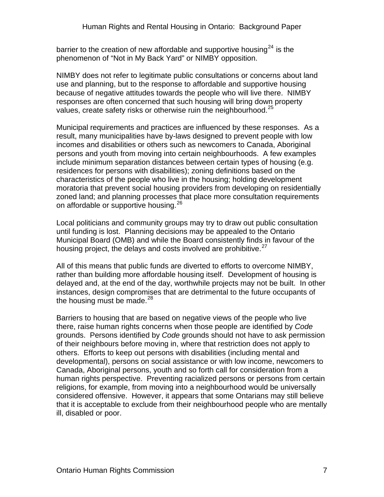barrier to the creation of new affordable and supportive housing<sup>[24](#page-76-1)</sup> is the phenomenon of "Not in My Back Yard" or NIMBY opposition.

NIMBY does not refer to legitimate public consultations or concerns about land use and planning, but to the response to affordable and supportive housing because of negative attitudes towards the people who will live there. NIMBY responses are often concerned that such housing will bring down property values, create safety risks or otherwise ruin the neighbourhood. $^{25}$  $^{25}$  $^{25}$ 

Municipal requirements and practices are influenced by these responses. As a result, many municipalities have by-laws designed to prevent people with low incomes and disabilities or others such as newcomers to Canada, Aboriginal persons and youth from moving into certain neighbourhoods. A few examples include minimum separation distances between certain types of housing (e.g. residences for persons with disabilities); zoning definitions based on the characteristics of the people who live in the housing; holding development moratoria that prevent social housing providers from developing on residentially zoned land; and planning processes that place more consultation requirements on affordable or supportive housing.<sup>[26](#page-76-1)</sup>

Local politicians and community groups may try to draw out public consultation until funding is lost. Planning decisions may be appealed to the Ontario Municipal Board (OMB) and while the Board consistently finds in favour of the housing project, the delays and costs involved are prohibitive.<sup>[27](#page-76-1)</sup>

All of this means that public funds are diverted to efforts to overcome NIMBY, rather than building more affordable housing itself. Development of housing is delayed and, at the end of the day, worthwhile projects may not be built. In other instances, design compromises that are detrimental to the future occupants of the housing must be made.  $28$ 

Barriers to housing that are based on negative views of the people who live there, raise human rights concerns when those people are identified by *Code* grounds. Persons identified by *Code* grounds should not have to ask permission of their neighbours before moving in, where that restriction does not apply to others. Efforts to keep out persons with disabilities (including mental and developmental), persons on social assistance or with low income, newcomers to Canada, Aboriginal persons, youth and so forth call for consideration from a human rights perspective. Preventing racialized persons or persons from certain religions, for example, from moving into a neighbourhood would be universally considered offensive. However, it appears that some Ontarians may still believe that it is acceptable to exclude from their neighbourhood people who are mentally ill, disabled or poor.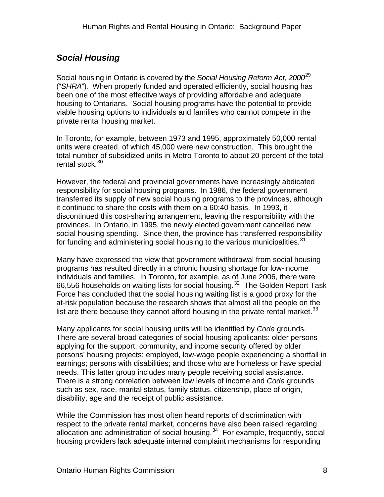### <span id="page-7-0"></span>*Social Housing*

Social housing in Ontario is covered by the *Social Housing Reform Act, 2000*[29](#page-76-1) ("*SHRA*")*.* When properly funded and operated efficiently, social housing has been one of the most effective ways of providing affordable and adequate housing to Ontarians. Social housing programs have the potential to provide viable housing options to individuals and families who cannot compete in the private rental housing market.

In Toronto, for example, between 1973 and 1995, approximately 50,000 rental units were created, of which 45,000 were new construction. This brought the total number of subsidized units in Metro Toronto to about 20 percent of the total rental stock.<sup>[30](#page-76-1)</sup>

However, the federal and provincial governments have increasingly abdicated responsibility for social housing programs. In 1986, the federal government transferred its supply of new social housing programs to the provinces, although it continued to share the costs with them on a 60:40 basis. In 1993, it discontinued this cost-sharing arrangement, leaving the responsibility with the provinces. In Ontario, in 1995, the newly elected government cancelled new social housing spending. Since then, the province has transferred responsibility for funding and administering social housing to the various municipalities.  $31$ 

Many have expressed the view that government withdrawal from social housing programs has resulted directly in a chronic housing shortage for low-income individuals and families. In Toronto, for example, as of June 2006, there were 66,556 households on waiting lists for social housing.<sup>[32](#page-76-1)</sup> The Golden Report Task Force has concluded that the social housing waiting list is a good proxy for the at-risk population because the research shows that almost all the people on the list are there because they cannot afford housing in the private rental market. $33$ 

Many applicants for social housing units will be identified by *Code* grounds. There are several broad categories of social housing applicants: older persons applying for the support, community, and income security offered by older persons' housing projects; employed, low-wage people experiencing a shortfall in earnings; persons with disabilities; and those who are homeless or have special needs. This latter group includes many people receiving social assistance. There is a strong correlation between low levels of income and *Code* grounds such as sex, race, marital status, family status, citizenship, place of origin, disability, age and the receipt of public assistance.

While the Commission has most often heard reports of discrimination with respect to the private rental market, concerns have also been raised regarding allocation and administration of social housing. $34$  For example, frequently, social housing providers lack adequate internal complaint mechanisms for responding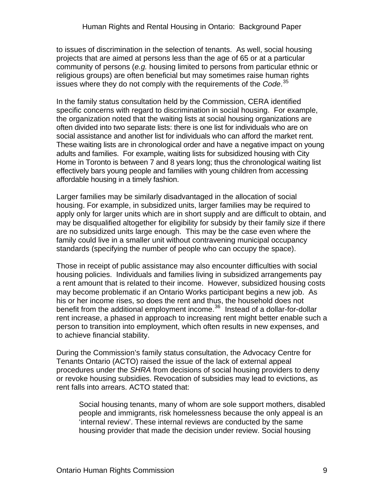to issues of discrimination in the selection of tenants. As well, social housing projects that are aimed at persons less than the age of 65 or at a particular community of persons (*e.g.* housing limited to persons from particular ethnic or religious groups) are often beneficial but may sometimes raise human rights issues where they do not comply with the requirements of the *Code*. [35](#page-76-1)

In the family status consultation held by the Commission, CERA identified specific concerns with regard to discrimination in social housing. For example, the organization noted that the waiting lists at social housing organizations are often divided into two separate lists: there is one list for individuals who are on social assistance and another list for individuals who can afford the market rent. These waiting lists are in chronological order and have a negative impact on young adults and families. For example, waiting lists for subsidized housing with City Home in Toronto is between 7 and 8 years long; thus the chronological waiting list effectively bars young people and families with young children from accessing affordable housing in a timely fashion.

Larger families may be similarly disadvantaged in the allocation of social housing. For example, in subsidized units, larger families may be required to apply only for larger units which are in short supply and are difficult to obtain, and may be disqualified altogether for eligibility for subsidy by their family size if there are no subsidized units large enough. This may be the case even where the family could live in a smaller unit without contravening municipal occupancy standards (specifying the number of people who can occupy the space).

Those in receipt of public assistance may also encounter difficulties with social housing policies. Individuals and families living in subsidized arrangements pay a rent amount that is related to their income. However, subsidized housing costs may become problematic if an Ontario Works participant begins a new job. As his or her income rises, so does the rent and thus, the household does not benefit from the additional employment income.<sup>[36](#page-76-1)</sup> Instead of a dollar-for-dollar rent increase, a phased in approach to increasing rent might better enable such a person to transition into employment, which often results in new expenses, and to achieve financial stability.

During the Commission's family status consultation, the Advocacy Centre for Tenants Ontario (ACTO) raised the issue of the lack of external appeal procedures under the *SHRA* from decisions of social housing providers to deny or revoke housing subsidies. Revocation of subsidies may lead to evictions, as rent falls into arrears. ACTO stated that:

Social housing tenants, many of whom are sole support mothers, disabled people and immigrants, risk homelessness because the only appeal is an 'internal review'. These internal reviews are conducted by the same housing provider that made the decision under review. Social housing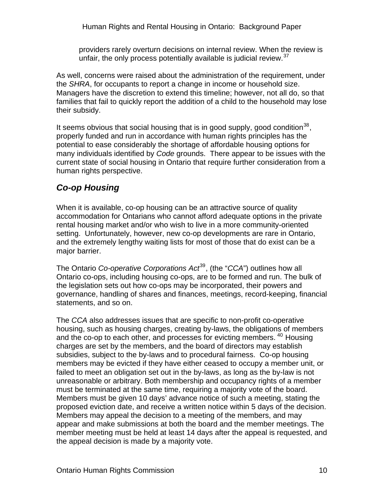<span id="page-9-0"></span>Human Rights and Rental Housing in Ontario: Background Paper

providers rarely overturn decisions on internal review. When the review is unfair, the only process potentially available is judicial review.  $37$ 

As well, concerns were raised about the administration of the requirement, under the *SHRA*, for occupants to report a change in income or household size. Managers have the discretion to extend this timeline; however, not all do, so that families that fail to quickly report the addition of a child to the household may lose their subsidy.

It seems obvious that social housing that is in good supply, good condition<sup>[38](#page-76-1)</sup>, properly funded and run in accordance with human rights principles has the potential to ease considerably the shortage of affordable housing options for many individuals identified by *Code* grounds. There appear to be issues with the current state of social housing in Ontario that require further consideration from a human rights perspective.

### *Co-op Housing*

When it is available, co-op housing can be an attractive source of quality accommodation for Ontarians who cannot afford adequate options in the private rental housing market and/or who wish to live in a more community-oriented setting. Unfortunately, however, new co-op developments are rare in Ontario, and the extremely lengthy waiting lists for most of those that do exist can be a major barrier.

The Ontario *Co-operative Corporations Act*[39](#page-76-1), (the "*CCA*") outlines how all Ontario co-ops, including housing co-ops, are to be formed and run. The bulk of the legislation sets out how co-ops may be incorporated, their powers and governance, handling of shares and finances, meetings, record-keeping, financial statements, and so on.

The *CCA* also addresses issues that are specific to non-profit co-operative housing, such as housing charges, creating by-laws, the obligations of members and the co-op to each other, and processes for evicting members. [40](#page-76-1) Housing charges are set by the members, and the board of directors may establish subsidies, subject to the by-laws and to procedural fairness. Co-op housing members may be evicted if they have either ceased to occupy a member unit, or failed to meet an obligation set out in the by-laws, as long as the by-law is not unreasonable or arbitrary. Both membership and occupancy rights of a member must be terminated at the same time, requiring a majority vote of the board. Members must be given 10 days' advance notice of such a meeting, stating the proposed eviction date, and receive a written notice within 5 days of the decision. Members may appeal the decision to a meeting of the members, and may appear and make submissions at both the board and the member meetings. The member meeting must be held at least 14 days after the appeal is requested, and the appeal decision is made by a majority vote.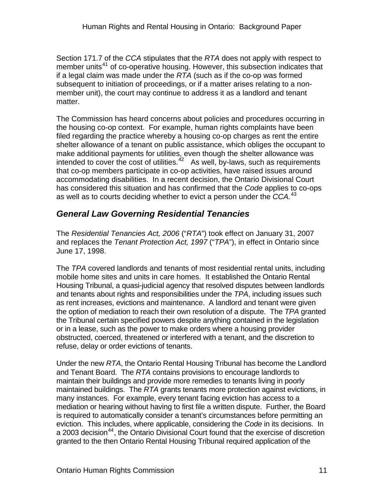<span id="page-10-0"></span>Section 171.7 of the *CCA* stipulates that the *RTA* does not apply with respect to member units<sup>[41](#page-76-1)</sup> of co-operative housing. However, this subsection indicates that if a legal claim was made under the *RTA* (such as if the co-op was formed subsequent to initiation of proceedings, or if a matter arises relating to a nonmember unit), the court may continue to address it as a landlord and tenant matter.

The Commission has heard concerns about policies and procedures occurring in the housing co-op context. For example, human rights complaints have been filed regarding the practice whereby a housing co-op charges as rent the entire shelter allowance of a tenant on public assistance, which obliges the occupant to make additional payments for utilities, even though the shelter allowance was intended to cover the cost of utilities. $42$  As well, by-laws, such as requirements that co-op members participate in co-op activities, have raised issues around accommodating disabilities. In a recent decision, the Ontario Divisional Court has considered this situation and has confirmed that the *Code* applies to co-ops as well as to courts deciding whether to evict a person under the *CCA.*[43](#page-76-1)

### *General Law Governing Residential Tenancies*

The *Residential Tenancies Act, 2006* ("*RTA*") took effect on January 31, 2007 and replaces the *Tenant Protection Act, 1997* ("*TPA*"), in effect in Ontario since June 17, 1998.

The *TPA* covered landlords and tenants of most residential rental units, including mobile home sites and units in care homes.It established the Ontario Rental Housing Tribunal, a quasi-judicial agency that resolved disputes between landlords and tenants about rights and responsibilities under the *TPA*, including issues such as rent increases, evictions and maintenance. A landlord and tenant were given the option of mediation to reach their own resolution of a dispute. The *TPA* granted the Tribunal certain specified powers despite anything contained in the legislation or in a lease, such as the power to make orders where a housing provider obstructed, coerced, threatened or interfered with a tenant, and the discretion to refuse, delay or order evictions of tenants.

Under the new *RTA*, the Ontario Rental Housing Tribunal has become the Landlord and Tenant Board. The *RTA* contains provisions to encourage landlords to maintain their buildings and provide more remedies to tenants living in poorly maintained buildings. The *RTA* grants tenants more protection against evictions, in many instances. For example, every tenant facing eviction has access to a mediation or hearing without having to first file a written dispute. Further, the Board is required to automatically consider a tenant's circumstances before permitting an eviction. This includes, where applicable, considering the *Code* in its decisions. In a 2003 decision<sup>[44](#page-76-1)</sup>, the Ontario Divisional Court found that the exercise of discretion granted to the then Ontario Rental Housing Tribunal required application of the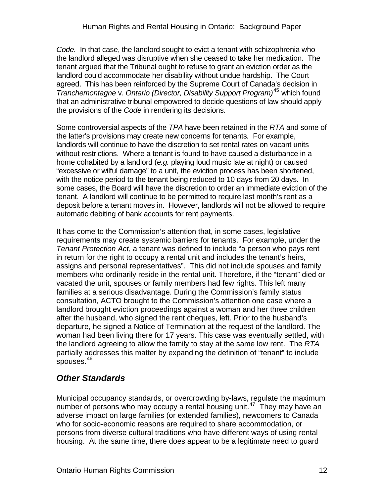<span id="page-11-0"></span>*Code.* In that case, the landlord sought to evict a tenant with schizophrenia who the landlord alleged was disruptive when she ceased to take her medication. The tenant argued that the Tribunal ought to refuse to grant an eviction order as the landlord could accommodate her disability without undue hardship. The Court agreed. This has been reinforced by the Supreme Court of Canada's decision in *Tranchemontagne* v. *Ontario (Director, Disability Support Program)*[45](#page-76-1) which found that an administrative tribunal empowered to decide questions of law should apply the provisions of the *Code* in rendering its decisions.

Some controversial aspects of the *TPA* have been retained in the *RTA* and some of the latter's provisions may create new concerns for tenants*.* For example, landlords will continue to have the discretion to set rental rates on vacant units without restrictions. Where a tenant is found to have caused a disturbance in a home cohabited by a landlord (*e.g.* playing loud music late at night) or caused "excessive or wilful damage" to a unit, the eviction process has been shortened, with the notice period to the tenant being reduced to 10 days from 20 days. In some cases, the Board will have the discretion to order an immediate eviction of the tenant. A landlord will continue to be permitted to require last month's rent as a deposit before a tenant moves in. However, landlords will not be allowed to require automatic debiting of bank accounts for rent payments.

It has come to the Commission's attention that, in some cases, legislative requirements may create systemic barriers for tenants. For example, under the *Tenant Protection Act*, a tenant was defined to include "a person who pays rent in return for the right to occupy a rental unit and includes the tenant's heirs, assigns and personal representatives". This did not include spouses and family members who ordinarily reside in the rental unit. Therefore, if the "tenant" died or vacated the unit, spouses or family members had few rights. This left many families at a serious disadvantage. During the Commission's family status consultation, ACTO brought to the Commission's attention one case where a landlord brought eviction proceedings against a woman and her three children after the husband, who signed the rent cheques, left. Prior to the husband's departure, he signed a Notice of Termination at the request of the landlord. The woman had been living there for 17 years. This case was eventually settled, with the landlord agreeing to allow the family to stay at the same low rent. The *RTA*  partially addresses this matter by expanding the definition of "tenant" to include spouses.[46](#page-76-1)

### *Other Standards*

Municipal occupancy standards, or overcrowding by-laws, regulate the maximum number of persons who may occupy a rental housing unit.<sup>[47](#page-76-1)</sup> They may have an adverse impact on large families (or extended families), newcomers to Canada who for socio-economic reasons are required to share accommodation, or persons from diverse cultural traditions who have different ways of using rental housing. At the same time, there does appear to be a legitimate need to guard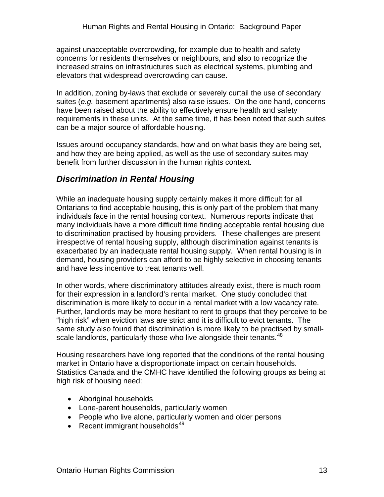<span id="page-12-0"></span>against unacceptable overcrowding, for example due to health and safety concerns for residents themselves or neighbours, and also to recognize the increased strains on infrastructures such as electrical systems, plumbing and elevators that widespread overcrowding can cause.

In addition, zoning by-laws that exclude or severely curtail the use of secondary suites (*e.g.* basement apartments) also raise issues. On the one hand, concerns have been raised about the ability to effectively ensure health and safety requirements in these units. At the same time, it has been noted that such suites can be a major source of affordable housing.

Issues around occupancy standards, how and on what basis they are being set, and how they are being applied, as well as the use of secondary suites may benefit from further discussion in the human rights context.

### *Discrimination in Rental Housing*

While an inadequate housing supply certainly makes it more difficult for all Ontarians to find acceptable housing, this is only part of the problem that many individuals face in the rental housing context. Numerous reports indicate that many individuals have a more difficult time finding acceptable rental housing due to discrimination practised by housing providers. These challenges are present irrespective of rental housing supply, although discrimination against tenants is exacerbated by an inadequate rental housing supply. When rental housing is in demand, housing providers can afford to be highly selective in choosing tenants and have less incentive to treat tenants well.

In other words, where discriminatory attitudes already exist, there is much room for their expression in a landlord's rental market. One study concluded that discrimination is more likely to occur in a rental market with a low vacancy rate. Further, landlords may be more hesitant to rent to groups that they perceive to be "high risk" when eviction laws are strict and it is difficult to evict tenants. The same study also found that discrimination is more likely to be practised by small-scale landlords, particularly those who live alongside their tenants.<sup>[48](#page-76-1)</sup>

Housing researchers have long reported that the conditions of the rental housing market in Ontario have a disproportionate impact on certain households. Statistics Canada and the CMHC have identified the following groups as being at high risk of housing need:

- Aboriginal households
- Lone-parent households, particularly women
- People who live alone, particularly women and older persons
- Recent immigrant households $49$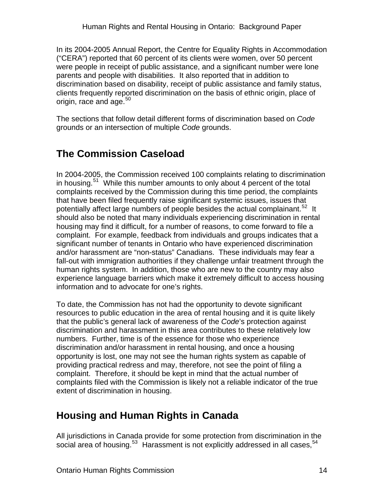<span id="page-13-0"></span>In its 2004-2005 Annual Report, the Centre for Equality Rights in Accommodation ("CERA") reported that 60 percent of its clients were women, over 50 percent were people in receipt of public assistance, and a significant number were lone parents and people with disabilities. It also reported that in addition to discrimination based on disability, receipt of public assistance and family status, clients frequently reported discrimination on the basis of ethnic origin, place of origin, race and age.<sup>[50](#page-76-1)</sup>

The sections that follow detail different forms of discrimination based on *Code* grounds or an intersection of multiple *Code* grounds.

# **The Commission Caseload**

In 2004-2005, the Commission received 100 complaints relating to discrimination in housing. $51$  While this number amounts to only about 4 percent of the total complaints received by the Commission during this time period, the complaints that have been filed frequently raise significant systemic issues, issues that potentially affect large numbers of people besides the actual complainant.<sup>[52](#page-76-1)</sup> It should also be noted that many individuals experiencing discrimination in rental housing may find it difficult, for a number of reasons, to come forward to file a complaint. For example, feedback from individuals and groups indicates that a significant number of tenants in Ontario who have experienced discrimination and/or harassment are "non-status" Canadians. These individuals may fear a fall-out with immigration authorities if they challenge unfair treatment through the human rights system. In addition, those who are new to the country may also experience language barriers which make it extremely difficult to access housing information and to advocate for one's rights.

To date, the Commission has not had the opportunity to devote significant resources to public education in the area of rental housing and it is quite likely that the public's general lack of awareness of the *Code*'s protection against discrimination and harassment in this area contributes to these relatively low numbers. Further, time is of the essence for those who experience discrimination and/or harassment in rental housing, and once a housing opportunity is lost, one may not see the human rights system as capable of providing practical redress and may, therefore, not see the point of filing a complaint. Therefore, it should be kept in mind that the actual number of complaints filed with the Commission is likely not a reliable indicator of the true extent of discrimination in housing.

## **Housing and Human Rights in Canada**

All jurisdictions in Canada provide for some protection from discrimination in the social area of housing. $53$  Harassment is not explicitly addressed in all cases,  $54$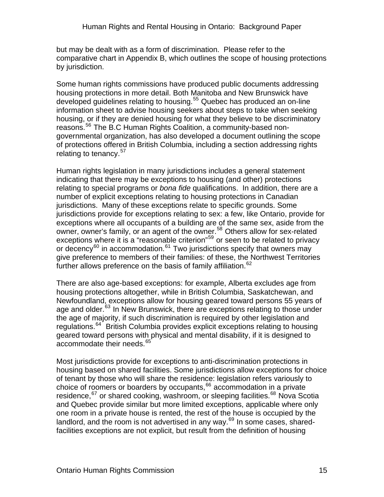but may be dealt with as a form of discrimination. Please refer to the comparative chart in Appendix B, which outlines the scope of housing protections by jurisdiction.

Some human rights commissions have produced public documents addressing housing protections in more detail. Both Manitoba and New Brunswick have developed guidelines relating to housing.<sup>[55](#page-76-1)</sup> Quebec has produced an on-line information sheet to advise housing seekers about steps to take when seeking housing, or if they are denied housing for what they believe to be discriminatory reasons.<sup>[56](#page-76-1)</sup> The B.C Human Rights Coalition, a community-based nongovernmental organization, has also developed a document outlining the scope of protections offered in British Columbia, including a section addressing rights relating to tenancy.<sup>[57](#page-76-1)</sup>

Human rights legislation in many jurisdictions includes a general statement indicating that there may be exceptions to housing (and other) protections relating to special programs or *bona fide* qualifications. In addition, there are a number of explicit exceptions relating to housing protections in Canadian jurisdictions. Many of these exceptions relate to specific grounds. Some jurisdictions provide for exceptions relating to sex: a few, like Ontario, provide for exceptions where all occupants of a building are of the same sex, aside from the owner, owner's family, or an agent of the owner.<sup>[58](#page-76-1)</sup> Others allow for sex-related exceptions where it is a "reasonable criterion"<sup>[59](#page-76-1)</sup> or seen to be related to privacy or decency<sup>[60](#page-76-1)</sup> in accommodation.<sup>[61](#page-76-1)</sup> Two jurisdictions specify that owners may give preference to members of their families: of these, the Northwest Territories further allows preference on the basis of family affiliation.<sup>[62](#page-76-1)</sup>

There are also age-based exceptions: for example, Alberta excludes age from housing protections altogether, while in British Columbia, Saskatchewan, and Newfoundland, exceptions allow for housing geared toward persons 55 years of age and older.<sup>[63](#page-76-1)</sup> In New Brunswick, there are exceptions relating to those under the age of majority, if such discrimination is required by other legislation and regulations.<sup>[64](#page-76-1)</sup> British Columbia provides explicit exceptions relating to housing geared toward persons with physical and mental disability, if it is designed to accommodate their needs.<sup>[65](#page-76-1)</sup>

Most jurisdictions provide for exceptions to anti-discrimination protections in housing based on shared facilities. Some jurisdictions allow exceptions for choice of tenant by those who will share the residence: legislation refers variously to choice of roomers or boarders by occupants,<sup>[66](#page-76-1)</sup> accommodation in a private residence,<sup>[67](#page-76-1)</sup> or shared cooking, washroom, or sleeping facilities.<sup>[68](#page-76-1)</sup> Nova Scotia and Quebec provide similar but more limited exceptions, applicable where only one room in a private house is rented, the rest of the house is occupied by the landlord, and the room is not advertised in any way. $^{69}$  $^{69}$  $^{69}$  In some cases, sharedfacilities exceptions are not explicit, but result from the definition of housing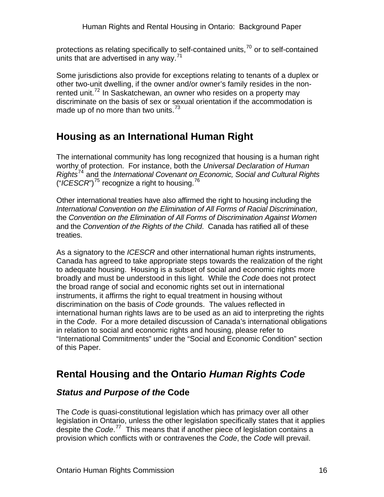<span id="page-15-0"></span>protections as relating specifically to self-contained units,  $70$  or to self-contained units that are advertised in any way. $71$ 

Some jurisdictions also provide for exceptions relating to tenants of a duplex or other two-unit dwelling, if the owner and/or owner's family resides in the non-rented unit.<sup>[72](#page-76-1)</sup> In Saskatchewan, an owner who resides on a property may discriminate on the basis of sex or sexual orientation if the accommodation is made up of no more than two units. $73$ 

# **Housing as an International Human Right**

The international community has long recognized that housing is a human right worthy of protection. For instance, both the *Universal Declaration of Human Rights*[74](#page-76-1) and the *International Covenant on Economic, Social and Cultural Rights*  (" $\overline{ICESCR}$ ")<sup>[75](#page-76-1)</sup> recognize a right to housing.<sup>[76](#page-76-1)</sup>

Other international treaties have also affirmed the right to housing including the *International Convention on the Elimination of All Forms of Racial Discrimination*, the *Convention on the Elimination of All Forms of Discrimination Against Women* and the *Convention of the Rights of the Child*. Canada has ratified all of these treaties.

As a signatory to the *ICESCR* and other international human rights instruments, Canada has agreed to take appropriate steps towards the realization of the right to adequate housing. Housing is a subset of social and economic rights more broadly and must be understood in this light. While the *Code* does not protect the broad range of social and economic rights set out in international instruments, it affirms the right to equal treatment in housing without discrimination on the basis of *Code* grounds. The values reflected in international human rights laws are to be used as an aid to interpreting the rights in the *Code*. For a more detailed discussion of Canada's international obligations in relation to social and economic rights and housing, please refer to "International Commitments" under the "Social and Economic Condition" section of this Paper.

## **Rental Housing and the Ontario** *Human Rights Code*

### *Status and Purpose of the* **Code**

The *Code* is quasi-constitutional legislation which has primacy over all other legislation in Ontario, unless the other legislation specifically states that it applies despite the *Code*. [77](#page-76-1) This means that if another piece of legislation contains a provision which conflicts with or contravenes the *Code*, the *Code* will prevail.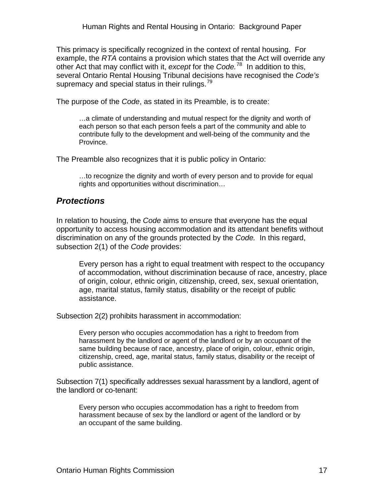<span id="page-16-0"></span>This primacy is specifically recognized in the context of rental housing. For example, the *RTA* contains a provision which states that the Act will override any other Act that may conflict with it, *except* for the *Code.*[78](#page-76-1) In addition to this, several Ontario Rental Housing Tribunal decisions have recognised the *Code's* supremacy and special status in their rulings. $79$ 

The purpose of the *Code*, as stated in its Preamble, is to create:

…a climate of understanding and mutual respect for the dignity and worth of each person so that each person feels a part of the community and able to contribute fully to the development and well-being of the community and the Province.

The Preamble also recognizes that it is public policy in Ontario:

…to recognize the dignity and worth of every person and to provide for equal rights and opportunities without discrimination…

#### *Protections*

In relation to housing, the *Code* aims to ensure that everyone has the equal opportunity to access housing accommodation and its attendant benefits without discrimination on any of the grounds protected by the *Code.* In this regard, subsection 2(1) of the *Code* provides:

Every person has a right to equal treatment with respect to the occupancy of accommodation, without discrimination because of race, ancestry, place of origin, colour, ethnic origin, citizenship, creed, sex, sexual orientation, age, marital status, family status, disability or the receipt of public assistance.

Subsection 2(2) prohibits harassment in accommodation:

Every person who occupies accommodation has a right to freedom from harassment by the landlord or agent of the landlord or by an occupant of the same building because of race, ancestry, place of origin, colour, ethnic origin, citizenship, creed, age, marital status, family status, disability or the receipt of public assistance.

Subsection 7(1) specifically addresses sexual harassment by a landlord, agent of the landlord or co-tenant:

Every person who occupies accommodation has a right to freedom from harassment because of sex by the landlord or agent of the landlord or by an occupant of the same building.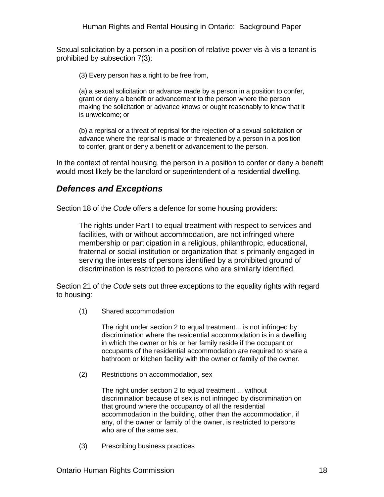<span id="page-17-0"></span>Sexual solicitation by a person in a position of relative power vis-à-vis a tenant is prohibited by subsection 7(3):

(3) Every person has a right to be free from,

 (a) a sexual solicitation or advance made by a person in a position to confer, grant or deny a benefit or advancement to the person where the person making the solicitation or advance knows or ought reasonably to know that it is unwelcome; or

 (b) a reprisal or a threat of reprisal for the rejection of a sexual solicitation or advance where the reprisal is made or threatened by a person in a position to confer, grant or deny a benefit or advancement to the person.

In the context of rental housing, the person in a position to confer or deny a benefit would most likely be the landlord or superintendent of a residential dwelling.

#### *Defences and Exceptions*

Section 18 of the *Code* offers a defence for some housing providers:

The rights under Part I to equal treatment with respect to services and facilities, with or without accommodation, are not infringed where membership or participation in a religious, philanthropic, educational, fraternal or social institution or organization that is primarily engaged in serving the interests of persons identified by a prohibited ground of discrimination is restricted to persons who are similarly identified.

Section 21 of the *Code* sets out three exceptions to the equality rights with regard to housing:

(1) Shared accommodation

The right under section 2 to equal treatment... is not infringed by discrimination where the residential accommodation is in a dwelling in which the owner or his or her family reside if the occupant or occupants of the residential accommodation are required to share a bathroom or kitchen facility with the owner or family of the owner.

(2) Restrictions on accommodation, sex

The right under section 2 to equal treatment ... without discrimination because of sex is not infringed by discrimination on that ground where the occupancy of all the residential accommodation in the building, other than the accommodation, if any, of the owner or family of the owner, is restricted to persons who are of the same sex.

(3) Prescribing business practices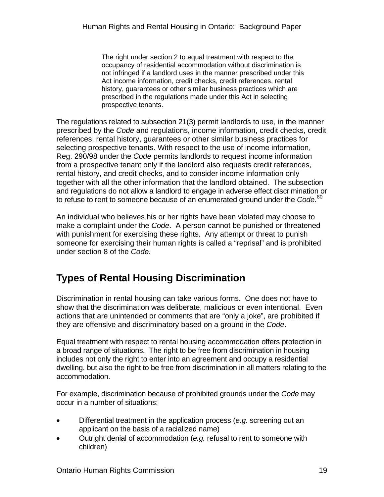<span id="page-18-0"></span>The right under section 2 to equal treatment with respect to the occupancy of residential accommodation without discrimination is not infringed if a landlord uses in the manner prescribed under this Act income information, credit checks, credit references, rental history, guarantees or other similar business practices which are prescribed in the regulations made under this Act in selecting prospective tenants.

The regulations related to subsection 21(3) permit landlords to use, in the manner prescribed by the *Code* and regulations, income information, credit checks, credit references, rental history, guarantees or other similar business practices for selecting prospective tenants. With respect to the use of income information, Reg. 290/98 under the *Code* permits landlords to request income information from a prospective tenant only if the landlord also requests credit references, rental history, and credit checks, and to consider income information only together with all the other information that the landlord obtained. The subsection and regulations do not allow a landlord to engage in adverse effect discrimination or to refuse to rent to someone because of an enumerated ground under the *Code*. [80](#page-76-1)

An individual who believes his or her rights have been violated may choose to make a complaint under the *Code*. A person cannot be punished or threatened with punishment for exercising these rights. Any attempt or threat to punish someone for exercising their human rights is called a "reprisal" and is prohibited under section 8 of the *Code.*

# **Types of Rental Housing Discrimination**

Discrimination in rental housing can take various forms. One does not have to show that the discrimination was deliberate, malicious or even intentional. Even actions that are unintended or comments that are "only a joke", are prohibited if they are offensive and discriminatory based on a ground in the *Code*.

Equal treatment with respect to rental housing accommodation offers protection in a broad range of situations. The right to be free from discrimination in housing includes not only the right to enter into an agreement and occupy a residential dwelling, but also the right to be free from discrimination in all matters relating to the accommodation.

For example, discrimination because of prohibited grounds under the *Code* may occur in a number of situations:

- Differential treatment in the application process (*e.g.* screening out an applicant on the basis of a racialized name)
- Outright denial of accommodation (*e.g.* refusal to rent to someone with children)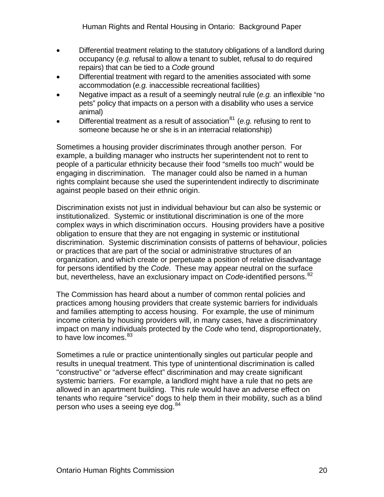- Differential treatment relating to the statutory obligations of a landlord during occupancy (*e.g.* refusal to allow a tenant to sublet, refusal to do required repairs) that can be tied to a *Code* ground
- Differential treatment with regard to the amenities associated with some accommodation (*e.g.* inaccessible recreational facilities)
- Negative impact as a result of a seemingly neutral rule (*e.g.* an inflexible "no pets" policy that impacts on a person with a disability who uses a service animal)
- Differential treatment as a result of association<sup>[81](#page-76-1)</sup> (*e.g.* refusing to rent to someone because he or she is in an interracial relationship)

Sometimes a housing provider discriminates through another person. For example, a building manager who instructs her superintendent not to rent to people of a particular ethnicity because their food "smells too much" would be engaging in discrimination. The manager could also be named in a human rights complaint because she used the superintendent indirectly to discriminate against people based on their ethnic origin.

Discrimination exists not just in individual behaviour but can also be systemic or institutionalized. Systemic or institutional discrimination is one of the more complex ways in which discrimination occurs. Housing providers have a positive obligation to ensure that they are not engaging in systemic or institutional discrimination. Systemic discrimination consists of patterns of behaviour, policies or practices that are part of the social or administrative structures of an organization, and which create or perpetuate a position of relative disadvantage for persons identified by the *Code*. These may appear neutral on the surface but, nevertheless, have an exclusionary impact on *Code-*identified persons.<sup>[82](#page-76-1)</sup>

The Commission has heard about a number of common rental policies and practices among housing providers that create systemic barriers for individuals and families attempting to access housing. For example, the use of minimum income criteria by housing providers will, in many cases, have a discriminatory impact on many individuals protected by the *Code* who tend, disproportionately, to have low incomes.<sup>[83](#page-76-1)</sup>

Sometimes a rule or practice unintentionally singles out particular people and results in unequal treatment. This type of unintentional discrimination is called "constructive" or "adverse effect" discrimination and may create significant systemic barriers. For example, a landlord might have a rule that no pets are allowed in an apartment building. This rule would have an adverse effect on tenants who require "service" dogs to help them in their mobility, such as a blind person who uses a seeing eye dog.<sup>[84](#page-76-1)</sup>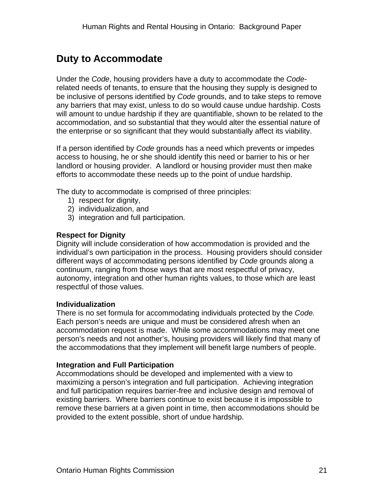# <span id="page-20-0"></span>**Duty to Accommodate**

Under the *Code*, housing providers have a duty to accommodate the *Code*related needs of tenants, to ensure that the housing they supply is designed to be inclusive of persons identified by *Code* grounds, and to take steps to remove any barriers that may exist, unless to do so would cause undue hardship. Costs will amount to undue hardship if they are quantifiable, shown to be related to the accommodation, and so substantial that they would alter the essential nature of the enterprise or so significant that they would substantially affect its viability.

If a person identified by *Code* grounds has a need which prevents or impedes access to housing, he or she should identify this need or barrier to his or her landlord or housing provider. A landlord or housing provider must then make efforts to accommodate these needs up to the point of undue hardship.

The duty to accommodate is comprised of three principles:

- 1) respect for dignity,
- 2) individualization, and
- 3) integration and full participation.

#### **Respect for Dignity**

Dignity will include consideration of how accommodation is provided and the individual's own participation in the process. Housing providers should consider different ways of accommodating persons identified by *Code* grounds along a continuum, ranging from those ways that are most respectful of privacy, autonomy, integration and other human rights values, to those which are least respectful of those values.

#### **Individualization**

There is no set formula for accommodating individuals protected by the *Code.* Each person's needs are unique and must be considered afresh when an accommodation request is made. While some accommodations may meet one person's needs and not another's, housing providers will likely find that many of the accommodations that they implement will benefit large numbers of people.

#### **Integration and Full Participation**

Accommodations should be developed and implemented with a view to maximizing a person's integration and full participation. Achieving integration and full participation requires barrier-free and inclusive design and removal of existing barriers. Where barriers continue to exist because it is impossible to remove these barriers at a given point in time, then accommodations should be provided to the extent possible, short of undue hardship.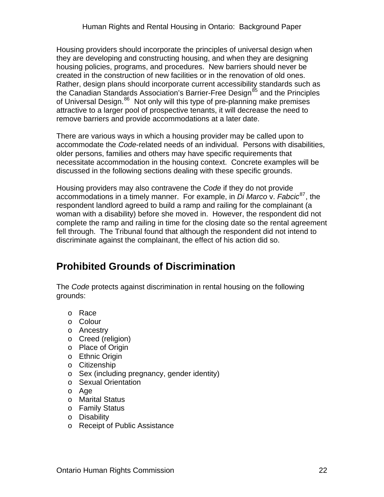<span id="page-21-0"></span>Housing providers should incorporate the principles of universal design when they are developing and constructing housing, and when they are designing housing policies, programs, and procedures. New barriers should never be created in the construction of new facilities or in the renovation of old ones. Rather, design plans should incorporate current accessibility standards such as the Canadian Standards Association's Barrier-Free Design<sup>[85](#page-76-1)</sup> and the Principles of Universal Design.<sup>[86](#page-76-1)</sup> Not only will this type of pre-planning make premises attractive to a larger pool of prospective tenants, it will decrease the need to remove barriers and provide accommodations at a later date.

There are various ways in which a housing provider may be called upon to accommodate the *Code-*related needs of an individual. Persons with disabilities, older persons, families and others may have specific requirements that necessitate accommodation in the housing context. Concrete examples will be discussed in the following sections dealing with these specific grounds.

Housing providers may also contravene the *Code* if they do not provide accommodations in a timely manner. For example, in *Di Marco* v. *Fabcic*[87](#page-76-1), the respondent landlord agreed to build a ramp and railing for the complainant (a woman with a disability) before she moved in. However, the respondent did not complete the ramp and railing in time for the closing date so the rental agreement fell through. The Tribunal found that although the respondent did not intend to discriminate against the complainant, the effect of his action did so.

## **Prohibited Grounds of Discrimination**

The *Code* protects against discrimination in rental housing on the following grounds:

- o Race
- o Colour
- o Ancestry
- o Creed (religion)
- o Place of Origin
- o Ethnic Origin
- o Citizenship
- o Sex (including pregnancy, gender identity)
- o Sexual Orientation
- o Age
- o Marital Status
- o Family Status
- o Disability
- o Receipt of Public Assistance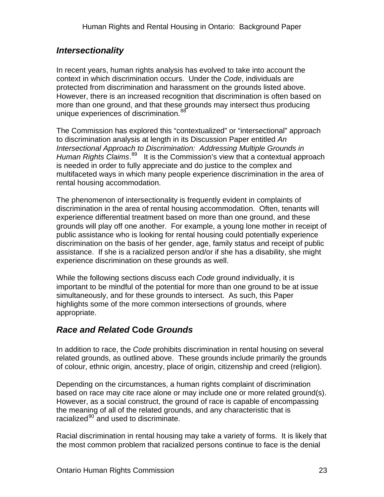### <span id="page-22-0"></span>*Intersectionality*

In recent years, human rights analysis has evolved to take into account the context in which discrimination occurs. Under the *Code*, individuals are protected from discrimination and harassment on the grounds listed above. However, there is an increased recognition that discrimination is often based on more than one ground, and that these grounds may intersect thus producing unique experiences of discrimination.<sup>[88](#page-76-1)</sup>

The Commission has explored this "contextualized" or "intersectional" approach to discrimination analysis at length in its Discussion Paper entitled *An Intersectional Approach to Discrimination: Addressing Multiple Grounds in*  Human Rights Claims.<sup>[89](#page-76-1)</sup> It is the Commission's view that a contextual approach is needed in order to fully appreciate and do justice to the complex and multifaceted ways in which many people experience discrimination in the area of rental housing accommodation.

The phenomenon of intersectionality is frequently evident in complaints of discrimination in the area of rental housing accommodation. Often, tenants will experience differential treatment based on more than one ground, and these grounds will play off one another. For example, a young lone mother in receipt of public assistance who is looking for rental housing could potentially experience discrimination on the basis of her gender, age, family status and receipt of public assistance. If she is a racialized person and/or if she has a disability, she might experience discrimination on these grounds as well.

While the following sections discuss each *Code* ground individually, it is important to be mindful of the potential for more than one ground to be at issue simultaneously, and for these grounds to intersect. As such, this Paper highlights some of the more common intersections of grounds, where appropriate.

### *Race and Related* **Code** *Grounds*

In addition to race, the *Code* prohibits discrimination in rental housing on several related grounds, as outlined above. These grounds include primarily the grounds of colour, ethnic origin, ancestry, place of origin, citizenship and creed (religion).

Depending on the circumstances, a human rights complaint of discrimination based on race may cite race alone or may include one or more related ground(s). However, as a social construct, the ground of race is capable of encompassing the meaning of all of the related grounds, and any characteristic that is racialized<sup>[90](#page-76-1)</sup> and used to discriminate.

Racial discrimination in rental housing may take a variety of forms. It is likely that the most common problem that racialized persons continue to face is the denial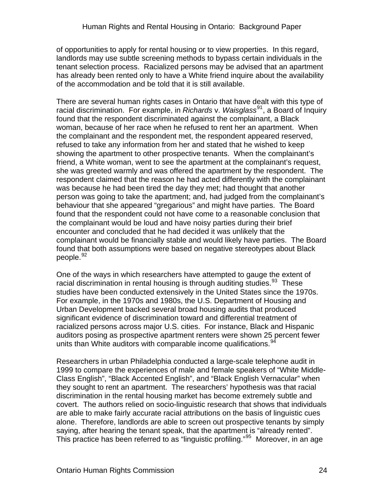of opportunities to apply for rental housing or to view properties. In this regard, landlords may use subtle screening methods to bypass certain individuals in the tenant selection process. Racialized persons may be advised that an apartment has already been rented only to have a White friend inquire about the availability of the accommodation and be told that it is still available.

There are several human rights cases in Ontario that have dealt with this type of racial discrimination. For example, in *Richards* v. *Waisglass*[91](#page-76-1), a Board of Inquiry found that the respondent discriminated against the complainant, a Black woman, because of her race when he refused to rent her an apartment. When the complainant and the respondent met, the respondent appeared reserved, refused to take any information from her and stated that he wished to keep showing the apartment to other prospective tenants. When the complainant's friend, a White woman, went to see the apartment at the complainant's request, she was greeted warmly and was offered the apartment by the respondent. The respondent claimed that the reason he had acted differently with the complainant was because he had been tired the day they met; had thought that another person was going to take the apartment; and, had judged from the complainant's behaviour that she appeared "gregarious" and might have parties. The Board found that the respondent could not have come to a reasonable conclusion that the complainant would be loud and have noisy parties during their brief encounter and concluded that he had decided it was unlikely that the complainant would be financially stable and would likely have parties. The Board found that both assumptions were based on negative stereotypes about Black people.<sup>[92](#page-76-1)</sup>

One of the ways in which researchers have attempted to gauge the extent of racial discrimination in rental housing is through auditing studies.<sup>[93](#page-76-1)</sup> These studies have been conducted extensively in the United States since the 1970s. For example, in the 1970s and 1980s, the U.S. Department of Housing and Urban Development backed several broad housing audits that produced significant evidence of discrimination toward and differential treatment of racialized persons across major U.S. cities. For instance, Black and Hispanic auditors posing as prospective apartment renters were shown 25 percent fewer units than White auditors with comparable income qualifications. <sup>[94](#page-76-1)</sup>

Researchers in urban Philadelphia conducted a large-scale telephone audit in 1999 to compare the experiences of male and female speakers of "White Middle-Class English", "Black Accented English", and "Black English Vernacular" when they sought to rent an apartment. The researchers' hypothesis was that racial discrimination in the rental housing market has become extremely subtle and covert. The authors relied on socio-linguistic research that shows that individuals are able to make fairly accurate racial attributions on the basis of linguistic cues alone. Therefore, landlords are able to screen out prospective tenants by simply saying, after hearing the tenant speak, that the apartment is "already rented". This practice has been referred to as "linguistic profiling."[95](#page-76-1) Moreover, in an age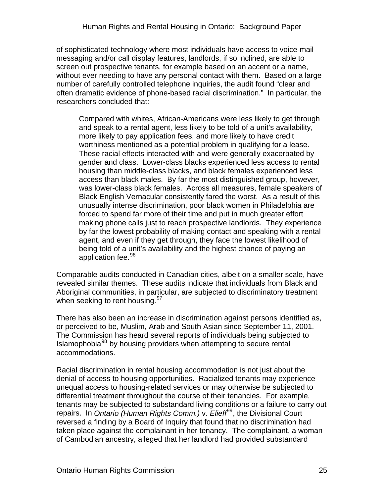of sophisticated technology where most individuals have access to voice-mail messaging and/or call display features, landlords, if so inclined, are able to screen out prospective tenants, for example based on an accent or a name, without ever needing to have any personal contact with them. Based on a large number of carefully controlled telephone inquiries, the audit found "clear and often dramatic evidence of phone-based racial discrimination." In particular, the researchers concluded that:

Compared with whites, African-Americans were less likely to get through and speak to a rental agent, less likely to be told of a unit's availability, more likely to pay application fees, and more likely to have credit worthiness mentioned as a potential problem in qualifying for a lease. These racial effects interacted with and were generally exacerbated by gender and class. Lower-class blacks experienced less access to rental housing than middle-class blacks, and black females experienced less access than black males. By far the most distinguished group, however, was lower-class black females. Across all measures, female speakers of Black English Vernacular consistently fared the worst. As a result of this unusually intense discrimination, poor black women in Philadelphia are forced to spend far more of their time and put in much greater effort making phone calls just to reach prospective landlords. They experience by far the lowest probability of making contact and speaking with a rental agent, and even if they get through, they face the lowest likelihood of being told of a unit's availability and the highest chance of paying an application fee.<sup>[96](#page-76-1)</sup>

Comparable audits conducted in Canadian cities, albeit on a smaller scale, have revealed similar themes. These audits indicate that individuals from Black and Aboriginal communities, in particular, are subjected to discriminatory treatment when seeking to rent housing.<sup>[97](#page-76-1)</sup>

There has also been an increase in discrimination against persons identified as, or perceived to be, Muslim, Arab and South Asian since September 11, 2001. The Commission has heard several reports of individuals being subjected to Islamophobia<sup>[98](#page-76-1)</sup> by housing providers when attempting to secure rental accommodations.

Racial discrimination in rental housing accommodation is not just about the denial of access to housing opportunities. Racialized tenants may experience unequal access to housing-related services or may otherwise be subjected to differential treatment throughout the course of their tenancies. For example, tenants may be subjected to substandard living conditions or a failure to carry out repairs. In *Ontario (Human Rights Comm.)* v. *Elieff*[99](#page-76-1), the Divisional Court reversed a finding by a Board of Inquiry that found that no discrimination had taken place against the complainant in her tenancy. The complainant, a woman of Cambodian ancestry, alleged that her landlord had provided substandard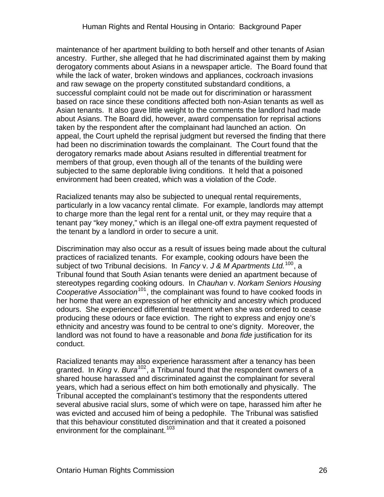maintenance of her apartment building to both herself and other tenants of Asian ancestry. Further, she alleged that he had discriminated against them by making derogatory comments about Asians in a newspaper article. The Board found that while the lack of water, broken windows and appliances, cockroach invasions and raw sewage on the property constituted substandard conditions, a successful complaint could not be made out for discrimination or harassment based on race since these conditions affected both non-Asian tenants as well as Asian tenants. It also gave little weight to the comments the landlord had made about Asians. The Board did, however, award compensation for reprisal actions taken by the respondent after the complainant had launched an action. On appeal, the Court upheld the reprisal judgment but reversed the finding that there had been no discrimination towards the complainant. The Court found that the derogatory remarks made about Asians resulted in differential treatment for members of that group, even though all of the tenants of the building were subjected to the same deplorable living conditions. It held that a poisoned environment had been created, which was a violation of the *Code*.

Racialized tenants may also be subjected to unequal rental requirements, particularly in a low vacancy rental climate. For example, landlords may attempt to charge more than the legal rent for a rental unit, or they may require that a tenant pay "key money," which is an illegal one-off extra payment requested of the tenant by a landlord in order to secure a unit.

Discrimination may also occur as a result of issues being made about the cultural practices of racialized tenants. For example, cooking odours have been the subject of two Tribunal decisions. In *Fancy* v. *J & M Apartments Ltd.*[100](#page-76-1), a Tribunal found that South Asian tenants were denied an apartment because of stereotypes regarding cooking odours. In *Chauhan* v. *Norkam Seniors Housing Cooperative Association*[101](#page-76-1), the complainant was found to have cooked foods in her home that were an expression of her ethnicity and ancestry which produced odours. She experienced differential treatment when she was ordered to cease producing these odours or face eviction. The right to express and enjoy one's ethnicity and ancestry was found to be central to one's dignity. Moreover, the landlord was not found to have a reasonable and *bona fide* justification for its conduct.

Racialized tenants may also experience harassment after a tenancy has been granted. In *King* v. *Bura*[102](#page-76-1), a Tribunal found that the respondent owners of a shared house harassed and discriminated against the complainant for several years, which had a serious effect on him both emotionally and physically. The Tribunal accepted the complainant's testimony that the respondents uttered several abusive racial slurs, some of which were on tape, harassed him after he was evicted and accused him of being a pedophile. The Tribunal was satisfied that this behaviour constituted discrimination and that it created a poisoned environment for the complainant.<sup>[103](#page-76-1)</sup>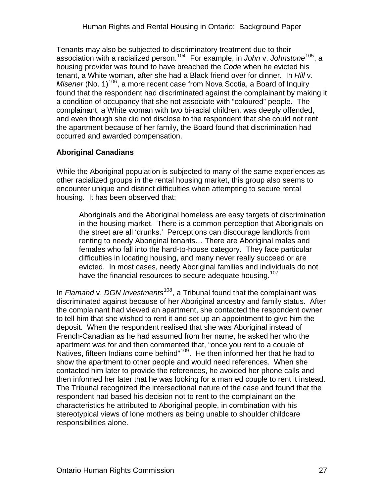<span id="page-26-0"></span>Tenants may also be subjected to discriminatory treatment due to their association with a racialized person.[104](#page-76-1) For example, in *John* v. *Johnstone*[105](#page-76-1), a housing provider was found to have breached the *Code* when he evicted his tenant, a White woman, after she had a Black friend over for dinner. In *Hill* v. *Misener* (No. 1)<sup>[106](#page-76-1)</sup>, a more recent case from Nova Scotia, a Board of Inquiry found that the respondent had discriminated against the complainant by making it a condition of occupancy that she not associate with "coloured" people. The complainant, a White woman with two bi-racial children, was deeply offended, and even though she did not disclose to the respondent that she could not rent the apartment because of her family, the Board found that discrimination had occurred and awarded compensation.

#### **Aboriginal Canadians**

While the Aboriginal population is subjected to many of the same experiences as other racialized groups in the rental housing market, this group also seems to encounter unique and distinct difficulties when attempting to secure rental housing. It has been observed that:

Aboriginals and the Aboriginal homeless are easy targets of discrimination in the housing market. There is a common perception that Aboriginals on the street are all 'drunks.' Perceptions can discourage landlords from renting to needy Aboriginal tenants… There are Aboriginal males and females who fall into the hard-to-house category. They face particular difficulties in locating housing, and many never really succeed or are evicted. In most cases, needy Aboriginal families and individuals do not have the financial resources to secure adequate housing.<sup>[107](#page-76-1)</sup>

In *Flamand* v. *DGN Investments*[108](#page-76-1), a Tribunal found that the complainant was discriminated against because of her Aboriginal ancestry and family status. After the complainant had viewed an apartment, she contacted the respondent owner to tell him that she wished to rent it and set up an appointment to give him the deposit. When the respondent realised that she was Aboriginal instead of French-Canadian as he had assumed from her name, he asked her who the apartment was for and then commented that, "once you rent to a couple of Natives, fifteen Indians come behind"<sup>[109](#page-76-1)</sup>. He then informed her that he had to show the apartment to other people and would need references. When she contacted him later to provide the references, he avoided her phone calls and then informed her later that he was looking for a married couple to rent it instead. The Tribunal recognized the intersectional nature of the case and found that the respondent had based his decision not to rent to the complainant on the characteristics he attributed to Aboriginal people, in combination with his stereotypical views of lone mothers as being unable to shoulder childcare responsibilities alone.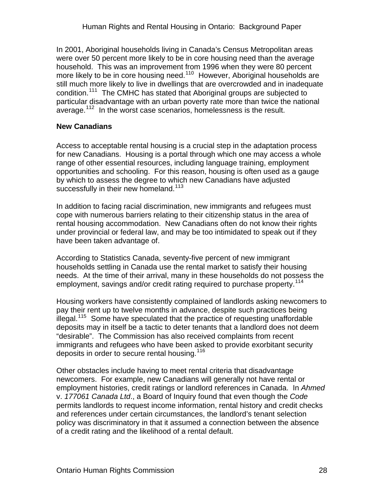<span id="page-27-0"></span>In 2001, Aboriginal households living in Canada's Census Metropolitan areas were over 50 percent more likely to be in core housing need than the average household. This was an improvement from 1996 when they were 80 percent more likely to be in core housing need.<sup>[110](#page-76-1)</sup> However, Aboriginal households are still much more likely to live in dwellings that are overcrowded and in inadequate condition.<sup>[111](#page-76-1)</sup> The CMHC has stated that Aboriginal groups are subjected to particular disadvantage with an urban poverty rate more than twice the national average.<sup>[112](#page-76-1)</sup> In the worst case scenarios, homelessness is the result.

#### **New Canadians**

Access to acceptable rental housing is a crucial step in the adaptation process for new Canadians. Housing is a portal through which one may access a whole range of other essential resources, including language training, employment opportunities and schooling. For this reason, housing is often used as a gauge by which to assess the degree to which new Canadians have adjusted successfully in their new homeland.<sup>[113](#page-76-1)</sup>

In addition to facing racial discrimination, new immigrants and refugees must cope with numerous barriers relating to their citizenship status in the area of rental housing accommodation. New Canadians often do not know their rights under provincial or federal law, and may be too intimidated to speak out if they have been taken advantage of.

According to Statistics Canada, seventy-five percent of new immigrant households settling in Canada use the rental market to satisfy their housing needs. At the time of their arrival, many in these households do not possess the employment, savings and/or credit rating required to purchase property.<sup>[114](#page-76-1)</sup>

Housing workers have consistently complained of landlords asking newcomers to pay their rent up to twelve months in advance, despite such practices being illegal.<sup>[115](#page-76-1)</sup> Some have speculated that the practice of requesting unaffordable deposits may in itself be a tactic to deter tenants that a landlord does not deem "desirable". The Commission has also received complaints from recent immigrants and refugees who have been asked to provide exorbitant security deposits in order to secure rental housing.<sup>[116](#page-76-1)</sup>

Other obstacles include having to meet rental criteria that disadvantage newcomers. For example, new Canadians will generally not have rental or employment histories, credit ratings or landlord references in Canada. In *Ahmed* v. *177061 Canada Ltd*., a Board of Inquiry found that even though the *Code*  permits landlords to request income information, rental history and credit checks and references under certain circumstances, the landlord's tenant selection policy was discriminatory in that it assumed a connection between the absence of a credit rating and the likelihood of a rental default.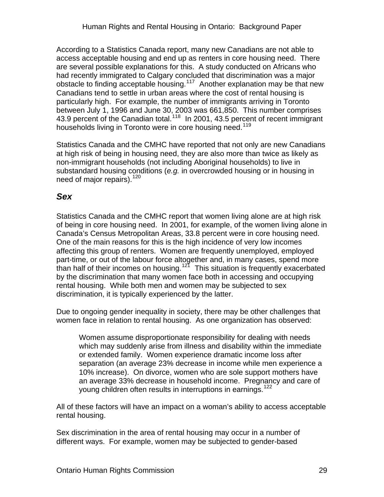<span id="page-28-0"></span>According to a Statistics Canada report, many new Canadians are not able to access acceptable housing and end up as renters in core housing need. There are several possible explanations for this. A study conducted on Africans who had recently immigrated to Calgary concluded that discrimination was a major obstacle to finding acceptable housing.[117](#page-76-1) Another explanation may be that new Canadians tend to settle in urban areas where the cost of rental housing is particularly high. For example, the number of immigrants arriving in Toronto between July 1, 1996 and June 30, 2003 was 661,850. This number comprises 43.9 percent of the Canadian total.<sup>[118](#page-76-1)</sup> In 2001, 43.5 percent of recent immigrant households living in Toronto were in core housing need.<sup>[119](#page-76-1)</sup>

Statistics Canada and the CMHC have reported that not only are new Canadians at high risk of being in housing need, they are also more than twice as likely as non-immigrant households (not including Aboriginal households) to live in substandard housing conditions (*e.g.* in overcrowded housing or in housing in need of major repairs).<sup>[120](#page-76-1)</sup>

### *Sex*

Statistics Canada and the CMHC report that women living alone are at high risk of being in core housing need. In 2001, for example, of the women living alone in Canada's Census Metropolitan Areas, 33.8 percent were in core housing need. One of the main reasons for this is the high incidence of very low incomes affecting this group of renters. Women are frequently unemployed, employed part-time, or out of the labour force altogether and, in many cases, spend more than half of their incomes on housing.<sup>[121](#page-76-1)</sup> This situation is frequently exacerbated by the discrimination that many women face both in accessing and occupying rental housing. While both men and women may be subjected to sex discrimination, it is typically experienced by the latter.

Due to ongoing gender inequality in society, there may be other challenges that women face in relation to rental housing. As one organization has observed:

Women assume disproportionate responsibility for dealing with needs which may suddenly arise from illness and disability within the immediate or extended family. Women experience dramatic income loss after separation (an average 23% decrease in income while men experience a 10% increase). On divorce, women who are sole support mothers have an average 33% decrease in household income. Pregnancy and care of young children often results in interruptions in earnings.<sup>[122](#page-76-1)</sup>

All of these factors will have an impact on a woman's ability to access acceptable rental housing.

Sex discrimination in the area of rental housing may occur in a number of different ways. For example, women may be subjected to gender-based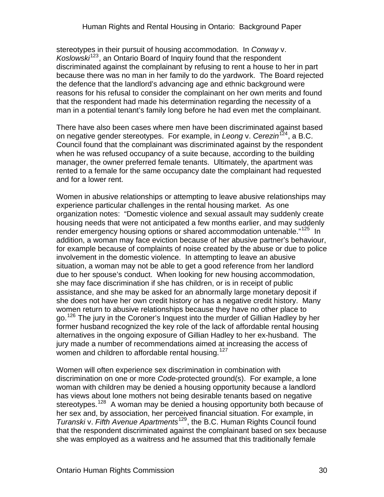stereotypes in their pursuit of housing accommodation. In *Conway* v. *Koslowski*[123](#page-76-1), an Ontario Board of Inquiry found that the respondent discriminated against the complainant by refusing to rent a house to her in part because there was no man in her family to do the yardwork. The Board rejected the defence that the landlord's advancing age and ethnic background were reasons for his refusal to consider the complainant on her own merits and found that the respondent had made his determination regarding the necessity of a man in a potential tenant's family long before he had even met the complainant.

There have also been cases where men have been discriminated against based on negative gender stereotypes. For example, in *Leong* v. *Cerezin*[124](#page-76-1), a B.C. Council found that the complainant was discriminated against by the respondent when he was refused occupancy of a suite because, according to the building manager, the owner preferred female tenants. Ultimately, the apartment was rented to a female for the same occupancy date the complainant had requested and for a lower rent.

Women in abusive relationships or attempting to leave abusive relationships may experience particular challenges in the rental housing market. As one organization notes: "Domestic violence and sexual assault may suddenly create housing needs that were not anticipated a few months earlier, and may suddenly render emergency housing options or shared accommodation untenable."<sup>[125](#page-76-1)</sup> In addition, a woman may face eviction because of her abusive partner's behaviour, for example because of complaints of noise created by the abuse or due to police involvement in the domestic violence. In attempting to leave an abusive situation, a woman may not be able to get a good reference from her landlord due to her spouse's conduct. When looking for new housing accommodation, she may face discrimination if she has children, or is in receipt of public assistance, and she may be asked for an abnormally large monetary deposit if she does not have her own credit history or has a negative credit history. Many women return to abusive relationships because they have no other place to go.<sup>[126](#page-76-1)</sup> The jury in the Coroner's Inquest into the murder of Gillian Hadley by her former husband recognized the key role of the lack of affordable rental housing alternatives in the ongoing exposure of Gillian Hadley to her ex-husband. The jury made a number of recommendations aimed at increasing the access of women and children to affordable rental housing.<sup>[127](#page-76-1)</sup>

Women will often experience sex discrimination in combination with discrimination on one or more *Code-*protected ground(s). For example, a lone woman with children may be denied a housing opportunity because a landlord has views about lone mothers not being desirable tenants based on negative stereotypes.<sup>[128](#page-76-1)</sup> A woman may be denied a housing opportunity both because of her sex and, by association, her perceived financial situation. For example, in *Turanski* v. *Fifth Avenue Apartments*[129](#page-76-1), the B.C. Human Rights Council found that the respondent discriminated against the complainant based on sex because she was employed as a waitress and he assumed that this traditionally female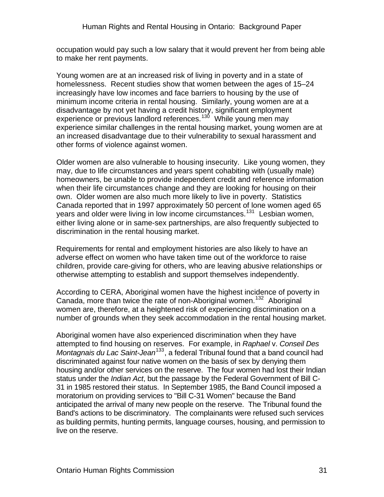occupation would pay such a low salary that it would prevent her from being able to make her rent payments.

Young women are at an increased risk of living in poverty and in a state of homelessness. Recent studies show that women between the ages of 15–24 increasingly have low incomes and face barriers to housing by the use of minimum income criteria in rental housing. Similarly, young women are at a disadvantage by not yet having a credit history, significant employment experience or previous landlord references.<sup>[130](#page-76-1)</sup> While young men may experience similar challenges in the rental housing market, young women are at an increased disadvantage due to their vulnerability to sexual harassment and other forms of violence against women.

Older women are also vulnerable to housing insecurity. Like young women, they may, due to life circumstances and years spent cohabiting with (usually male) homeowners, be unable to provide independent credit and reference information when their life circumstances change and they are looking for housing on their own. Older women are also much more likely to live in poverty. Statistics Canada reported that in 1997 approximately 50 percent of lone women aged 65 years and older were living in low income circumstances.<sup>[131](#page-76-1)</sup> Lesbian women, either living alone or in same-sex partnerships, are also frequently subjected to discrimination in the rental housing market.

Requirements for rental and employment histories are also likely to have an adverse effect on women who have taken time out of the workforce to raise children, provide care-giving for others, who are leaving abusive relationships or otherwise attempting to establish and support themselves independently.

According to CERA, Aboriginal women have the highest incidence of poverty in Canada, more than twice the rate of non-Aboriginal women.<sup>[132](#page-76-1)</sup> Aboriginal women are, therefore, at a heightened risk of experiencing discrimination on a number of grounds when they seek accommodation in the rental housing market.

Aboriginal women have also experienced discrimination when they have attempted to find housing on reserves. For example, in *Raphael* v. *Conseil Des Montagnais du Lac Saint-Jean*<sup>[133](#page-76-1)</sup>, a federal Tribunal found that a band council had discriminated against four native women on the basis of sex by denying them housing and/or other services on the reserve. The four women had lost their Indian status under the *Indian Act*, but the passage by the Federal Government of Bill C-31 in 1985 restored their status. In September 1985, the Band Council imposed a moratorium on providing services to "Bill C-31 Women" because the Band anticipated the arrival of many new people on the reserve. The Tribunal found the Band's actions to be discriminatory. The complainants were refused such services as building permits, hunting permits, language courses, housing, and permission to live on the reserve.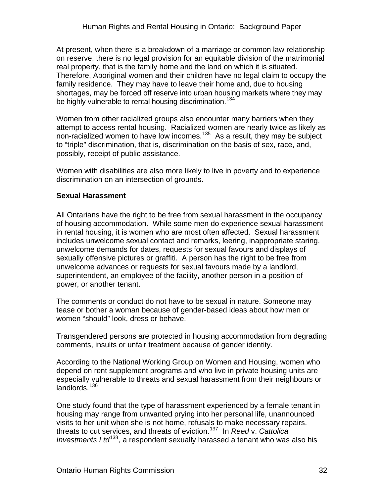<span id="page-31-0"></span>At present, when there is a breakdown of a marriage or common law relationship on reserve, there is no legal provision for an equitable division of the matrimonial real property, that is the family home and the land on which it is situated. Therefore, Aboriginal women and their children have no legal claim to occupy the family residence. They may have to leave their home and, due to housing shortages, may be forced off reserve into urban housing markets where they may be highly vulnerable to rental housing discrimination.<sup>[134](#page-76-1)</sup>

Women from other racialized groups also encounter many barriers when they attempt to access rental housing. Racialized women are nearly twice as likely as non-racialized women to have low incomes.<sup>[135](#page-76-1)</sup> As a result, they may be subject to "triple" discrimination, that is, discrimination on the basis of sex, race, and, possibly, receipt of public assistance.

Women with disabilities are also more likely to live in poverty and to experience discrimination on an intersection of grounds.

#### **Sexual Harassment**

All Ontarians have the right to be free from sexual harassment in the occupancy of housing accommodation. While some men do experience sexual harassment in rental housing, it is women who are most often affected. Sexual harassment includes unwelcome sexual contact and remarks, leering, inappropriate staring, unwelcome demands for dates, requests for sexual favours and displays of sexually offensive pictures or graffiti. A person has the right to be free from unwelcome advances or requests for sexual favours made by a landlord, superintendent, an employee of the facility, another person in a position of power, or another tenant.

The comments or conduct do not have to be sexual in nature. Someone may tease or bother a woman because of gender-based ideas about how men or women "should" look, dress or behave.

Transgendered persons are protected in housing accommodation from degrading comments, insults or unfair treatment because of gender identity.

According to the National Working Group on Women and Housing, women who depend on rent supplement programs and who live in private housing units are especially vulnerable to threats and sexual harassment from their neighbours or landlords.<sup>[136](#page-76-1)</sup>

One study found that the type of harassment experienced by a female tenant in housing may range from unwanted prying into her personal life, unannounced visits to her unit when she is not home, refusals to make necessary repairs, threats to cut services, and threats of eviction.[137](#page-76-1) In *Reed* v. *Cattolica Investments Ltd*<sup>[138](#page-76-1)</sup>, a respondent sexually harassed a tenant who was also his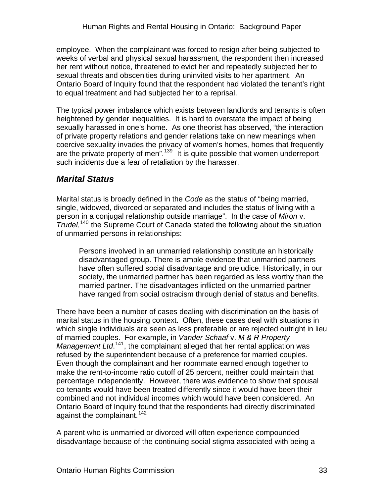<span id="page-32-0"></span>employee. When the complainant was forced to resign after being subjected to weeks of verbal and physical sexual harassment, the respondent then increased her rent without notice, threatened to evict her and repeatedly subjected her to sexual threats and obscenities during uninvited visits to her apartment. An Ontario Board of Inquiry found that the respondent had violated the tenant's right to equal treatment and had subjected her to a reprisal.

The typical power imbalance which exists between landlords and tenants is often heightened by gender inequalities. It is hard to overstate the impact of being sexually harassed in one's home. As one theorist has observed, "the interaction of private property relations and gender relations take on new meanings when coercive sexuality invades the privacy of women's homes, homes that frequently are the private property of men<sup>".[139](#page-76-1)</sup> It is quite possible that women underreport such incidents due a fear of retaliation by the harasser.

### *Marital Status*

Marital status is broadly defined in the *Code* as the status of "being married, single, widowed, divorced or separated and includes the status of living with a person in a conjugal relationship outside marriage". In the case of *Miron* v. *Trudel*, [140](#page-76-1) the Supreme Court of Canada stated the following about the situation of unmarried persons in relationships:

Persons involved in an unmarried relationship constitute an historically disadvantaged group. There is ample evidence that unmarried partners have often suffered social disadvantage and prejudice. Historically, in our society, the unmarried partner has been regarded as less worthy than the married partner. The disadvantages inflicted on the unmarried partner have ranged from social ostracism through denial of status and benefits.

There have been a number of cases dealing with discrimination on the basis of marital status in the housing context. Often, these cases deal with situations in which single individuals are seen as less preferable or are rejected outright in lieu of married couples. For example, in *Vander Schaaf* v. *M & R Property*  Management Ltd.<sup>[141](#page-76-1)</sup>, the complainant alleged that her rental application was refused by the superintendent because of a preference for married couples. Even though the complainant and her roommate earned enough together to make the rent-to-income ratio cutoff of 25 percent, neither could maintain that percentage independently. However, there was evidence to show that spousal co-tenants would have been treated differently since it would have been their combined and not individual incomes which would have been considered. An Ontario Board of Inquiry found that the respondents had directly discriminated against the complainant.<sup>[142](#page-76-1)</sup>

A parent who is unmarried or divorced will often experience compounded disadvantage because of the continuing social stigma associated with being a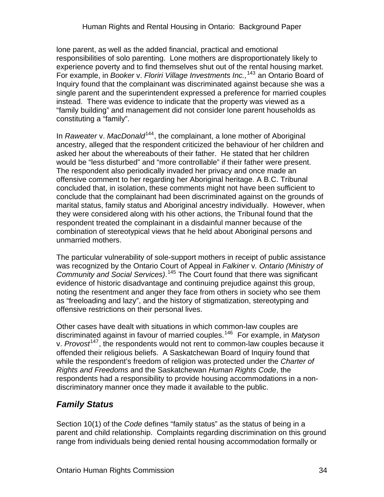<span id="page-33-0"></span>lone parent, as well as the added financial, practical and emotional responsibilities of solo parenting. Lone mothers are disproportionately likely to experience poverty and to find themselves shut out of the rental housing market. For example, in *Booker* v. *Floriri Village Investments Inc.,*[143](#page-76-1) an Ontario Board of Inquiry found that the complainant was discriminated against because she was a single parent and the superintendent expressed a preference for married couples instead. There was evidence to indicate that the property was viewed as a "family building" and management did not consider lone parent households as constituting a "family".

In *Raweater* v. *MacDonald*<sup>[144](#page-76-1)</sup>, the complainant, a lone mother of Aboriginal ancestry, alleged that the respondent criticized the behaviour of her children and asked her about the whereabouts of their father. He stated that her children would be "less disturbed" and "more controllable" if their father were present. The respondent also periodically invaded her privacy and once made an offensive comment to her regarding her Aboriginal heritage. A B.C. Tribunal concluded that, in isolation, these comments might not have been sufficient to conclude that the complainant had been discriminated against on the grounds of marital status, family status and Aboriginal ancestry individually. However, when they were considered along with his other actions, the Tribunal found that the respondent treated the complainant in a disdainful manner because of the combination of stereotypical views that he held about Aboriginal persons and unmarried mothers.

The particular vulnerability of sole-support mothers in receipt of public assistance was recognized by the Ontario Court of Appeal in *Falkiner* v*. Ontario (Ministry of Community and Social Services)*. [145](#page-76-1) The Court found that there was significant evidence of historic disadvantage and continuing prejudice against this group, noting the resentment and anger they face from others in society who see them as "freeloading and lazy", and the history of stigmatization, stereotyping and offensive restrictions on their personal lives.

Other cases have dealt with situations in which common-law couples are discriminated against in favour of married couples.[146](#page-76-1) For example, in *Matyson* v. *Provost*[147](#page-76-1), the respondents would not rent to common-law couples because it offended their religious beliefs. A Saskatchewan Board of Inquiry found that while the respondent's freedom of religion was protected under the *Charter of Rights and Freedoms* and the Saskatchewan *Human Rights Code*, the respondents had a responsibility to provide housing accommodations in a nondiscriminatory manner once they made it available to the public.

### *Family Status*

Section 10(1) of the *Code* defines "family status" as the status of being in a parent and child relationship. Complaints regarding discrimination on this ground range from individuals being denied rental housing accommodation formally or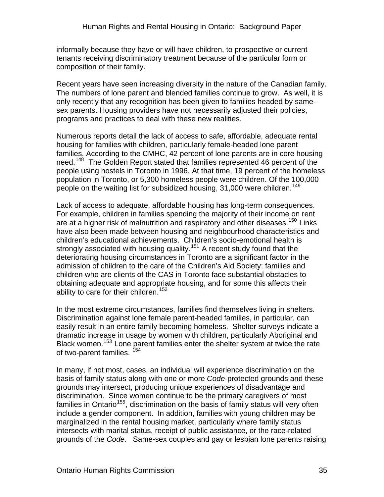informally because they have or will have children, to prospective or current tenants receiving discriminatory treatment because of the particular form or composition of their family.

Recent years have seen increasing diversity in the nature of the Canadian family. The numbers of lone parent and blended families continue to grow. As well, it is only recently that any recognition has been given to families headed by samesex parents. Housing providers have not necessarily adjusted their policies, programs and practices to deal with these new realities.

Numerous reports detail the lack of access to safe, affordable, adequate rental housing for families with children, particularly female-headed lone parent families. According to the CMHC, 42 percent of lone parents are in core housing need.<sup>[148](#page-76-1)</sup> The Golden Report stated that families represented 46 percent of the people using hostels in Toronto in 1996. At that time, 19 percent of the homeless population in Toronto, or 5,300 homeless people were children. Of the 100,000 people on the waiting list for subsidized housing, 31,000 were children.<sup>[149](#page-76-1)</sup>

Lack of access to adequate, affordable housing has long-term consequences. For example, children in families spending the majority of their income on rent are at a higher risk of malnutrition and respiratory and other diseases.<sup>[150](#page-76-1)</sup> Links have also been made between housing and neighbourhood characteristics and children's educational achievements. Children's socio-emotional health is strongly associated with housing quality.<sup>[151](#page-76-1)</sup> A recent study found that the deteriorating housing circumstances in Toronto are a significant factor in the admission of children to the care of the Children's Aid Society: families and children who are clients of the CAS in Toronto face substantial obstacles to obtaining adequate and appropriate housing, and for some this affects their ability to care for their children.<sup>[152](#page-76-1)</sup>

In the most extreme circumstances, families find themselves living in shelters. Discrimination against lone female parent-headed families, in particular, can easily result in an entire family becoming homeless. Shelter surveys indicate a dramatic increase in usage by women with children, particularly Aboriginal and Black women.<sup>[153](#page-76-1)</sup> Lone parent families enter the shelter system at twice the rate of two-parent families. <sup>[154](#page-76-1)</sup>

In many, if not most, cases, an individual will experience discrimination on the basis of family status along with one or more *Code-*protected grounds and these grounds may intersect, producing unique experiences of disadvantage and discrimination. Since women continue to be the primary caregivers of most families in Ontario<sup>[155](#page-76-1)</sup>, discrimination on the basis of family status will very often include a gender component. In addition, families with young children may be marginalized in the rental housing market, particularly where family status intersects with marital status, receipt of public assistance, or the race-related grounds of the *Code*. Same-sex couples and gay or lesbian lone parents raising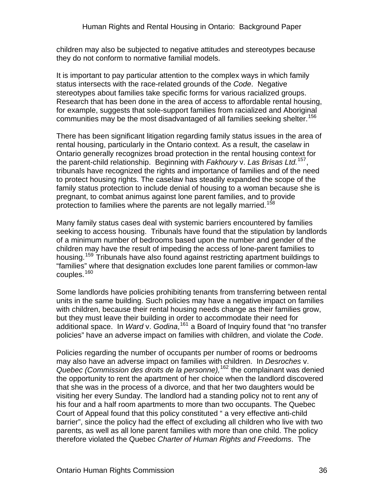children may also be subjected to negative attitudes and stereotypes because they do not conform to normative familial models.

It is important to pay particular attention to the complex ways in which family status intersects with the race-related grounds of the *Code*. Negative stereotypes about families take specific forms for various racialized groups. Research that has been done in the area of access to affordable rental housing, for example, suggests that sole-support families from racialized and Aboriginal communities may be the most disadvantaged of all families seeking shelter.<sup>[156](#page-76-1)</sup>

There has been significant litigation regarding family status issues in the area of rental housing, particularly in the Ontario context. As a result, the caselaw in Ontario generally recognizes broad protection in the rental housing context for the parent-child relationship. Beginning with *Fakhoury* v. *Las Brisas Ltd.*[157](#page-76-1), tribunals have recognized the rights and importance of families and of the need to protect housing rights. The caselaw has steadily expanded the scope of the family status protection to include denial of housing to a woman because she is pregnant, to combat animus against lone parent families, and to provide protection to families where the parents are not legally married.<sup>15</sup>

Many family status cases deal with systemic barriers encountered by families seeking to access housing. Tribunals have found that the stipulation by landlords of a minimum number of bedrooms based upon the number and gender of the children may have the result of impeding the access of lone-parent families to housing.[159](#page-76-1) Tribunals have also found against restricting apartment buildings to "families" where that designation excludes lone parent families or common-law couples.<sup>[160](#page-76-1)</sup>

Some landlords have policies prohibiting tenants from transferring between rental units in the same building. Such policies may have a negative impact on families with children, because their rental housing needs change as their families grow, but they must leave their building in order to accommodate their need for additional space. In *Ward* v. *Godina*, [161](#page-76-1) a Board of Inquiry found that "no transfer policies" have an adverse impact on families with children, and violate the *Code*.

Policies regarding the number of occupants per number of rooms or bedrooms may also have an adverse impact on families with children. In *Desroches* v. *Quebec (Commission des droits de la personne),*[162](#page-76-1) the complainant was denied the opportunity to rent the apartment of her choice when the landlord discovered that she was in the process of a divorce, and that her two daughters would be visiting her every Sunday. The landlord had a standing policy not to rent any of his four and a half room apartments to more than two occupants. The Quebec Court of Appeal found that this policy constituted " a very effective anti-child barrier", since the policy had the effect of excluding all children who live with two parents, as well as all lone parent families with more than one child. The policy therefore violated the Quebec *Charter of Human Rights and Freedoms*. The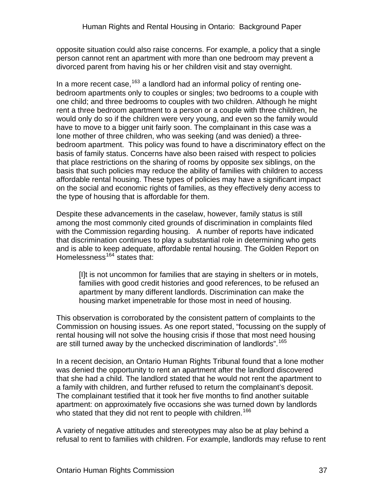opposite situation could also raise concerns. For example, a policy that a single person cannot rent an apartment with more than one bedroom may prevent a divorced parent from having his or her children visit and stay overnight.

In a more recent case,  $163$  a landlord had an informal policy of renting onebedroom apartments only to couples or singles; two bedrooms to a couple with one child; and three bedrooms to couples with two children. Although he might rent a three bedroom apartment to a person or a couple with three children, he would only do so if the children were very young, and even so the family would have to move to a bigger unit fairly soon. The complainant in this case was a lone mother of three children, who was seeking (and was denied) a threebedroom apartment. This policy was found to have a discriminatory effect on the basis of family status. Concerns have also been raised with respect to policies that place restrictions on the sharing of rooms by opposite sex siblings, on the basis that such policies may reduce the ability of families with children to access affordable rental housing. These types of policies may have a significant impact on the social and economic rights of families, as they effectively deny access to the type of housing that is affordable for them.

Despite these advancements in the caselaw, however, family status is still among the most commonly cited grounds of discrimination in complaints filed with the Commission regarding housing. A number of reports have indicated that discrimination continues to play a substantial role in determining who gets and is able to keep adequate, affordable rental housing. The Golden Report on Homelessness $164$  states that:

[I]t is not uncommon for families that are staying in shelters or in motels, families with good credit histories and good references, to be refused an apartment by many different landlords. Discrimination can make the housing market impenetrable for those most in need of housing.

This observation is corroborated by the consistent pattern of complaints to the Commission on housing issues. As one report stated, "focussing on the supply of rental housing will not solve the housing crisis if those that most need housing are still turned away by the unchecked discrimination of landlords".<sup>[165](#page-76-0)</sup>

In a recent decision, an Ontario Human Rights Tribunal found that a lone mother was denied the opportunity to rent an apartment after the landlord discovered that she had a child. The landlord stated that he would not rent the apartment to a family with children, and further refused to return the complainant's deposit. The complainant testified that it took her five months to find another suitable apartment: on approximately five occasions she was turned down by landlords who stated that they did not rent to people with children.<sup>[166](#page-76-0)</sup>

A variety of negative attitudes and stereotypes may also be at play behind a refusal to rent to families with children. For example, landlords may refuse to rent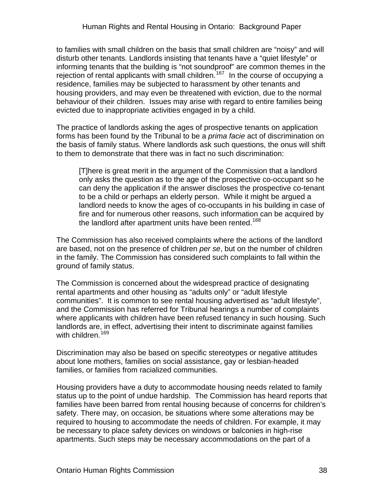to families with small children on the basis that small children are "noisy" and will disturb other tenants. Landlords insisting that tenants have a "quiet lifestyle" or informing tenants that the building is "not soundproof" are common themes in the rejection of rental applicants with small children.<sup>[167](#page-76-0)</sup> In the course of occupying a residence, families may be subjected to harassment by other tenants and housing providers, and may even be threatened with eviction, due to the normal behaviour of their children. Issues may arise with regard to entire families being evicted due to inappropriate activities engaged in by a child.

The practice of landlords asking the ages of prospective tenants on application forms has been found by the Tribunal to be a *prima facie* act of discrimination on the basis of family status. Where landlords ask such questions, the onus will shift to them to demonstrate that there was in fact no such discrimination:

[T]here is great merit in the argument of the Commission that a landlord only asks the question as to the age of the prospective co-occupant so he can deny the application if the answer discloses the prospective co-tenant to be a child or perhaps an elderly person. While it might be argued a landlord needs to know the ages of co-occupants in his building in case of fire and for numerous other reasons, such information can be acquired by the landlord after apartment units have been rented.<sup>[168](#page-76-0)</sup>

The Commission has also received complaints where the actions of the landlord are based, not on the presence of children *per se*, but on the number of children in the family. The Commission has considered such complaints to fall within the ground of family status.

The Commission is concerned about the widespread practice of designating rental apartments and other housing as "adults only" or "adult lifestyle communities". It is common to see rental housing advertised as "adult lifestyle", and the Commission has referred for Tribunal hearings a number of complaints where applicants with children have been refused tenancy in such housing. Such landlords are, in effect, advertising their intent to discriminate against families with children.<sup>[169](#page-76-0)</sup>

Discrimination may also be based on specific stereotypes or negative attitudes about lone mothers, families on social assistance, gay or lesbian-headed families, or families from racialized communities.

Housing providers have a duty to accommodate housing needs related to family status up to the point of undue hardship. The Commission has heard reports that families have been barred from rental housing because of concerns for children's safety. There may, on occasion, be situations where some alterations may be required to housing to accommodate the needs of children. For example, it may be necessary to place safety devices on windows or balconies in high-rise apartments. Such steps may be necessary accommodations on the part of a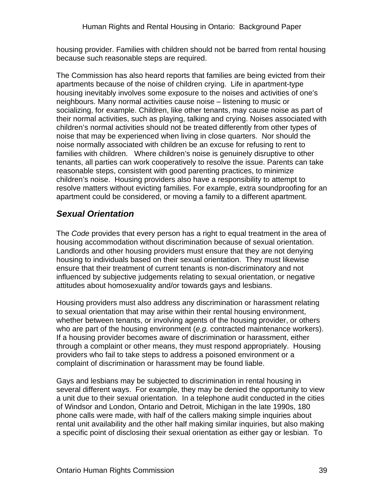housing provider. Families with children should not be barred from rental housing because such reasonable steps are required.

The Commission has also heard reports that families are being evicted from their apartments because of the noise of children crying. Life in apartment-type housing inevitably involves some exposure to the noises and activities of one's neighbours. Many normal activities cause noise – listening to music or socializing, for example. Children, like other tenants, may cause noise as part of their normal activities, such as playing, talking and crying. Noises associated with children's normal activities should not be treated differently from other types of noise that may be experienced when living in close quarters. Nor should the noise normally associated with children be an excuse for refusing to rent to families with children. Where children's noise is genuinely disruptive to other tenants, all parties can work cooperatively to resolve the issue. Parents can take reasonable steps, consistent with good parenting practices, to minimize children's noise. Housing providers also have a responsibility to attempt to resolve matters without evicting families. For example, extra soundproofing for an apartment could be considered, or moving a family to a different apartment.

#### *Sexual Orientation*

The *Code* provides that every person has a right to equal treatment in the area of housing accommodation without discrimination because of sexual orientation. Landlords and other housing providers must ensure that they are not denying housing to individuals based on their sexual orientation. They must likewise ensure that their treatment of current tenants is non-discriminatory and not influenced by subjective judgements relating to sexual orientation, or negative attitudes about homosexuality and/or towards gays and lesbians.

Housing providers must also address any discrimination or harassment relating to sexual orientation that may arise within their rental housing environment, whether between tenants, or involving agents of the housing provider, or others who are part of the housing environment (*e.g.* contracted maintenance workers). If a housing provider becomes aware of discrimination or harassment, either through a complaint or other means, they must respond appropriately. Housing providers who fail to take steps to address a poisoned environment or a complaint of discrimination or harassment may be found liable.

Gays and lesbians may be subjected to discrimination in rental housing in several different ways. For example, they may be denied the opportunity to view a unit due to their sexual orientation. In a telephone audit conducted in the cities of Windsor and London, Ontario and Detroit, Michigan in the late 1990s, 180 phone calls were made, with half of the callers making simple inquiries about rental unit availability and the other half making similar inquiries, but also making a specific point of disclosing their sexual orientation as either gay or lesbian. To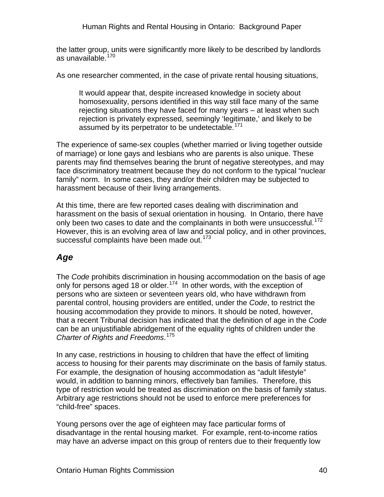the latter group, units were significantly more likely to be described by landlords as unavailable.[170](#page-76-0)

As one researcher commented, in the case of private rental housing situations,

It would appear that, despite increased knowledge in society about homosexuality, persons identified in this way still face many of the same rejecting situations they have faced for many years – at least when such rejection is privately expressed, seemingly 'legitimate,' and likely to be assumed by its perpetrator to be undetectable.<sup>[171](#page-76-0)</sup>

The experience of same-sex couples (whether married or living together outside of marriage) or lone gays and lesbians who are parents is also unique. These parents may find themselves bearing the brunt of negative stereotypes, and may face discriminatory treatment because they do not conform to the typical "nuclear family" norm. In some cases, they and/or their children may be subjected to harassment because of their living arrangements.

At this time, there are few reported cases dealing with discrimination and harassment on the basis of sexual orientation in housing. In Ontario, there have only been two cases to date and the complainants in both were unsuccessful.<sup>[172](#page-76-0)</sup> However, this is an evolving area of law and social policy, and in other provinces, successful complaints have been made out.<sup>[173](#page-76-0)</sup>

### *Age*

The *Code* prohibits discrimination in housing accommodation on the basis of age only for persons aged 18 or older.<sup>[174](#page-76-0)</sup> In other words, with the exception of persons who are sixteen or seventeen years old, who have withdrawn from parental control, housing providers are entitled, under the *Code*, to restrict the housing accommodation they provide to minors. It should be noted, however, that a recent Tribunal decision has indicated that the definition of age in the *Code*  can be an unjustifiable abridgement of the equality rights of children under the *Charter of Rights and Freedoms*. [175](#page-76-0)

In any case, restrictions in housing to children that have the effect of limiting access to housing for their parents may discriminate on the basis of family status. For example, the designation of housing accommodation as "adult lifestyle" would, in addition to banning minors, effectively ban families. Therefore, this type of restriction would be treated as discrimination on the basis of family status. Arbitrary age restrictions should not be used to enforce mere preferences for "child-free" spaces.

Young persons over the age of eighteen may face particular forms of disadvantage in the rental housing market. For example, rent-to-income ratios may have an adverse impact on this group of renters due to their frequently low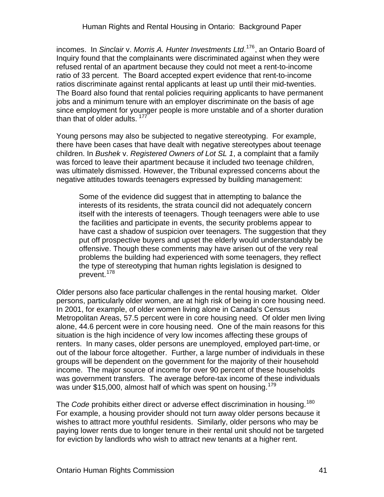incomes. In *Sinclair* v. *Morris A. Hunter Investments Ltd*. [176](#page-76-0), an Ontario Board of Inquiry found that the complainants were discriminated against when they were refused rental of an apartment because they could not meet a rent-to-income ratio of 33 percent. The Board accepted expert evidence that rent-to-income ratios discriminate against rental applicants at least up until their mid-twenties. The Board also found that rental policies requiring applicants to have permanent jobs and a minimum tenure with an employer discriminate on the basis of age since employment for younger people is more unstable and of a shorter duration than that of older adults.<sup>[177](#page-76-0)</sup>

Young persons may also be subjected to negative stereotyping. For example, there have been cases that have dealt with negative stereotypes about teenage children. In *Bushek* v. *Registered Owners of Lot SL 1*, a complaint that a family was forced to leave their apartment because it included two teenage children, was ultimately dismissed. However, the Tribunal expressed concerns about the negative attitudes towards teenagers expressed by building management:

Some of the evidence did suggest that in attempting to balance the interests of its residents, the strata council did not adequately concern itself with the interests of teenagers. Though teenagers were able to use the facilities and participate in events, the security problems appear to have cast a shadow of suspicion over teenagers. The suggestion that they put off prospective buyers and upset the elderly would understandably be offensive. Though these comments may have arisen out of the very real problems the building had experienced with some teenagers, they reflect the type of stereotyping that human rights legislation is designed to prevent.<sup>[178](#page-76-0)</sup>

Older persons also face particular challenges in the rental housing market. Older persons, particularly older women, are at high risk of being in core housing need. In 2001, for example, of older women living alone in Canada's Census Metropolitan Areas, 57.5 percent were in core housing need. Of older men living alone, 44.6 percent were in core housing need. One of the main reasons for this situation is the high incidence of very low incomes affecting these groups of renters. In many cases, older persons are unemployed, employed part-time, or out of the labour force altogether. Further, a large number of individuals in these groups will be dependent on the government for the majority of their household income. The major source of income for over 90 percent of these households was government transfers. The average before-tax income of these individuals was under \$15,000, almost half of which was spent on housing.<sup>[179](#page-76-0)</sup>

The *Code* prohibits either direct or adverse effect discrimination in housing.<sup>[180](#page-76-0)</sup> For example, a housing provider should not turn away older persons because it wishes to attract more youthful residents. Similarly, older persons who may be paying lower rents due to longer tenure in their rental unit should not be targeted for eviction by landlords who wish to attract new tenants at a higher rent.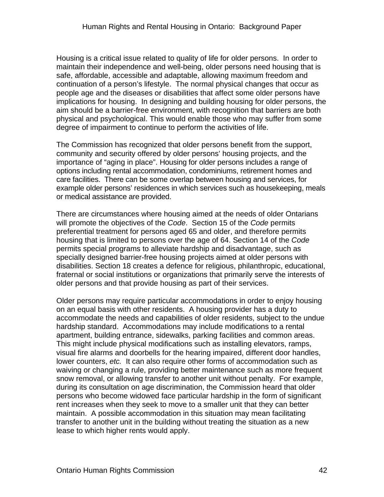Housing is a critical issue related to quality of life for older persons. In order to maintain their independence and well-being, older persons need housing that is safe, affordable, accessible and adaptable, allowing maximum freedom and continuation of a person's lifestyle. The normal physical changes that occur as people age and the diseases or disabilities that affect some older persons have implications for housing. In designing and building housing for older persons, the aim should be a barrier-free environment, with recognition that barriers are both physical and psychological. This would enable those who may suffer from some degree of impairment to continue to perform the activities of life.

The Commission has recognized that older persons benefit from the support, community and security offered by older persons' housing projects, and the importance of "aging in place". Housing for older persons includes a range of options including rental accommodation, condominiums, retirement homes and care facilities. There can be some overlap between housing and services, for example older persons' residences in which services such as housekeeping, meals or medical assistance are provided.

There are circumstances where housing aimed at the needs of older Ontarians will promote the objectives of the *Code*. Section 15 of the *Code* permits preferential treatment for persons aged 65 and older, and therefore permits housing that is limited to persons over the age of 64. Section 14 of the *Code* permits special programs to alleviate hardship and disadvantage, such as specially designed barrier-free housing projects aimed at older persons with disabilities. Section 18 creates a defence for religious, philanthropic, educational, fraternal or social institutions or organizations that primarily serve the interests of older persons and that provide housing as part of their services.

Older persons may require particular accommodations in order to enjoy housing on an equal basis with other residents. A housing provider has a duty to accommodate the needs and capabilities of older residents, subject to the undue hardship standard. Accommodations may include modifications to a rental apartment, building entrance, sidewalks, parking facilities and common areas. This might include physical modifications such as installing elevators, ramps, visual fire alarms and doorbells for the hearing impaired, different door handles, lower counters, *etc.* It can also require other forms of accommodation such as waiving or changing a rule, providing better maintenance such as more frequent snow removal, or allowing transfer to another unit without penalty. For example, during its consultation on age discrimination, the Commission heard that older persons who become widowed face particular hardship in the form of significant rent increases when they seek to move to a smaller unit that they can better maintain. A possible accommodation in this situation may mean facilitating transfer to another unit in the building without treating the situation as a new lease to which higher rents would apply.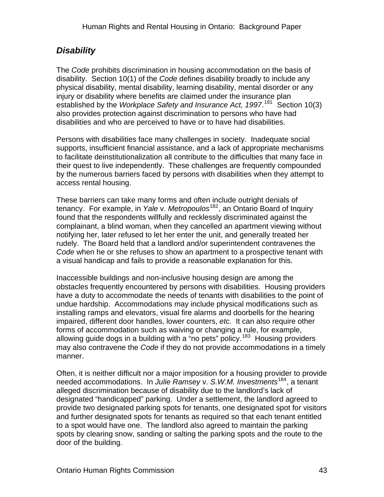### *Disability*

The *Code* prohibits discrimination in housing accommodation on the basis of disability. Section 10(1) of the *Code* defines disability broadly to include any physical disability, mental disability, learning disability, mental disorder or any injury or disability where benefits are claimed under the insurance plan established by the *Workplace Safety and Insurance Act, 1997*.<sup>[181](#page-76-0)</sup> Section 10(3) also provides protection against discrimination to persons who have had disabilities and who are perceived to have or to have had disabilities.

Persons with disabilities face many challenges in society. Inadequate social supports, insufficient financial assistance, and a lack of appropriate mechanisms to facilitate deinstitutionalization all contribute to the difficulties that many face in their quest to live independently. These challenges are frequently compounded by the numerous barriers faced by persons with disabilities when they attempt to access rental housing.

These barriers can take many forms and often include outright denials of tenancy. For example, in *Yale* v. Metropoulos<sup>[182](#page-76-0)</sup>, an Ontario Board of Inquiry found that the respondents willfully and recklessly discriminated against the complainant, a blind woman, when they cancelled an apartment viewing without notifying her, later refused to let her enter the unit, and generally treated her rudely. The Board held that a landlord and/or superintendent contravenes the *Code* when he or she refuses to show an apartment to a prospective tenant with a visual handicap and fails to provide a reasonable explanation for this.

Inaccessible buildings and non-inclusive housing design are among the obstacles frequently encountered by persons with disabilities. Housing providers have a duty to accommodate the needs of tenants with disabilities to the point of undue hardship. Accommodations may include physical modifications such as installing ramps and elevators, visual fire alarms and doorbells for the hearing impaired, different door handles, lower counters, *etc.* It can also require other forms of accommodation such as waiving or changing a rule, for example, allowing guide dogs in a building with a "no pets" policy.<sup>[183](#page-76-0)</sup> Housing providers may also contravene the *Code* if they do not provide accommodations in a timely manner.

Often, it is neither difficult nor a major imposition for a housing provider to provide needed accommodations. In *Julie Ramsey* v. *S.W.M. Investments*[184](#page-76-0), a tenant alleged discrimination because of disability due to the landlord's lack of designated "handicapped" parking. Under a settlement, the landlord agreed to provide two designated parking spots for tenants, one designated spot for visitors and further designated spots for tenants as required so that each tenant entitled to a spot would have one. The landlord also agreed to maintain the parking spots by clearing snow, sanding or salting the parking spots and the route to the door of the building.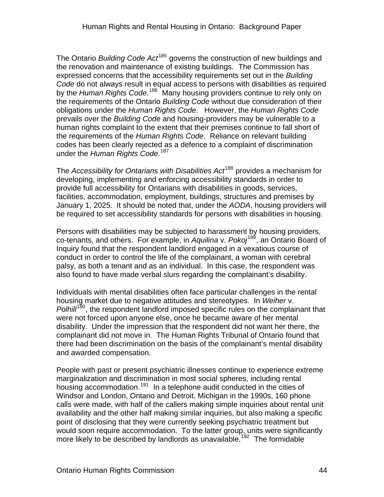The Ontario *Building Code Act*[185](#page-76-0) governs the construction of new buildings and the renovation and maintenance of existing buildings. The Commission has expressed concerns that the accessibility requirements set out in the *Building Code* do not always result in equal access to persons with disabilities as required by the Human Rights Code.<sup>[186](#page-76-0)</sup> Many housing providers continue to rely only on the requirements of the Ontario *Building Code* without due consideration of their obligations under the *Human Rights Code*. However, the *Human Rights Code*  prevails over the *Building Code* and housing-providers may be vulnerable to a human rights complaint to the extent that their premises continue to fall short of the requirements of the *Human Rights Code*. Reliance on relevant building codes has been clearly rejected as a defence to a complaint of discrimination under the *Human Rights Code.*[187](#page-76-0)

The *Accessibility for Ontarians with Disabilities Act*[188](#page-76-0) provides a mechanism for developing, implementing and enforcing accessibility standards in order to provide full accessibility for Ontarians with disabilities in goods, services, facilities, accommodation, employment, buildings, structures and premises by January 1, 2025. It should be noted that, under the *AODA*, housing providers will be required to set accessibility standards for persons with disabilities in housing.

Persons with disabilities may be subjected to harassment by housing providers, co-tenants, and others. For example, in *Aquilina* v. *Pokoj*[189](#page-76-0), an Ontario Board of Inquiry found that the respondent landlord engaged in a vexatious course of conduct in order to control the life of the complainant, a woman with cerebral palsy, as both a tenant and as an individual. In this case, the respondent was also found to have made verbal slurs regarding the complainant's disability.

Individuals with mental disabilities often face particular challenges in the rental housing market due to negative attitudes and stereotypes. In *Weiher* v. *Polhill*<sup>[190](#page-76-0)</sup>, the respondent landlord imposed specific rules on the complainant that were not forced upon anyone else, once he became aware of her mental disability. Under the impression that the respondent did not want her there, the complainant did not move in. The Human Rights Tribunal of Ontario found that there had been discrimination on the basis of the complainant's mental disability and awarded compensation.

People with past or present psychiatric illnesses continue to experience extreme marginalization and discrimination in most social spheres, including rental housing accommodation.<sup>[191](#page-76-0)</sup> In a telephone audit conducted in the cities of Windsor and London, Ontario and Detroit, Michigan in the 1990s, 160 phone calls were made, with half of the callers making simple inquiries about rental unit availability and the other half making similar inquiries, but also making a specific point of disclosing that they were currently seeking psychiatric treatment but would soon require accommodation. To the latter group, units were significantly more likely to be described by landlords as unavailable.<sup>[192](#page-76-0)</sup> The formidable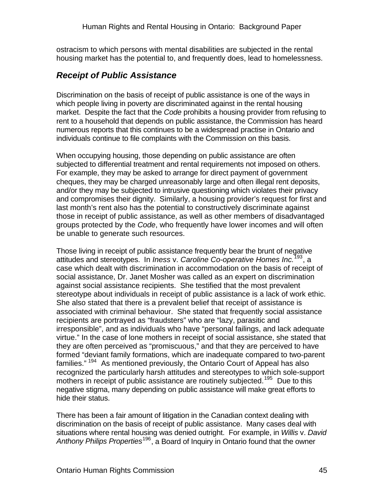ostracism to which persons with mental disabilities are subjected in the rental housing market has the potential to, and frequently does, lead to homelessness.

### *Receipt of Public Assistance*

Discrimination on the basis of receipt of public assistance is one of the ways in which people living in poverty are discriminated against in the rental housing market. Despite the fact that the *Code* prohibits a housing provider from refusing to rent to a household that depends on public assistance, the Commission has heard numerous reports that this continues to be a widespread practise in Ontario and individuals continue to file complaints with the Commission on this basis.

When occupying housing, those depending on public assistance are often subjected to differential treatment and rental requirements not imposed on others. For example, they may be asked to arrange for direct payment of government cheques, they may be charged unreasonably large and often illegal rent deposits, and/or they may be subjected to intrusive questioning which violates their privacy and compromises their dignity. Similarly, a housing provider's request for first and last month's rent also has the potential to constructively discriminate against those in receipt of public assistance, as well as other members of disadvantaged groups protected by the *Code*, who frequently have lower incomes and will often be unable to generate such resources.

Those living in receipt of public assistance frequently bear the brunt of negative attitudes and stereotypes. In *Iness* v. *Caroline Co-operative Homes Inc.*[193](#page-76-0), a case which dealt with discrimination in accommodation on the basis of receipt of social assistance, Dr. Janet Mosher was called as an expert on discrimination against social assistance recipients. She testified that the most prevalent stereotype about individuals in receipt of public assistance is a lack of work ethic. She also stated that there is a prevalent belief that receipt of assistance is associated with criminal behaviour. She stated that frequently social assistance recipients are portrayed as "fraudsters" who are "lazy, parasitic and irresponsible", and as individuals who have "personal failings, and lack adequate virtue." In the case of lone mothers in receipt of social assistance, she stated that they are often perceived as "promiscuous," and that they are perceived to have formed "deviant family formations, which are inadequate compared to two-parent families." [194](#page-76-0) As mentioned previously, the Ontario Court of Appeal has also recognized the particularly harsh attitudes and stereotypes to which sole-support mothers in receipt of public assistance are routinely subjected.<sup>[195](#page-76-0)</sup> Due to this negative stigma, many depending on public assistance will make great efforts to hide their status.

There has been a fair amount of litigation in the Canadian context dealing with discrimination on the basis of receipt of public assistance. Many cases deal with situations where rental housing was denied outright. For example, in *Willis* v. *David Anthony Philips Properties*[196](#page-76-0), a Board of Inquiry in Ontario found that the owner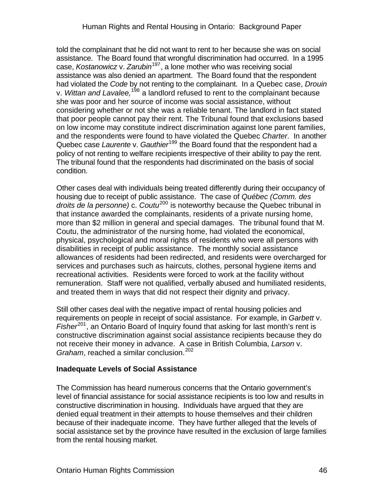told the complainant that he did not want to rent to her because she was on social assistance. The Board found that wrongful discrimination had occurred. In a 1995 case, *Kostanowicz* v. *Zarubin*[197](#page-76-0), a lone mother who was receiving social assistance was also denied an apartment. The Board found that the respondent had violated the *Code* by not renting to the complainant. In a Quebec case, *Drouin*  v. *Wittan and Lavalee,*[198](#page-76-0) a landlord refused to rent to the complainant because she was poor and her source of income was social assistance, without considering whether or not she was a reliable tenant. The landlord in fact stated that poor people cannot pay their rent. The Tribunal found that exclusions based on low income may constitute indirect discrimination against lone parent families, and the respondents were found to have violated the Quebec *Charter*. In another Quebec case *Laurente* v. *Gauthier*[199](#page-76-0) the Board found that the respondent had a policy of not renting to welfare recipients irrespective of their ability to pay the rent. The tribunal found that the respondents had discriminated on the basis of social condition.

Other cases deal with individuals being treated differently during their occupancy of housing due to receipt of public assistance. The case of *Québec (Comm. des droits de la personne)* c. *Coutu*[200](#page-76-0) is noteworthy because the Quebec tribunal in that instance awarded the complainants, residents of a private nursing home, more than \$2 million in general and special damages. The tribunal found that M. Coutu, the administrator of the nursing home, had violated the economical, physical, psychological and moral rights of residents who were all persons with disabilities in receipt of public assistance. The monthly social assistance allowances of residents had been redirected, and residents were overcharged for services and purchases such as haircuts, clothes, personal hygiene items and recreational activities. Residents were forced to work at the facility without remuneration. Staff were not qualified, verbally abused and humiliated residents, and treated them in ways that did not respect their dignity and privacy.

Still other cases deal with the negative impact of rental housing policies and requirements on people in receipt of social assistance. For example, in *Garbett* v. *Fisher*<sup>[201](#page-76-0)</sup>, an Ontario Board of Inquiry found that asking for last month's rent is constructive discrimination against social assistance recipients because they do not receive their money in advance. A case in British Columbia, *Larson* v. *Graham*, reached a similar conclusion.<sup>[202](#page-76-0)</sup>

#### **Inadequate Levels of Social Assistance**

The Commission has heard numerous concerns that the Ontario government's level of financial assistance for social assistance recipients is too low and results in constructive discrimination in housing. Individuals have argued that they are denied equal treatment in their attempts to house themselves and their children because of their inadequate income. They have further alleged that the levels of social assistance set by the province have resulted in the exclusion of large families from the rental housing market.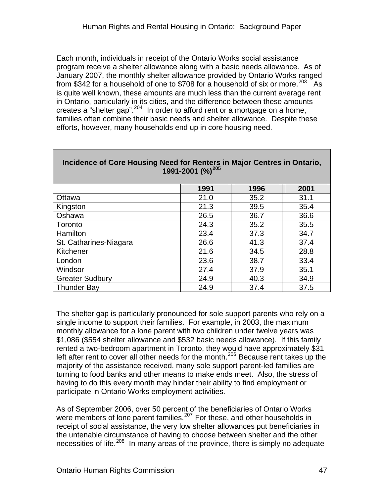Each month, individuals in receipt of the Ontario Works social assistance program receive a shelter allowance along with a basic needs allowance. As of January 2007, the monthly shelter allowance provided by Ontario Works ranged from \$342 for a household of one to \$708 for a household of six or more.<sup>[203](#page-76-0)</sup> As is quite well known, these amounts are much less than the current average rent in Ontario, particularly in its cities, and the difference between these amounts creates a "shelter gap".[204](#page-76-0) In order to afford rent or a mortgage on a home, families often combine their basic needs and shelter allowance. Despite these efforts, however, many households end up in core housing need.

|                        | 1991 | 1996 | 2001 |  |  |  |  |  |  |  |  |
|------------------------|------|------|------|--|--|--|--|--|--|--|--|
| Ottawa                 | 21.0 | 35.2 | 31.1 |  |  |  |  |  |  |  |  |
| Kingston               | 21.3 | 39.5 | 35.4 |  |  |  |  |  |  |  |  |
| Oshawa                 | 26.5 | 36.7 | 36.6 |  |  |  |  |  |  |  |  |
| Toronto                | 24.3 | 35.2 | 35.5 |  |  |  |  |  |  |  |  |
| Hamilton               | 23.4 | 37.3 | 34.7 |  |  |  |  |  |  |  |  |
| St. Catharines-Niagara | 26.6 | 41.3 | 37.4 |  |  |  |  |  |  |  |  |
| Kitchener              | 21.6 | 34.5 | 28.8 |  |  |  |  |  |  |  |  |
| London                 | 23.6 | 38.7 | 33.4 |  |  |  |  |  |  |  |  |
| Windsor                | 27.4 | 37.9 | 35.1 |  |  |  |  |  |  |  |  |
| <b>Greater Sudbury</b> | 24.9 | 40.3 | 34.9 |  |  |  |  |  |  |  |  |
| <b>Thunder Bay</b>     | 24.9 | 37.4 | 37.5 |  |  |  |  |  |  |  |  |

#### **Incidence of Core Housing Need for Renters in Major Centres in Ontario, 1991-2001 (%)[205](#page-76-0)**

The shelter gap is particularly pronounced for sole support parents who rely on a single income to support their families. For example, in 2003, the maximum monthly allowance for a lone parent with two children under twelve years was \$1,086 (\$554 shelter allowance and \$532 basic needs allowance). If this family rented a two-bedroom apartment in Toronto, they would have approximately \$31 left after rent to cover all other needs for the month.<sup>[206](#page-76-0)</sup> Because rent takes up the majority of the assistance received, many sole support parent-led families are turning to food banks and other means to make ends meet. Also, the stress of having to do this every month may hinder their ability to find employment or participate in Ontario Works employment activities.

As of September 2006, over 50 percent of the beneficiaries of Ontario Works were members of lone parent families.<sup>[207](#page-76-0)</sup> For these, and other households in receipt of social assistance, the very low shelter allowances put beneficiaries in the untenable circumstance of having to choose between shelter and the other necessities of life.<sup>[208](#page-76-0)</sup> In many areas of the province, there is simply no adequate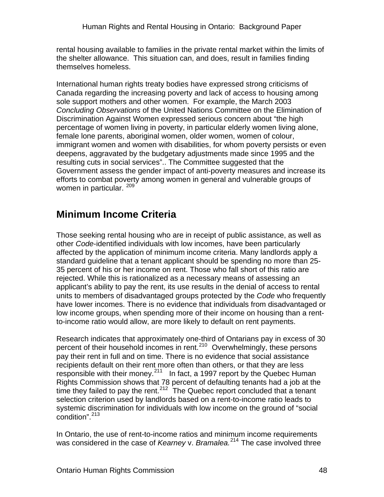rental housing available to families in the private rental market within the limits of the shelter allowance. This situation can, and does, result in families finding themselves homeless.

International human rights treaty bodies have expressed strong criticisms of Canada regarding the increasing poverty and lack of access to housing among sole support mothers and other women. For example, the March 2003 *Concluding Observations* of the United Nations Committee on the Elimination of Discrimination Against Women expressed serious concern about "the high percentage of women living in poverty, in particular elderly women living alone, female lone parents, aboriginal women, older women, women of colour, immigrant women and women with disabilities, for whom poverty persists or even deepens, aggravated by the budgetary adjustments made since 1995 and the resulting cuts in social services".. The Committee suggested that the Government assess the gender impact of anti-poverty measures and increase its efforts to combat poverty among women in general and vulnerable groups of women in particular. [209](#page-76-0)

## **Minimum Income Criteria**

Those seeking rental housing who are in receipt of public assistance, as well as other *Code*-identified individuals with low incomes, have been particularly affected by the application of minimum income criteria. Many landlords apply a standard guideline that a tenant applicant should be spending no more than 25- 35 percent of his or her income on rent. Those who fall short of this ratio are rejected. While this is rationalized as a necessary means of assessing an applicant's ability to pay the rent, its use results in the denial of access to rental units to members of disadvantaged groups protected by the *Code* who frequently have lower incomes. There is no evidence that individuals from disadvantaged or low income groups, when spending more of their income on housing than a rentto-income ratio would allow, are more likely to default on rent payments.

Research indicates that approximately one-third of Ontarians pay in excess of 30 percent of their household incomes in rent.[210](#page-76-0) Overwhelmingly, these persons pay their rent in full and on time. There is no evidence that social assistance recipients default on their rent more often than others, or that they are less responsible with their money. $211$  In fact, a 1997 report by the Quebec Human Rights Commission shows that 78 percent of defaulting tenants had a job at the time they failed to pay the rent.<sup>[212](#page-76-0)</sup> The Quebec report concluded that a tenant selection criterion used by landlords based on a rent-to-income ratio leads to systemic discrimination for individuals with low income on the ground of "social condition".<sup>[213](#page-76-0)</sup>

In Ontario, the use of rent-to-income ratios and minimum income requirements was considered in the case of *Kearney* v. *Bramalea.*[214](#page-76-0) The case involved three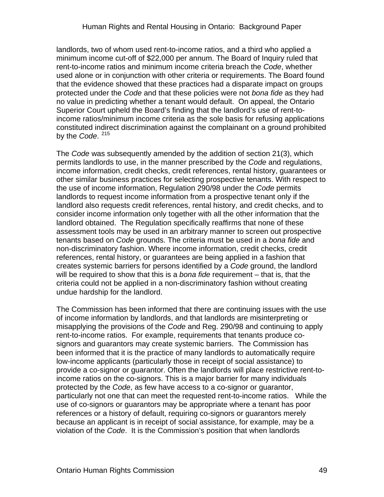landlords, two of whom used rent-to-income ratios, and a third who applied a minimum income cut-off of \$22,000 per annum. The Board of Inquiry ruled that rent-to-income ratios and minimum income criteria breach the *Code*, whether used alone or in conjunction with other criteria or requirements. The Board found that the evidence showed that these practices had a disparate impact on groups protected under the *Code* and that these policies were not *bona fide* as they had no value in predicting whether a tenant would default. On appeal, the Ontario Superior Court upheld the Board's finding that the landlord's use of rent-toincome ratios/minimum income criteria as the sole basis for refusing applications constituted indirect discrimination against the complainant on a ground prohibited by the *Code*. [215](#page-76-0)

The *Code* was subsequently amended by the addition of section 21(3), which permits landlords to use, in the manner prescribed by the *Code* and regulations, income information, credit checks, credit references, rental history, guarantees or other similar business practices for selecting prospective tenants. With respect to the use of income information, Regulation 290/98 under the *Code* permits landlords to request income information from a prospective tenant only if the landlord also requests credit references, rental history, and credit checks, and to consider income information only together with all the other information that the landlord obtained. The Regulation specifically reaffirms that none of these assessment tools may be used in an arbitrary manner to screen out prospective tenants based on *Code* grounds. The criteria must be used in a *bona fide* and non-discriminatory fashion. Where income information, credit checks, credit references, rental history, or guarantees are being applied in a fashion that creates systemic barriers for persons identified by a *Code* ground, the landlord will be required to show that this is a *bona fide* requirement – that is, that the criteria could not be applied in a non-discriminatory fashion without creating undue hardship for the landlord.

The Commission has been informed that there are continuing issues with the use of income information by landlords, and that landlords are misinterpreting or misapplying the provisions of the *Code* and Reg. 290/98 and continuing to apply rent-to-income ratios. For example, requirements that tenants produce cosignors and guarantors may create systemic barriers. The Commission has been informed that it is the practice of many landlords to automatically require low-income applicants (particularly those in receipt of social assistance) to provide a co-signor or guarantor. Often the landlords will place restrictive rent-toincome ratios on the co-signors. This is a major barrier for many individuals protected by the *Code*, as few have access to a co-signor or guarantor, particularly not one that can meet the requested rent-to-income ratios. While the use of co-signors or guarantors may be appropriate where a tenant has poor references or a history of default, requiring co-signors or guarantors merely because an applicant is in receipt of social assistance, for example, may be a violation of the *Code*. It is the Commission's position that when landlords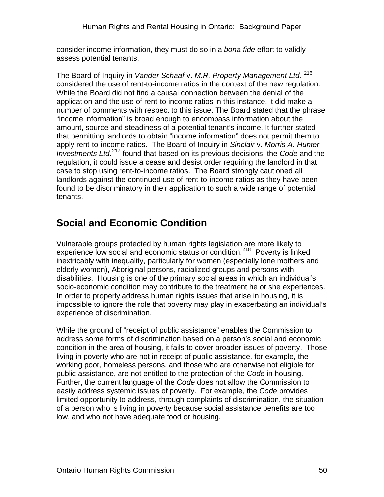consider income information, they must do so in a *bona fide* effort to validly assess potential tenants.

The Board of Inquiry in *Vander Schaaf* v. *M.R. Property Management Ltd.* [216](#page-76-0) considered the use of rent-to-income ratios in the context of the new regulation. While the Board did not find a causal connection between the denial of the application and the use of rent-to-income ratios in this instance, it did make a number of comments with respect to this issue. The Board stated that the phrase "income information" is broad enough to encompass information about the amount, source and steadiness of a potential tenant's income. It further stated that permitting landlords to obtain "income information" does not permit them to apply rent-to-income ratios. The Board of Inquiry in *Sinclair* v. *Morris A. Hunter Investments Ltd.*[217](#page-76-0) found that based on its previous decisions, the *Code* and the regulation, it could issue a cease and desist order requiring the landlord in that case to stop using rent-to-income ratios. The Board strongly cautioned all landlords against the continued use of rent-to-income ratios as they have been found to be discriminatory in their application to such a wide range of potential tenants.

### **Social and Economic Condition**

Vulnerable groups protected by human rights legislation are more likely to experience low social and economic status or condition.<sup>[218](#page-76-0)</sup> Poverty is linked inextricably with inequality, particularly for women (especially lone mothers and elderly women), Aboriginal persons, racialized groups and persons with disabilities. Housing is one of the primary social areas in which an individual's socio-economic condition may contribute to the treatment he or she experiences. In order to properly address human rights issues that arise in housing, it is impossible to ignore the role that poverty may play in exacerbating an individual's experience of discrimination.

While the ground of "receipt of public assistance" enables the Commission to address some forms of discrimination based on a person's social and economic condition in the area of housing, it fails to cover broader issues of poverty. Those living in poverty who are not in receipt of public assistance, for example, the working poor, homeless persons, and those who are otherwise not eligible for public assistance, are not entitled to the protection of the *Code* in housing. Further, the current language of the *Code* does not allow the Commission to easily address systemic issues of poverty. For example, the *Code* provides limited opportunity to address, through complaints of discrimination, the situation of a person who is living in poverty because social assistance benefits are too low, and who not have adequate food or housing.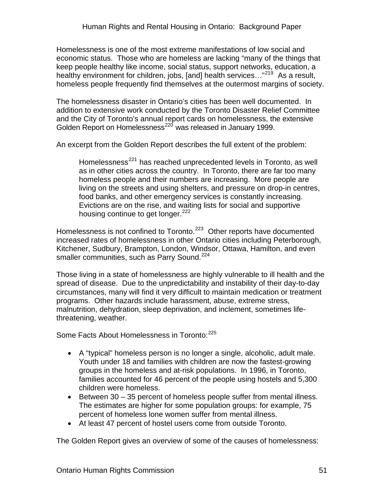Homelessness is one of the most extreme manifestations of low social and economic status. Those who are homeless are lacking "many of the things that keep people healthy like income, social status, support networks, education, a healthy environment for children, jobs, [and] health services..."<sup>[219](#page-76-0)</sup> As a result, homeless people frequently find themselves at the outermost margins of society.

The homelessness disaster in Ontario's cities has been well documented. In addition to extensive work conducted by the Toronto Disaster Relief Committee and the City of Toronto's annual report cards on homelessness, the extensive Golden Report on Homelessness<sup>[220](#page-76-0)</sup> was released in January 1999.

An excerpt from the Golden Report describes the full extent of the problem:

Homelessness<sup>[221](#page-76-0)</sup> has reached unprecedented levels in Toronto, as well as in other cities across the country. In Toronto, there are far too many homeless people and their numbers are increasing. More people are living on the streets and using shelters, and pressure on drop-in centres, food banks, and other emergency services is constantly increasing. Evictions are on the rise, and waiting lists for social and supportive housing continue to get longer.<sup>[222](#page-76-0)</sup>

Homelessness is not confined to Toronto.<sup>[223](#page-76-0)</sup> Other reports have documented increased rates of homelessness in other Ontario cities including Peterborough, Kitchener, Sudbury, Brampton, London, Windsor, Ottawa, Hamilton, and even smaller communities, such as Parry Sound.<sup>[224](#page-76-0)</sup>

Those living in a state of homelessness are highly vulnerable to ill health and the spread of disease. Due to the unpredictability and instability of their day-to-day circumstances, many will find it very difficult to maintain medication or treatment programs. Other hazards include harassment, abuse, extreme stress, malnutrition, dehydration, sleep deprivation, and inclement, sometimes lifethreatening, weather.

Some Facts About Homelessness in Toronto: <sup>[225](#page-76-0)</sup>

- A "typical" homeless person is no longer a single, alcoholic, adult male. Youth under 18 and families with children are now the fastest-growing groups in the homeless and at-risk populations. In 1996, in Toronto, families accounted for 46 percent of the people using hostels and 5,300 children were homeless.
- Between 30 35 percent of homeless people suffer from mental illness. The estimates are higher for some population groups: for example, 75 percent of homeless lone women suffer from mental illness.
- At least 47 percent of hostel users come from outside Toronto.

The Golden Report gives an overview of some of the causes of homelessness: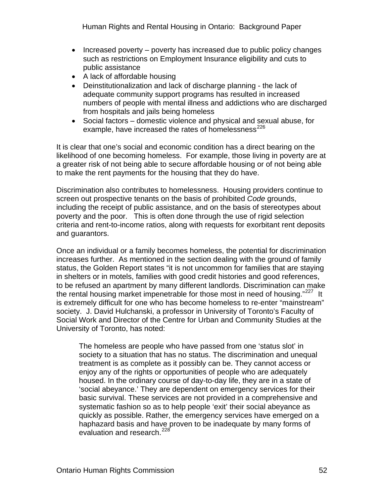- Increased poverty poverty has increased due to public policy changes such as restrictions on Employment Insurance eligibility and cuts to public assistance
- A lack of affordable housing
- Deinstitutionalization and lack of discharge planning the lack of adequate community support programs has resulted in increased numbers of people with mental illness and addictions who are discharged from hospitals and jails being homeless
- Social factors domestic violence and physical and sexual abuse, for example, have increased the rates of homelessness<sup>[226](#page-76-0)</sup>

It is clear that one's social and economic condition has a direct bearing on the likelihood of one becoming homeless. For example, those living in poverty are at a greater risk of not being able to secure affordable housing or of not being able to make the rent payments for the housing that they do have.

Discrimination also contributes to homelessness. Housing providers continue to screen out prospective tenants on the basis of prohibited *Code* grounds, including the receipt of public assistance, and on the basis of stereotypes about poverty and the poor. This is often done through the use of rigid selection criteria and rent-to-income ratios, along with requests for exorbitant rent deposits and guarantors.

Once an individual or a family becomes homeless, the potential for discrimination increases further. As mentioned in the section dealing with the ground of family status, the Golden Report states "it is not uncommon for families that are staying in shelters or in motels, families with good credit histories and good references, to be refused an apartment by many different landlords. Discrimination can make the rental housing market impenetrable for those most in need of housing." $227$  It is extremely difficult for one who has become homeless to re-enter "mainstream" society. J. David Hulchanski, a professor in University of Toronto's Faculty of Social Work and Director of the Centre for Urban and Community Studies at the University of Toronto, has noted:

The homeless are people who have passed from one 'status slot' in society to a situation that has no status. The discrimination and unequal treatment is as complete as it possibly can be. They cannot access or enjoy any of the rights or opportunities of people who are adequately housed. In the ordinary course of day-to-day life, they are in a state of 'social abeyance.' They are dependent on emergency services for their basic survival. These services are not provided in a comprehensive and systematic fashion so as to help people 'exit' their social abeyance as quickly as possible. Rather, the emergency services have emerged on a haphazard basis and have proven to be inadequate by many forms of evaluation and research.<sup>[228](#page-76-0)</sup>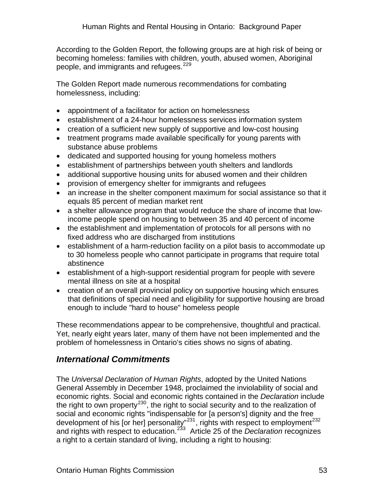According to the Golden Report, the following groups are at high risk of being or becoming homeless: families with children, youth, abused women, Aboriginal people, and immigrants and refugees.<sup>[229](#page-76-0)</sup>

The Golden Report made numerous recommendations for combating homelessness, including:

- appointment of a facilitator for action on homelessness
- establishment of a 24-hour homelessness services information system
- creation of a sufficient new supply of supportive and low-cost housing
- treatment programs made available specifically for young parents with substance abuse problems
- dedicated and supported housing for young homeless mothers
- establishment of partnerships between youth shelters and landlords
- additional supportive housing units for abused women and their children
- provision of emergency shelter for immigrants and refugees
- an increase in the shelter component maximum for social assistance so that it equals 85 percent of median market rent
- a shelter allowance program that would reduce the share of income that lowincome people spend on housing to between 35 and 40 percent of income
- the establishment and implementation of protocols for all persons with no fixed address who are discharged from institutions
- establishment of a harm-reduction facility on a pilot basis to accommodate up to 30 homeless people who cannot participate in programs that require total abstinence
- establishment of a high-support residential program for people with severe mental illness on site at a hospital
- creation of an overall provincial policy on supportive housing which ensures that definitions of special need and eligibility for supportive housing are broad enough to include "hard to house" homeless people

These recommendations appear to be comprehensive, thoughtful and practical. Yet, nearly eight years later, many of them have not been implemented and the problem of homelessness in Ontario's cities shows no signs of abating.

### *International Commitments*

The *Universal Declaration of Human Rights*, adopted by the United Nations General Assembly in December 1948, proclaimed the inviolability of social and economic rights. Social and economic rights contained in the *Declaration* include the right to own property<sup>[230](#page-76-0)</sup>, the right to social security and to the realization of social and economic rights "indispensable for [a person's] dignity and the free development of his [or her] personality"<sup>[231](#page-76-0)</sup>, rights with respect to employment<sup>[232](#page-76-0)</sup> and rights with respect to education.[233](#page-76-0) Article 25 of the *Declaration* recognizes a right to a certain standard of living, including a right to housing: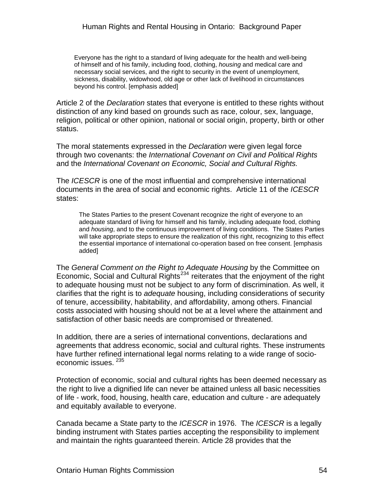Everyone has the right to a standard of living adequate for the health and well-being of himself and of his family, including food, clothing, *housing* and medical care and necessary social services, and the right to security in the event of unemployment, sickness, disability, widowhood, old age or other lack of livelihood in circumstances beyond his control. [emphasis added]

Article 2 of the *Declaration* states that everyone is entitled to these rights without distinction of any kind based on grounds such as race, colour, sex, language, religion, political or other opinion, national or social origin, property, birth or other status.

The moral statements expressed in the *Declaration* were given legal force through two covenants: the *International Covenant on Civil and Political Rights*  and the *International Covenant on Economic, Social and Cultural Rights.* 

The *ICESCR* is one of the most influential and comprehensive international documents in the area of social and economic rights. Article 11 of the *ICESCR*  states:

The States Parties to the present Covenant recognize the right of everyone to an adequate standard of living for himself and his family, including adequate food, clothing and *housing*, and to the continuous improvement of living conditions. The States Parties will take appropriate steps to ensure the realization of this right, recognizing to this effect the essential importance of international co-operation based on free consent. [emphasis added]

The *General Comment on the Right to Adequate Housing* by the Committee on Economic, Social and Cultural Rights<sup>[234](#page-76-0)</sup> reiterates that the enjoyment of the right to adequate housing must not be subject to any form of discrimination. As well, it clarifies that the right is to *adequate* housing, including considerations of security of tenure, accessibility, habitability, and affordability, among others. Financial costs associated with housing should not be at a level where the attainment and satisfaction of other basic needs are compromised or threatened.

In addition*,* there are a series of international conventions, declarations and agreements that address economic, social and cultural rights. These instruments have further refined international legal norms relating to a wide range of socioeconomic issues. [235](#page-76-0)

Protection of economic, social and cultural rights has been deemed necessary as the right to live a dignified life can never be attained unless all basic necessities of life - work, food, housing, health care, education and culture - are adequately and equitably available to everyone.

Canada became a State party to the *ICESCR* in 1976. The *ICESCR* is a legally binding instrument with States parties accepting the responsibility to implement and maintain the rights guaranteed therein. Article 28 provides that the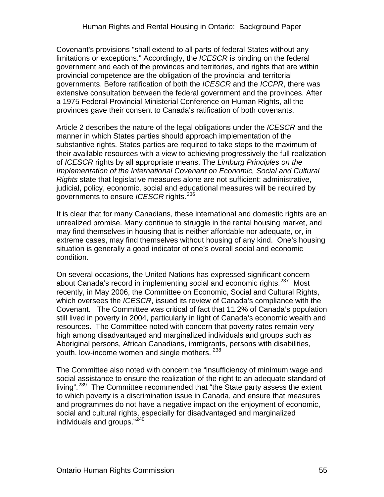Covenant's provisions "shall extend to all parts of federal States without any limitations or exceptions." Accordingly, the *ICESCR* is binding on the federal government and each of the provinces and territories, and rights that are within provincial competence are the obligation of the provincial and territorial governments. Before ratification of both the *ICESCR* and the *ICCPR*, there was extensive consultation between the federal government and the provinces. After a 1975 Federal-Provincial Ministerial Conference on Human Rights, all the provinces gave their consent to Canada's ratification of both covenants.

Article 2 describes the nature of the legal obligations under the *ICESCR* and the manner in which States parties should approach implementation of the substantive rights. States parties are required to take steps to the maximum of their available resources with a view to achieving progressively the full realization of *ICESCR* rights by all appropriate means. The *Limburg Principles on the Implementation of the International Covenant on Economic, Social and Cultural Rights* state that legislative measures alone are not sufficient: administrative, judicial, policy, economic, social and educational measures will be required by governments to ensure *ICESCR* rights.<sup>[236](#page-76-0)</sup>

It is clear that for many Canadians, these international and domestic rights are an unrealized promise. Many continue to struggle in the rental housing market, and may find themselves in housing that is neither affordable nor adequate, or, in extreme cases, may find themselves without housing of any kind. One's housing situation is generally a good indicator of one's overall social and economic condition.

On several occasions, the United Nations has expressed significant concern about Canada's record in implementing social and economic rights.<sup>[237](#page-76-0)</sup> Most recently, in May 2006, the Committee on Economic, Social and Cultural Rights, which oversees the *ICESCR*, issued its review of Canada's compliance with the Covenant. The Committee was critical of fact that 11.2% of Canada's population still lived in poverty in 2004, particularly in light of Canada's economic wealth and resources. The Committee noted with concern that poverty rates remain very high among disadvantaged and marginalized individuals and groups such as Aboriginal persons, African Canadians, immigrants, persons with disabilities, youth, low-income women and single mothers. <sup>[238](#page-76-0)</sup>

The Committee also noted with concern the "insufficiency of minimum wage and social assistance to ensure the realization of the right to an adequate standard of living".<sup>[239](#page-76-0)</sup> The Committee recommended that "the State party assess the extent to which poverty is a discrimination issue in Canada, and ensure that measures and programmes do not have a negative impact on the enjoyment of economic, social and cultural rights, especially for disadvantaged and marginalized individuals and groups."<sup>[240](#page-76-0)</sup>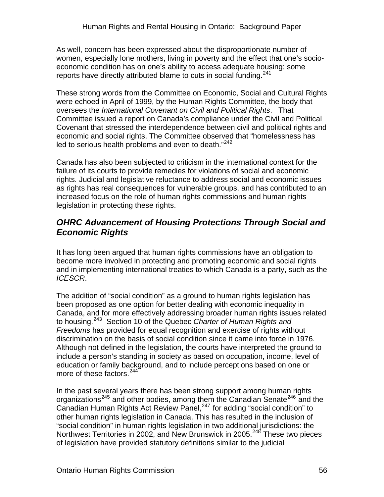As well, concern has been expressed about the disproportionate number of women, especially lone mothers, living in poverty and the effect that one's socioeconomic condition has on one's ability to access adequate housing; some reports have directly attributed blame to cuts in social funding.<sup>[241](#page-76-0)</sup>

These strong words from the Committee on Economic, Social and Cultural Rights were echoed in April of 1999, by the Human Rights Committee, the body that oversees the *International Covenant on Civil and Political Rights*. That Committee issued a report on Canada's compliance under the Civil and Political Covenant that stressed the interdependence between civil and political rights and economic and social rights. The Committee observed that "homelessness has led to serious health problems and even to death."<sup>[242](#page-76-0)</sup>

Canada has also been subjected to criticism in the international context for the failure of its courts to provide remedies for violations of social and economic rights. Judicial and legislative reluctance to address social and economic issues as rights has real consequences for vulnerable groups, and has contributed to an increased focus on the role of human rights commissions and human rights legislation in protecting these rights.

#### *OHRC Advancement of Housing Protections Through Social and Economic Rights*

It has long been argued that human rights commissions have an obligation to become more involved in protecting and promoting economic and social rights and in implementing international treaties to which Canada is a party, such as the *ICESCR*.

The addition of "social condition" as a ground to human rights legislation has been proposed as one option for better dealing with economic inequality in Canada, and for more effectively addressing broader human rights issues related to housing.[243](#page-76-0) Section 10 of the Quebec *Charter of Human Rights and Freedoms* has provided for equal recognition and exercise of rights without discrimination on the basis of social condition since it came into force in 1976. Although not defined in the legislation, the courts have interpreted the ground to include a person's standing in society as based on occupation, income, level of education or family background, and to include perceptions based on one or more of these factors.<sup>[244](#page-76-0)</sup>

In the past several years there has been strong support among human rights organizations<sup>[245](#page-76-0)</sup> and other bodies, among them the Canadian Senate<sup>[246](#page-76-0)</sup> and the Canadian Human Rights Act Review Panel,<sup>[247](#page-76-0)</sup> for adding "social condition" to other human rights legislation in Canada. This has resulted in the inclusion of "social condition" in human rights legislation in two additional jurisdictions: the Northwest Territories in 2002, and New Brunswick in 2005.<sup>[248](#page-76-0)</sup> These two pieces of legislation have provided statutory definitions similar to the judicial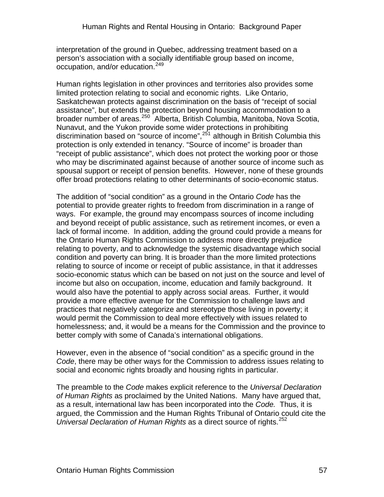interpretation of the ground in Quebec, addressing treatment based on a person's association with a socially identifiable group based on income, occupation, and/or education.<sup>[249](#page-76-0)</sup>

Human rights legislation in other provinces and territories also provides some limited protection relating to social and economic rights. Like Ontario, Saskatchewan protects against discrimination on the basis of "receipt of social assistance", but extends the protection beyond housing accommodation to a broader number of areas.<sup>[250](#page-76-0)</sup> Alberta, British Columbia, Manitoba, Nova Scotia, Nunavut, and the Yukon provide some wider protections in prohibiting discrimination based on "source of income",  $251$  although in British Columbia this protection is only extended in tenancy. "Source of income" is broader than "receipt of public assistance", which does not protect the working poor or those who may be discriminated against because of another source of income such as spousal support or receipt of pension benefits. However, none of these grounds offer broad protections relating to other determinants of socio-economic status.

The addition of "social condition" as a ground in the Ontario *Code* has the potential to provide greater rights to freedom from discrimination in a range of ways. For example, the ground may encompass sources of income including and beyond receipt of public assistance, such as retirement incomes, or even a lack of formal income. In addition, adding the ground could provide a means for the Ontario Human Rights Commission to address more directly prejudice relating to poverty, and to acknowledge the systemic disadvantage which social condition and poverty can bring. It is broader than the more limited protections relating to source of income or receipt of public assistance, in that it addresses socio-economic status which can be based on not just on the source and level of income but also on occupation, income, education and family background. It would also have the potential to apply across social areas. Further, it would provide a more effective avenue for the Commission to challenge laws and practices that negatively categorize and stereotype those living in poverty; it would permit the Commission to deal more effectively with issues related to homelessness; and, it would be a means for the Commission and the province to better comply with some of Canada's international obligations.

However, even in the absence of "social condition" as a specific ground in the *Code*, there may be other ways for the Commission to address issues relating to social and economic rights broadly and housing rights in particular.

The preamble to the *Code* makes explicit reference to the *Universal Declaration of Human Rights* as proclaimed by the United Nations. Many have argued that, as a result, international law has been incorporated into the *Code.* Thus, it is argued, the Commission and the Human Rights Tribunal of Ontario could cite the *Universal Declaration of Human Rights as a direct source of rights.*<sup>[252](#page-76-0)</sup>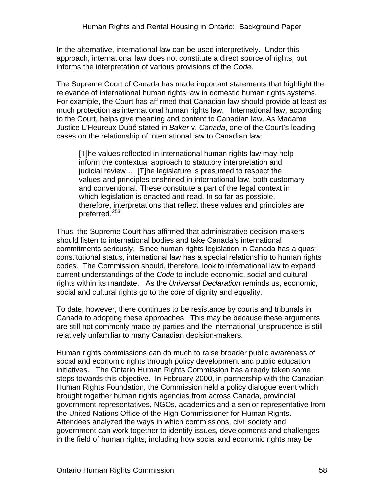In the alternative, international law can be used interpretively. Under this approach, international law does not constitute a direct source of rights, but informs the interpretation of various provisions of the *Code*.

The Supreme Court of Canada has made important statements that highlight the relevance of international human rights law in domestic human rights systems. For example, the Court has affirmed that Canadian law should provide at least as much protection as international human rights law. International law, according to the Court, helps give meaning and content to Canadian law. As Madame Justice L'Heureux-Dubé stated in *Baker* v. *Canada*, one of the Court's leading cases on the relationship of international law to Canadian law:

[T]he values reflected in international human rights law may help inform the contextual approach to statutory interpretation and judicial review… [T]he legislature is presumed to respect the values and principles enshrined in international law, both customary and conventional. These constitute a part of the legal context in which legislation is enacted and read. In so far as possible, therefore, interpretations that reflect these values and principles are preferred.<sup>[253](#page-76-0)</sup>

Thus, the Supreme Court has affirmed that administrative decision-makers should listen to international bodies and take Canada's international commitments seriously. Since human rights legislation in Canada has a quasiconstitutional status, international law has a special relationship to human rights codes. The Commission should, therefore, look to international law to expand current understandings of the *Code* to include economic, social and cultural rights within its mandate. As the *Universal Declaration* reminds us, economic, social and cultural rights go to the core of dignity and equality.

To date, however, there continues to be resistance by courts and tribunals in Canada to adopting these approaches. This may be because these arguments are still not commonly made by parties and the international jurisprudence is still relatively unfamiliar to many Canadian decision-makers.

Human rights commissions can do much to raise broader public awareness of social and economic rights through policy development and public education initiatives. The Ontario Human Rights Commission has already taken some steps towards this objective. In February 2000, in partnership with the Canadian Human Rights Foundation, the Commission held a policy dialogue event which brought together human rights agencies from across Canada, provincial government representatives, NGOs, academics and a senior representative from the United Nations Office of the High Commissioner for Human Rights. Attendees analyzed the ways in which commissions, civil society and government can work together to identify issues, developments and challenges in the field of human rights, including how social and economic rights may be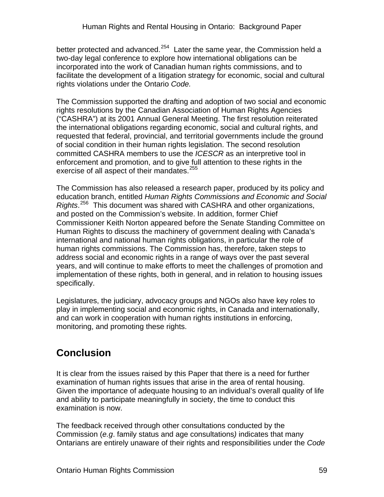better protected and advanced.<sup>[254](#page-76-0)</sup> Later the same year, the Commission held a two-day legal conference to explore how international obligations can be incorporated into the work of Canadian human rights commissions, and to facilitate the development of a litigation strategy for economic, social and cultural rights violations under the Ontario *Code.* 

The Commission supported the drafting and adoption of two social and economic rights resolutions by the Canadian Association of Human Rights Agencies ("CASHRA") at its 2001 Annual General Meeting. The first resolution reiterated the international obligations regarding economic, social and cultural rights, and requested that federal, provincial, and territorial governments include the ground of social condition in their human rights legislation. The second resolution committed CASHRA members to use the *ICESCR* as an interpretive tool in enforcement and promotion, and to give full attention to these rights in the exercise of all aspect of their mandates.<sup>[255](#page-76-0)</sup>

The Commission has also released a research paper, produced by its policy and education branch, entitled *Human Rights Commissions and Economic and Social Rights*. [256](#page-76-0) This document was shared with CASHRA and other organizations, and posted on the Commission's website. In addition, former Chief Commissioner Keith Norton appeared before the Senate Standing Committee on Human Rights to discuss the machinery of government dealing with Canada's international and national human rights obligations, in particular the role of human rights commissions. The Commission has, therefore, taken steps to address social and economic rights in a range of ways over the past several years, and will continue to make efforts to meet the challenges of promotion and implementation of these rights, both in general, and in relation to housing issues specifically.

Legislatures, the judiciary, advocacy groups and NGOs also have key roles to play in implementing social and economic rights, in Canada and internationally, and can work in cooperation with human rights institutions in enforcing, monitoring, and promoting these rights.

# **Conclusion**

It is clear from the issues raised by this Paper that there is a need for further examination of human rights issues that arise in the area of rental housing. Given the importance of adequate housing to an individual's overall quality of life and ability to participate meaningfully in society, the time to conduct this examination is now.

The feedback received through other consultations conducted by the Commission (*e.g*. family status and age consultations*)* indicates that many Ontarians are entirely unaware of their rights and responsibilities under the *Code*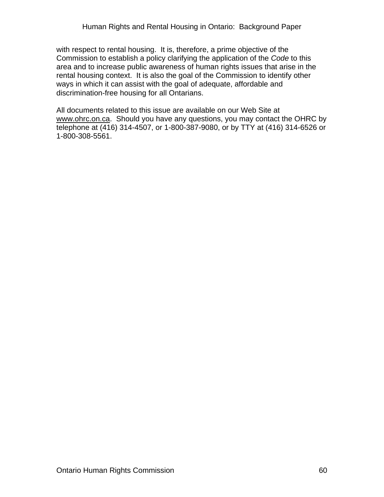with respect to rental housing. It is, therefore, a prime objective of the Commission to establish a policy clarifying the application of the *Code* to this area and to increase public awareness of human rights issues that arise in the rental housing context. It is also the goal of the Commission to identify other ways in which it can assist with the goal of adequate, affordable and discrimination-free housing for all Ontarians.

All documents related to this issue are available on our Web Site at www.ohrc.on.ca. Should you have any questions, you may contact the OHRC by telephone at (416) 314-4507, or 1-800-387-9080, or by TTY at (416) 314-6526 or 1-800-308-5561.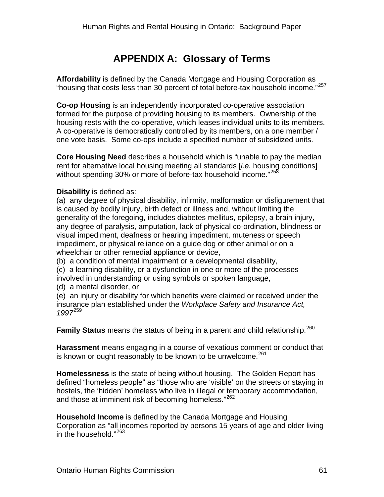## **APPENDIX A: Glossary of Terms**

**Affordability** is defined by the Canada Mortgage and Housing Corporation as "housing that costs less than 30 percent of total before-tax household income."[257](#page-76-0)

**Co-op Housing** is an independently incorporated co-operative association formed for the purpose of providing housing to its members. Ownership of the housing rests with the co-operative, which leases individual units to its members. A co-operative is democratically controlled by its members, on a one member / one vote basis. Some co-ops include a specified number of subsidized units.

**Core Housing Need** describes a household which is "unable to pay the median rent for alternative local housing meeting all standards [*i.e.* housing conditions] without spending 30% or more of before-tax household income."<sup>[258](#page-76-0)</sup>

#### **Disability** is defined as:

(a) any degree of physical disability, infirmity, malformation or disfigurement that is caused by bodily injury, birth defect or illness and, without limiting the generality of the foregoing, includes diabetes mellitus, epilepsy, a brain injury, any degree of paralysis, amputation, lack of physical co-ordination, blindness or visual impediment, deafness or hearing impediment, muteness or speech impediment, or physical reliance on a guide dog or other animal or on a wheelchair or other remedial appliance or device,

(b) a condition of mental impairment or a developmental disability,

(c) a learning disability, or a dysfunction in one or more of the processes involved in understanding or using symbols or spoken language,

(d) a mental disorder, or

(e) an injury or disability for which benefits were claimed or received under the insurance plan established under the *Workplace Safety and Insurance Act, 1997*[259](#page-76-0)

**Family Status** means the status of being in a parent and child relationship.<sup>[260](#page-76-0)</sup>

**Harassment** means engaging in a course of vexatious comment or conduct that is known or ought reasonably to be known to be unwelcome. $^{261}$  $^{261}$  $^{261}$ 

**Homelessness** is the state of being without housing. The Golden Report has defined "homeless people" as "those who are 'visible' on the streets or staying in hostels, the 'hidden' homeless who live in illegal or temporary accommodation, and those at imminent risk of becoming homeless."<sup>[262](#page-76-0)</sup>

**Household Income** is defined by the Canada Mortgage and Housing Corporation as "all incomes reported by persons 15 years of age and older living in the household."<sup>[263](#page-76-0)</sup>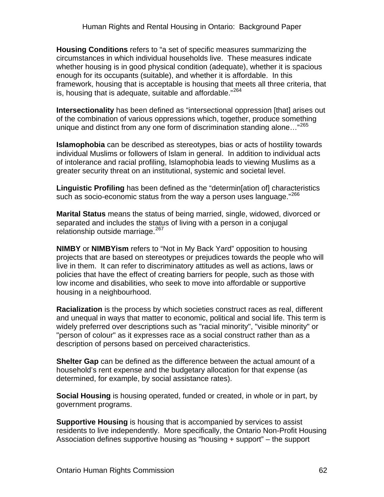**Housing Conditions** refers to "a set of specific measures summarizing the circumstances in which individual households live. These measures indicate whether housing is in good physical condition (adequate), whether it is spacious enough for its occupants (suitable), and whether it is affordable. In this framework, housing that is acceptable is housing that meets all three criteria, that is, housing that is adequate, suitable and affordable."<sup>[264](#page-76-0)</sup>

**Intersectionality** has been defined as "intersectional oppression [that] arises out of the combination of various oppressions which, together, produce something unique and distinct from any one form of discrimination standing alone..."<sup>[265](#page-76-0)</sup>

**Islamophobia** can be described as stereotypes, bias or acts of hostility towards individual Muslims or followers of Islam in general. In addition to individual acts of intolerance and racial profiling, Islamophobia leads to viewing Muslims as a greater security threat on an institutional, systemic and societal level.

**Linguistic Profiling** has been defined as the "determin[ation of] characteristics such as socio-economic status from the way a person uses language."<sup>[266](#page-76-0)</sup>

**Marital Status** means the status of being married, single, widowed, divorced or separated and includes the status of living with a person in a conjugal relationship outside marriage.<sup>[267](#page-76-0)</sup>

**NIMBY** or **NIMBYism** refers to "Not in My Back Yard" opposition to housing projects that are based on stereotypes or prejudices towards the people who will live in them. It can refer to discriminatory attitudes as well as actions, laws or policies that have the effect of creating barriers for people, such as those with low income and disabilities, who seek to move into affordable or supportive housing in a neighbourhood.

**Racialization** is the process by which societies construct races as real, different and unequal in ways that matter to economic, political and social life. This term is widely preferred over descriptions such as "racial minority", "visible minority" or "person of colour" as it expresses race as a social construct rather than as a description of persons based on perceived characteristics.

**Shelter Gap** can be defined as the difference between the actual amount of a household's rent expense and the budgetary allocation for that expense (as determined, for example, by social assistance rates).

**Social Housing** is housing operated, funded or created, in whole or in part, by government programs.

**Supportive Housing** is housing that is accompanied by services to assist residents to live independently. More specifically, the Ontario Non-Profit Housing Association defines supportive housing as "housing + support" – the support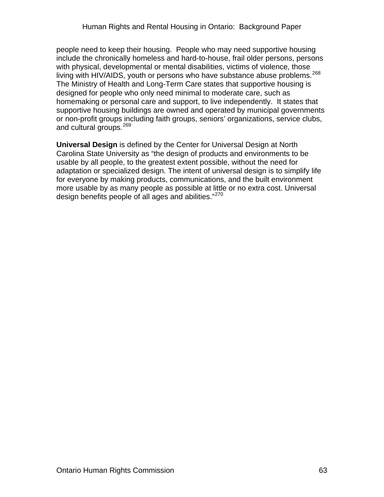people need to keep their housing. People who may need supportive housing include the chronically homeless and hard-to-house, frail older persons, persons with physical, developmental or mental disabilities, victims of violence, those living with HIV/AIDS, youth or persons who have substance abuse problems.<sup>[268](#page-76-0)</sup> The Ministry of Health and Long-Term Care states that supportive housing is designed for people who only need minimal to moderate care, such as homemaking or personal care and support, to live independently. It states that supportive housing buildings are owned and operated by municipal governments or non-profit groups including faith groups, seniors' organizations, service clubs, and cultural groups.<sup>[269](#page-76-0)</sup>

**Universal Design** is defined by the Center for Universal Design at North Carolina State University as "the design of products and environments to be usable by all people, to the greatest extent possible, without the need for adaptation or specialized design. The intent of universal design is to simplify life for everyone by making products, communications, and the built environment more usable by as many people as possible at little or no extra cost. Universal design benefits people of all ages and abilities."<sup>[270](#page-76-0)</sup>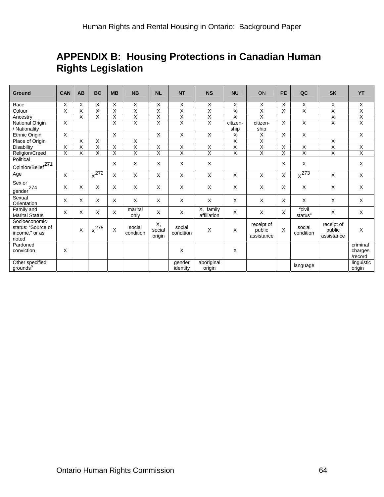### **APPENDIX B: Housing Protections in Canadian Human Rights Legislation**

| <b>Ground</b>                                                  | CAN                     | <b>AB</b>               | <b>BC</b>               | <b>MB</b>               | <b>NB</b>               | <b>NL</b>               | <b>NT</b>               | <b>NS</b>                | <b>NU</b>               | ON                                 | <b>PE</b>               | QC                      | <b>SK</b>                          | <b>YT</b>                      |
|----------------------------------------------------------------|-------------------------|-------------------------|-------------------------|-------------------------|-------------------------|-------------------------|-------------------------|--------------------------|-------------------------|------------------------------------|-------------------------|-------------------------|------------------------------------|--------------------------------|
| Race                                                           | X                       | X                       | Χ                       | X                       | X                       | X                       | X                       | X                        | Χ                       | X                                  | X                       | Χ                       | Χ                                  | X                              |
| Colour                                                         | $\overline{\mathsf{x}}$ | $\overline{\mathsf{x}}$ | Χ                       | $\overline{\mathsf{x}}$ | $\overline{\mathsf{x}}$ | $\overline{\mathsf{x}}$ | $\overline{\mathsf{x}}$ | $\overline{\mathsf{x}}$  | $\overline{\mathsf{x}}$ | $\overline{\mathsf{x}}$            | Χ                       | $\overline{\mathsf{x}}$ | $\overline{\mathsf{x}}$            | Χ                              |
| Ancestry                                                       |                         | $\overline{\mathsf{x}}$ | Χ                       | Χ                       | $\overline{\mathsf{x}}$ | Χ                       | $\overline{\mathsf{x}}$ | X                        | X                       | $\overline{\mathsf{x}}$            |                         |                         | X                                  | $\overline{X}$                 |
| National Origin<br>/ Nationality                               | $\sf X$                 |                         |                         | X                       | $\overline{\mathsf{x}}$ | X                       | Χ                       | $\overline{\mathsf{x}}$  | citizen-<br>ship        | citizen-<br>ship                   | $\mathsf{X}$            | X                       | Χ                                  | $\overline{X}$                 |
| Ethnic Origin                                                  | X                       |                         |                         | X                       |                         | $\overline{X}$          | $\overline{X}$          | $\overline{X}$           | X                       | $\overline{x}$                     | $\overline{\mathsf{x}}$ | χ                       |                                    | $\overline{X}$                 |
| Place of Origin                                                |                         | $\overline{X}$          | Χ                       |                         | X                       |                         |                         |                          | $\overline{\mathsf{x}}$ | $\overline{\mathsf{x}}$            |                         |                         | X                                  |                                |
| Disability                                                     | $\overline{\mathsf{x}}$ | $\overline{X}$          | $\overline{\mathsf{x}}$ | $\times$                | $\overline{\mathsf{x}}$ | X                       | X                       | $\overline{\mathsf{x}}$  | Χ                       | $\overline{\mathsf{x}}$            | $\overline{X}$          | X                       | Χ                                  | $\overline{\mathsf{x}}$        |
| Religion/Creed                                                 | X                       | X                       | X                       | X                       | X                       | X                       | X                       | X                        | $\overline{X}$          | $\overline{\mathsf{x}}$            | $\mathsf{X}$            | X                       | Χ                                  | X                              |
| Political                                                      |                         |                         |                         | X                       | X                       | X                       | X                       | X                        |                         |                                    | $\mathsf{X}$            | X                       |                                    | X                              |
| Opinion/Belief <sup>271</sup>                                  |                         |                         |                         |                         |                         |                         |                         |                          |                         |                                    |                         |                         |                                    |                                |
| Age                                                            | $\times$                |                         | $x^{272}$               | X                       | $\times$                | X                       | X                       | $\sf X$                  | X                       | X                                  | $\mathsf X$             | $x^{273}$               | X                                  | $\mathsf X$                    |
| Sex or<br>274<br>gender                                        | X                       | X                       | X                       | X                       | $\times$                | X                       | X                       | X                        | X                       | X                                  | $\mathsf{X}$            | X                       | X                                  | X                              |
| Sexual<br>Orientation                                          | X                       | X                       | X                       | X                       | $\times$                | $\times$                | X                       | $\sf X$                  | X                       | X                                  | X                       | X                       | X                                  | X                              |
| Family and<br><b>Marital Status</b>                            | X                       | X                       | X                       | X                       | marital<br>only         | X                       | X                       | X, family<br>affiliation | X                       | X                                  | $\mathsf X$             | "civil<br>status"       | X                                  | X                              |
| Socioeconomic<br>status: "Source of<br>income," or as<br>noted |                         | X                       | $\chi^{275}$            | X                       | social<br>condition     | Χ,<br>social<br>origin  | social<br>condition     | X                        | X                       | receipt of<br>public<br>assistance | $\mathsf{X}$            | social<br>condition     | receipt of<br>public<br>assistance | X                              |
| Pardoned<br>conviction                                         | X                       |                         |                         |                         |                         |                         | X                       |                          | X                       |                                    |                         |                         |                                    | criminal<br>charges<br>/record |
| Other specified<br>grounds <sup>5</sup>                        |                         |                         |                         |                         |                         |                         | gender<br>identity      | aboriginal<br>origin     |                         |                                    |                         | language                |                                    | linguistic<br>origin           |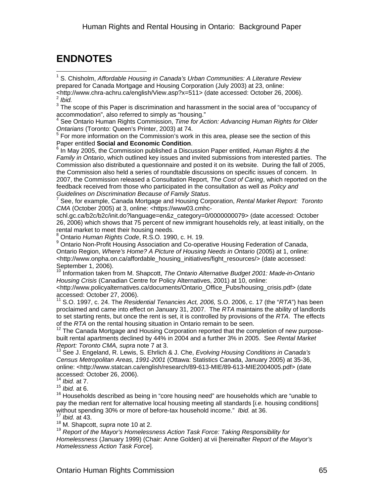## **ENDNOTES**

 $\overline{a}$ 1 S. Chisholm, *Affordable Housing in Canada's Urban Communities: A Literature Review* prepared for Canada Mortgage and Housing Corporation (July 2003) at 23, online: <http://www.chra-achru.ca/english/View.asp?x=511> (date accessed: October 26, 2006). 2 *Ibid.* 

 $3$  The scope of this Paper is discrimination and harassment in the social area of "occupancy of accommodation", also referred to simply as "housing."

4 See Ontario Human Rights Commission, *Time for Action: Advancing Human Rights for Older* 

*Ontarians* (Toronto: Queen's Printer, 2003) at 74. 5 For more information on the Commission's work in this area, please see the section of this Paper entitled **Social and Economic Condition**. 6

<sup>6</sup> In May 2005, the Commission published a Discussion Paper entitled, *Human Rights & the Family in Ontario*, which outlined key issues and invited submissions from interested parties. The Commission also distributed a questionnaire and posted it on its website. During the fall of 2005, the Commission also held a series of roundtable discussions on specific issues of concern. In 2007, the Commission released a Consultation Report, *The Cost of Caring*, which reported on the feedback received from those who participated in the consultation as well as *Policy and Guidelines on Discrimination Because of Family Status*. <sup>7</sup>

 See, for example, Canada Mortgage and Housing Corporation, *Rental Market Report: Toronto CMA* (October 2005) at 3, online: <https://www03.cmhc-

schl.gc.ca/b2c/b2c/init.do?language=en&z\_category=0/0000000079> (date accessed: October 26, 2006) which shows that 75 percent of new immigrant households rely, at least initially, on the rental market to meet their housing needs.

8 Ontario *Human Rights Code*, R.S.O. 1990, c. H. 19.

<sup>9</sup> Ontario Non-Profit Housing Association and Co-operative Housing Federation of Canada, Ontario Region, *Where's Home? A Picture of Housing Needs in Ontario* (2005) at 1, online: <http://www.onpha.on.ca/affordable\_housing\_initiatives/fight\_resources/> (date accessed: September 1, 2006).

10 Information taken from M. Shapcott, *The Ontario Alternative Budget 2001: Made-in-Ontario Housing Crisis* (Canadian Centre for Policy Alternatives, 2001) at 10, online:

<http://www.policyalternatives.ca/documents/Ontario\_Office\_Pubs/housing\_crisis.pdf> (date accessed: October 27, 2006).

11 S.O. 1997, c. 24. The *Residential Tenancies Act, 2006,* S.O. 2006, c. 17 (the "*RTA*") has been proclaimed and came into effect on January 31, 2007. The *RTA* maintains the ability of landlords to set starting rents, but once the rent is set, it is controlled by provisions of the *RTA*. The effects

of the *RTA* on the rental housing situation in Ontario remain to be seen.<br><sup>12</sup> The Canada Mortgage and Housing Corporation reported that the completion of new purposebuilt rental apartments declined by 44% in 2004 and a further 3% in 2005. See *Rental Market Report: Toronto CMA, supra* note 7 at 3.

13 See J. Engeland, R. Lewis, S. Ehrlich & J. Che, *Evolving Housing Conditions in Canada's Census Metropolitan Areas, 1991-2001* (Ottawa: Statistics Canada, January 2005) at 35-36, online: <http://www.statcan.ca/english/research/89-613-MIE/89-613-MIE2004005.pdf> (date accessed: October 26, 2006).

<sup>14</sup> *Ibid.* at 7.

<sup>15</sup> *Ibid.* at 6.

 $16$  Households described as being in "core housing need" are households which are "unable to pay the median rent for alternative local housing meeting all standards [*i.e.* housing conditions] without spending 30% or more of before-tax household income." *Ibid.* at 36.

*Ibid.* at 43.

18 M. Shapcott, *supra* note 10 at 2.

<sup>19</sup> *Report of the Mayor's Homelessness Action Task Force: Taking Responsibility for Homelessness* (January 1999) (Chair: Anne Golden) at vii [hereinafter *Report of the Mayor's Homelessness Action Task Force*].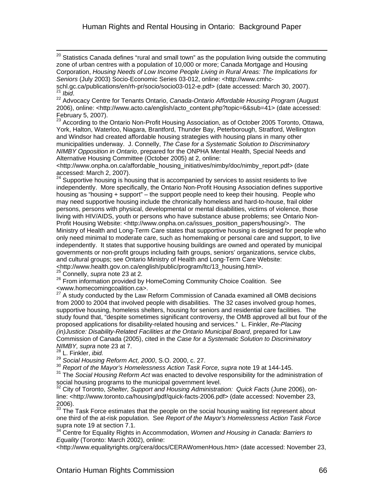$^{20}$  Statistics Canada defines "rural and small town" as the population living outside the commuting zone of urban centres with a population of 10,000 or more; Canada Mortgage and Housing Corporation, *Housing Needs of Low Income People Living in Rural Areas: The Implications for Seniors* (July 2003) Socio-Economic Series 03-012, online: <http://www.cmhcschl.gc.ca/publications/en/rh-pr/socio/socio03-012-e.pdf> (date accessed: March 30, 2007).<br><sup>21</sup> *Ibid.*<br><sup>22</sup> Advocacy Centre for Tenants Ontario, *Canada-Ontario Affordable Housing Program* (August

2006), online: <http://www.acto.ca/english/acto\_content.php?topic=6&sub=41> (date accessed: February 5, 2007).

<sup>23</sup> According to the Ontario Non-Profit Housing Association, as of October 2005 Toronto, Ottawa, York, Halton, Waterloo, Niagara, Brantford, Thunder Bay, Peterborough, Stratford, Wellington and Windsor had created affordable housing strategies with housing plans in many other municipalities underway. J. Connelly, *The Case for a Systematic Solution to Discriminatory NIMBY Opposition in Ontario*, prepared for the ONPHA Mental Health, Special Needs and Alternative Housing Committee (October 2005) at 2, online:

<http://www.onpha.on.ca/affordable\_housing\_initiatives/nimby/doc/nimby\_report.pdf> (date accessed: March 2, 2007).

 $24$  Supportive housing is housing that is accompanied by services to assist residents to live independently. More specifically, the Ontario Non-Profit Housing Association defines supportive housing as "housing + support" – the support people need to keep their housing. People who may need supportive housing include the chronically homeless and hard-to-house, frail older persons, persons with physical, developmental or mental disabilities, victims of violence, those living with HIV/AIDS, youth or persons who have substance abuse problems; see Ontario Non-Profit Housing Website: <http://www.onpha.on.ca/issues\_position\_papers/housing/>. The Ministry of Health and Long-Term Care states that supportive housing is designed for people who only need minimal to moderate care, such as homemaking or personal care and support, to live independently. It states that supportive housing buildings are owned and operated by municipal governments or non-profit groups including faith groups, seniors' organizations, service clubs, and cultural groups; see Ontario Ministry of Health and Long-Term Care Website:<br><http://www.health.gov.on.ca/english/public/program/ltc/13 housing.html>.

25 Connelly, *supra* note 23 at 2.<br><sup>26</sup> From information provided by HomeComing Community Choice Coalition. See <www.homecomingcoalition.ca>.

 $27$  A study conducted by the Law Reform Commission of Canada examined all OMB decisions from 2000 to 2004 that involved people with disabilities. The 32 cases involved group homes, supportive housing, homeless shelters, housing for seniors and residential care facilities. The study found that, "despite sometimes significant controversy, the OMB approved all but four of the proposed applications for disability-related housing and services." L. Finkler, *Re-Placing (in)Justice: Disability-Related Facilities at the Ontario Municipal Board*, prepared for Law Commission of Canada (2005), cited in the *Case for a Systematic Solution to Discriminatory NIMBY, supra* note 23 at 7.

28 L. Finkler, *ibid.* 

 $\overline{a}$ 

<sup>29</sup> *Social Housing Reform Act, 2000*, S.O. 2000, c. 27.

<sup>30</sup> Report of the Mayor's Homelessness Action Task Force, supra note 19 at 144-145.

<sup>31</sup> The *Social Housing Reform Act* was enacted to devolve responsibility for the administration of social housing programs to the municipal government level.

32 City of Toronto, *Shelter, Support and Housing Administration: Quick Facts* (June 2006), online: <http://www.toronto.ca/housing/pdf/quick-facts-2006.pdf> (date accessed: November 23, 2006).

 $33$  The Task Force estimates that the people on the social housing waiting list represent about one third of the at-risk population. See *Report of the Mayor's Homelessness Action Task Force* supra note 19 at section 7.1.

34 Centre for Equality Rights in Accommodation, *Women and Housing in Canada: Barriers to Equality* (Toronto: March 2002), online:

<http://www.equalityrights.org/cera/docs/CERAWomenHous.htm> (date accessed: November 23,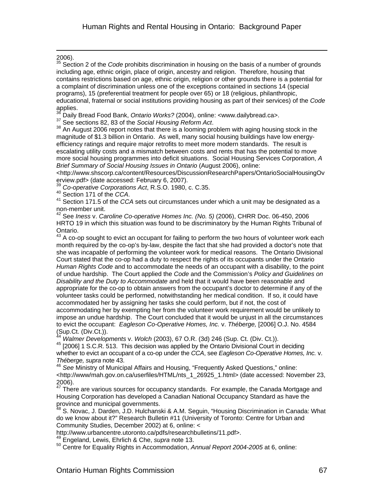$^{2006}_{35}$ .

 $\overline{a}$ 

35 Section 2 of the *Code* prohibits discrimination in housing on the basis of a number of grounds including age, ethnic origin, place of origin, ancestry and religion. Therefore, housing that contains restrictions based on age, ethnic origin, religion or other grounds there is a potential for a complaint of discrimination unless one of the exceptions contained in sections 14 (special programs), 15 (preferential treatment for people over 65) or 18 (religious, philanthropic, educational, fraternal or social institutions providing housing as part of their services) of the *Code*

applies.<br><sup>36</sup> Daily Bread Food Bank, *Ontario Works?* (2004), online: <www.dailybread.ca>.

<sup>37</sup> See sections 82, 83 of the *Social Housing Reform Act.*<br><sup>37</sup> See sections 82, 83 of the *Social Housing Reform Act.*<br><sup>38</sup> An August 2006 report notes that there is a looming problem with aging housing stock in the magnitude of \$1.3 billion in Ontario. As well, many social housing buildings have low energyefficiency ratings and require major retrofits to meet more modern standards. The result is escalating utility costs and a mismatch between costs and rents that has the potential to move more social housing programmes into deficit situations. Social Housing Services Corporation, *A Brief Summary of Social Housing Issues in Ontario* (August 2006), online:

<http://www.shscorp.ca/content/Resources/DiscussionResearchPapers/OntarioSocialHousingOv erview.pdf> (date accessed: February 6, 2007).

<sup>39</sup> *Co-operative Corporations Act*, R.S.O. 1980, c. C.35.<br><sup>40</sup> Section 171 of the CCA.

<sup>41</sup> Section 171.5 of the *CCA* sets out circumstances under which a unit may be designated as a non-member unit.

42 See *Iness* v. *Caroline Co-operative Homes Inc. (No. 5)* (2006), CHRR Doc. 06-450, 2006 HRTO 19 in which this situation was found to be discriminatory by the Human Rights Tribunal of Ontario.

A co-op sought to evict an occupant for failing to perform the two hours of volunteer work each month required by the co-op's by-law, despite the fact that she had provided a doctor's note that she was incapable of performing the volunteer work for medical reasons. The Ontario Divisional Court stated that the co-op had a duty to respect the rights of its occupants under the Ontario *Human Rights Code* and to accommodate the needs of an occupant with a disability, to the point of undue hardship. The Court applied the *Code* and the Commission's *Policy and Guidelines on Disability and the Duty to Accommodate* and held that it would have been reasonable and appropriate for the co-op to obtain answers from the occupant's doctor to determine if any of the volunteer tasks could be performed, notwithstanding her medical condition. If so, it could have accommodated her by assigning her tasks she could perform, but if not, the cost of accommodating her by exempting her from the volunteer work requirement would be unlikely to impose an undue hardship. The Court concluded that it would be unjust in all the circumstances to evict the occupant: *Eagleson Co-Operative Homes, Inc.* v. *Théberge,* [2006] O.J. No. 4584 (Sup.Ct. (Div.Ct.)).<br><sup>44</sup> Walmer Developments v. Wolch (2003), 67 O.R. (3d) 246 (Sup. Ct. (Div. Ct.)).

<sup>44</sup> *Walmer Developments* v. *Wolch* (2003), 67 O.R. (3d) 246 (Sup. Ct. (Div. Ct.)). 45 [2006] 1 S.C.R. 513. This decision was applied by the Ontario Divisional Court in deciding whether to evict an occupant of a co-op under the *CCA*, see *Eagleson Co-Operative Homes, Inc.* v. *Théberge, supra* note 43.

<sup>46</sup> *See* Ministry of Municipal Affairs and Housing, "Frequently Asked Questions," online: <http://www/mah.gov.on.ca/userfiles/HTML/nts\_1\_26925\_1.html> (date accessed: November 23, 2006).

 $47$  There are various sources for occupancy standards. For example, the Canada Mortgage and Housing Corporation has developed a Canadian National Occupancy Standard as have the province and municipal governments.

<sup>48</sup> S. Novac, J. Darden, J.D. Hulchanski & A.M. Seguin, "Housing Discrimination in Canada: What do we know about it?" Research Bulletin #11 (University of Toronto: Centre for Urban and Community Studies, December 2002) at 6, online: <

http://www.urbancentre.utoronto.ca/pdfs/researchbulletins/11.pdf>.<br><sup>49</sup> Engeland, Lewis, Ehrlich & Che, *supra* note 13.

50 Centre for Equality Rights in Accommodation, *Annual Report 2004-2005* at 6, online: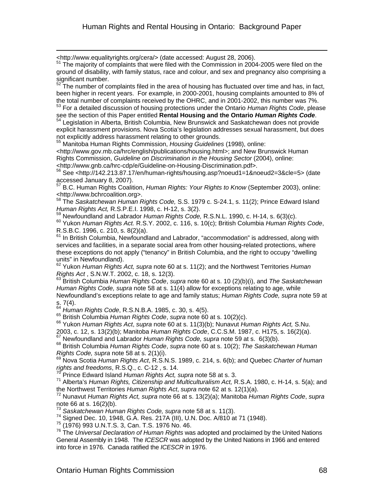<http://www.equalityrights.org/cera/> (date accessed: August 28, 2006).

The majority of complaints that were filed with the Commission in 2004-2005 were filed on the ground of disability, with family status, race and colour, and sex and pregnancy also comprising a significant number.

The number of complaints filed in the area of housing has fluctuated over time and has, in fact, been higher in recent years. For example, in 2000-2001, housing complaints amounted to 8% of the total number of complaints received by the OHRC, and in 2001-2002, this number was 7%.

53 For a detailed discussion of housing protections under the Ontario *Human Rights Code*, please see the section of this Paper entitled **Rental Housing and the Ontario** *Human Rights Code*. 54 Legislation in Alberta, British Columbia, New Brunswick and Saskatchewan does not provide

explicit harassment provisions. Nova Scotia's legislation addresses sexual harassment, but does not explicitly address harassment relating to other grounds. 55 Manitoba Human Rights Commission, *Housing Guidelines* (1998), online:

<http://www.gov.mb.ca/hrc/english/publications/housing.html>; and New Brunswick Human Rights Commission, *Guideline on Discrimination in the Housing Sector* (2004), online: <http://www.gnb.ca/hrc-cdp/e/Guideline-on-Housing-Discrimination.pdf>. 56 See <http://142.213.87.17/en/human-rights/housing.asp?noeud1=1&noeud2=3&cle=5> (date

accessed January 8, 2007).

57 B.C. Human Rights Coalition, *Human Rights: Your Rights to Know* (September 2003), online: <http://www.bchrcoalition.org>.

58 The *Saskatchewan Human Rights Code,* S.S. 1979 c. S-24.1, s. 11(2); Prince Edward Island

Human Rights Act, R.S.P.E.I. 1998, c. H-12, s. 3(2).<br><sup>59</sup> Newfoundland and Labrador *Human Rights Code, R.S.N.L.* 1990, c. H-14, s. 6(3)(c).<br><sup>60</sup> Yukon *Human Rights Act. R.S.Y.* 2002, c. 116, s. 10(c); British Columbia

In British Columbia, Newfoundland and Labrador, "accommodation" is addressed, along with services and facilities, in a separate social area from other housing-related protections, where these exceptions do not apply ("tenancy" in British Columbia, and the right to occupy "dwelling units" in Newfoundland).

62 Yukon *Human Rights Act, supra* note 60 at s. 11(2); and the Northwest Territories *Human Rights Act*, S.N.W.T. 2002, c. 18, s. 12(3).<br><sup>63</sup> British Columbia *Human Rights Code, supra* note 60 at s. 10 (2)(b)(i), and *The Saskatchewan* 

*Human Rights Code, supra* note 58 at s. 11(4) allow for exceptions relating to age, while Newfoundland's exceptions relate to age and family status; *Human Rights Code, supra* note 59 at

s. 7(4).<br><sup>64</sup> Human Rights Code, R.S.N.B.A. 1985, c. 30, s. 4(5).

<sup>65</sup> British Columbia Human Rights Code, supra note 60 at s. 10(2)(c).<br><sup>66</sup> Yukon Human Rights Act, supra note 60 at s. 11(3)(b); Nunavut Human Rights Act, S.Nu.<br>2003, c. 12, s. 13(2)(b); Manitoba Human Rights Code, C.C.S

<sup>67</sup> Newfoundland and Labrador *Human Rights Code, supra* note 59 at s. 6(3)(b).<br><sup>68</sup> British Columbia *Human Rights Code, supra* note 60 at s. 10(2); The Saskatchewan Human

*Rights Code, supra* note 58 at s. 2(1)(i).<br><sup>69</sup> Nova Scotia *Human Rights Act*, R.S.N.S. 1989, c. 214, s. 6(b); and Quebec *Charter of human rights and freedoms*, R.S.Q., c. C-12 , s. 14.

70 Prince Edward Island *Human Rights Act, supra* note 58 at s. 3.

71 Alberta's *Human Rights, Citizenship and Multiculturalism Act,* R.S.A. 1980, c. H-14, s. 5(a); and the Northwest Territories *Human Rights Act*, *supra* note 62 at s. 12(1)(a).<br><sup>72</sup> Nunavut *Human Rights Act, supra* note 66 at s. 13(2)(a); Manitoba *Human Rights Code, supra* 

note 66 at s. 16(2)(b).<br><sup>73</sup> Saskatchewan Human Rights Code, supra note 58 at s. 11(3).

<sup>74</sup> Signed Dec. 10, 1948, G.A. Res. 217A (III), U.N. Doc. A/810 at 71 (1948).<br><sup>75</sup> (1976) 993 U.N.T.S. 3, Can. T.S. 1976 No. 46.<br><sup>75</sup> The *Universal Declaration of Human Rights* was adopted and proclaimed by the United N General Assembly in 1948. The *ICESCR* was adopted by the United Nations in 1966 and entered into force in 1976. Canada ratified the *ICESCR* in 1976.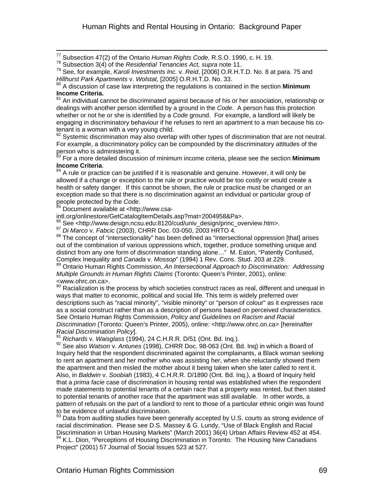77 Subsection 47(2) of the Ontario *Human Rights Code*, R.S.O. 1990, c. H. 19.

78 Subsection 3(4) of the *Residential Tenancies Act, supra* note 11.

79 See, for example, *Karoli Investments Inc.* v. *Reid*, [2006] O.R.H.T.D. No. 8 at para. 75 and *Hillhurst Park Apartments* v. *Wolstat*, [\[2005\] O.R.H.T.D. No. 33.](http://ql.quicklaw.com/servlet/qlwbic.qlwbi?qlsid=C2xtgaenkgquxBsf&qlcid=00003&qlvrb=QL002&RGET=4) 

80 A discussion of case law interpreting the regulations is contained in the section **Minimum Income Criteria.**

<sup>81</sup> An individual cannot be discriminated against because of his or her association, relationship or dealings with another person identified by a ground in the *Code*. A person has this protection whether or not he or she is identified by a *Code* ground. For example, a landlord will likely be engaging in discriminatory behaviour if he refuses to rent an apartment to a man because his cotenant is a woman with a very young child.

 $82$  Systemic discrimination may also overlap with other types of discrimination that are not neutral. For example, a discriminatory policy can be compounded by the discriminatory attitudes of the person who is administering it.

83 For a more detailed discussion of minimum income criteria, please see the section **Minimum Income Criteria**.<br><sup>84</sup> A rule or practice can be justified if it is reasonable and genuine. However, it will only be

allowed if a change or exception to the rule or practice would be too costly or would create a health or safety danger. If this cannot be shown, the rule or practice must be changed or an exception made so that there is no discrimination against an individual or particular group of people protected by the *Code*.<br><sup>85</sup> Document available at <http://www.csa-

 $\overline{a}$ 

intl.org/onlinestore/GetCatalogItemDetails.asp?mat=2004958&Pa>.

 $^{86}$  See <http://www.design.ncsu.edu:8120/cud/univ\_design/princ\_overview.htm>.<br> $^{87}$  Di Marco v. Fabcic (2003), CHRR Doc. 03-050, 2003 HRTO 4.

88 The concept of "intersectionality" has been defined as "intersectional oppression [that] arises out of the combination of various oppressions which, together, produce something unique and distinct from any one form of discrimination standing alone..." M. Eaton, "Patently Confused, Complex Inequality and Canada v. Mossop" (1994) 1 Rev. Cons. Stud. 203 at 229.

<sup>89</sup> Ontario Human Rights Commission, An Intersectional Approach to Discrimination: Addressing *Multiple Grounds in Human Rights Claims* (Toronto: Queen's Printer, 2001), online: <www.ohrc.on.ca>.

90 Racialization is the process by which societies construct races as real, different and unequal in ways that matter to economic, political and social life. This term is widely preferred over descriptions such as "racial minority", "visible minority" or "person of colour" as it expresses race as a social construct rather than as a description of persons based on perceived characteristics. See Ontario Human Rights Commission, *Policy and Guidelines on Racism and Racial Discrimination* (Toronto: Queen's Printer, 2005), online: <http://www.ohrc.on.ca> [hereinafter *Racial Discrimination Policy*].<br><sup>91</sup> *Richards* v. *Waisglass* (1994), 24 C.H.R.R. D/51 (Ont. Bd. Inq.).<br><sup>92</sup> See also *Watson* v. *Antunes* (1998), CHRR Doc. 98-063 (Ont. Bd. Inq) in which a Board of

Inquiry held that the respondent discriminated against the complainants, a Black woman seeking to rent an apartment and her mother who was assisting her, when she reluctantly showed them the apartment and then misled the mother about it being taken when she later called to rent it. Also, in *Baldwin* v. *Soobiah* (1983), 4 C.H.R.R. D/1890 (Ont. Bd. Inq.), a Board of Inquiry held that a *prima facie* case of discrimination in housing rental was established when the respondent made statements to potential tenants of a certain race that a property was rented, but then stated to potential tenants of another race that the apartment was still available. In other words, a pattern of refusals on the part of a landlord to rent to those of a particular ethnic origin was found to be evidence of unlawful discrimination.

 $93$  Data from auditing studies have been generally accepted by U.S. courts as strong evidence of racial discrimination. Please see D.S. Massey & G. Lundy, "Use of Black English and Racial Discrimination in Urban Housing Markets" (March 2001) 36(4) Urban Affairs Review 452 at 454.<br><sup>94</sup> K.L. Dion, "Perceptions of Housing Discrimination in Toronto: The Housing New Canadians Project" (2001) 57 Journal of Social Issues 523 at 527.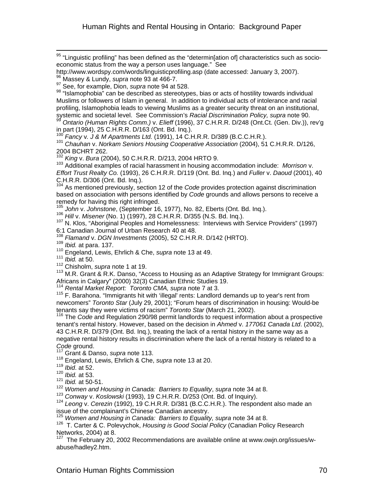$^{95}$  "Linguistic profiling" has been defined as the "determin[ation of] characteristics such as socioeconomic status from the way a person uses language." See

 $98$  "Islamophobia" can be described as stereotypes, bias or acts of hostility towards individual Muslims or followers of Islam in general. In addition to individual acts of intolerance and racial profiling, Islamophobia leads to viewing Muslims as a greater security threat on an institutional, systemic and societal level. See Commission's *Racial Discrimination Policy, supra* note 90.

<sup>99</sup> *Ontario (Human Rights Comm.)* v. *Elieff* (1996), 37 C.H.R.R. D/248 (Ont.Ct. (Gen. Div.)), rev'g in part (1994), 25 C.H.R.R. D/163 (Ont. Bd. Inq.).<br><sup>100</sup> Fancy v. J & M Apartments Ltd. (1991), 14 C.H.R.R. D/389 (B.C.C.H.R.).

<sup>101</sup> Chauhan v. Norkam Seniors Housing Cooperative Association (2004), 51 C.H.R.R. D/126, 2004 BCHRT 262.<br><sup>102</sup> King v. Bura (2004), 50 C.H.R.R. D/213, 2004 HRTO 9.

<sup>103</sup> Additional examples of racial harassment in housing accommodation include: *Morrison* v. *Effort Trust Realty Co.* (1993), 26 C.H.R.R. D/119 (Ont. Bd. Inq.) and *Fuller* v. *Daoud* (2001), 40 C.H.R.R. D/306 (Ont. Bd. Inq.).

<sup>104</sup> As mentioned previously, section 12 of the *Code* provides protection against discrimination based on association with persons identified by *Code* grounds and allows persons to receive a remedy for having this right infringed.<br><sup>105</sup> John v. Johnstone, (September 16, 1977), No. 82, Eberts (Ont. Bd. Inq.).

106 Hill v. Misener (No. 1) (1997), 28 C.H.R.R. D/355 (N.S. Bd. Inq.).<br><sup>107</sup> N. Klos, "Aboriginal Peoples and Homelessness: Interviews with Service Providers" (1997) 6:1 Canadian Journal of Urban Research 40 at 48.<br><sup>108</sup> *Flamand v. DGN Investments* (2005), 52 C.H.R.R. D/142 (HRTO).

<sup>108</sup> *Flamand* v. *DGN Investments* (2005), 52 C.H.R.R. D/142 (HRTO). 109 *Ibid.* at para. 137. 110 Engeland, Lewis, Ehrlich & Che, *supra* note 13 at 49.

<sup>111</sup> *Ibid.* at 50.

 $\overline{a}$ 

112 Chisholm, *supra* note 1 at 19.

113 M.R. Grant & R.K. Danso, "Access to Housing as an Adaptive Strategy for Immigrant Groups: Africans in Calgary" (2000) 32(3) Canadian Ethnic Studies 19.

<sup>114</sup> *Rental Market Report: Toronto CMA, supra* note 7 at 3.

<sup>115</sup> F. Barahona. "Immigrants hit with 'illegal' rents: Landlord demands up to year's rent from newcomers" *Toronto Star* (July 29, 2001); "Forum hears of discrimination in housing: Would-be tenants say they were victims of racism" *Toronto Star* (March 21, 2002).<br><sup>116</sup> The *Code* and Regulation 290/98 permit landlords to request information about a prospective

tenant's rental history. However, based on the decision in *Ahmed* v. *177061 Canada Ltd*. (2002), 43 C.H.R.R. D/379 (Ont. Bd. Inq.), treating the lack of a rental history in the same way as a negative rental history results in discrimination where the lack of a rental history is related to a

*Code* ground. 117 Grant & Danso, *supra* note 113.

118 Engeland, Lewis, Ehrlich & Che, *supra* note 13 at 20.

<sup>119</sup> *Ibid*. at 52.

<sup>120</sup> *Ibid.* at 53.

<sup>121</sup> *Ibid.* at 50-51.

<sup>122</sup> Women and Housing in Canada: Barriers to Equality, *supra* note 34 at 8.<br><sup>123</sup> Conwav v. Koslowski (1993), 19 C.H.R.R. D/253 (Ont. Bd. of Inquiry).

<sup>124</sup> Leong v. *Cerezin* (1992), 19 C.H.R.R. D/381 (B.C.C.H.R.). The respondent also made an issue of the complainant's Chinese Canadian ancestry.

<sup>125</sup> *Women and Housing in Canada: Barriers to Equality, supra* note 34 at 8.

126 T. Carter & C. Polevychok, *Housing is Good Social Policy* (Canadian Policy Research Networks, 2004) at 8.

 $127$  The February 20, 2002 Recommendations are available online at www.owin.org/issues/wabuse/hadley2.htm.

http://www.wordspy.com/words/linguisticprofiling.asp (date accessed: January 3, 2007). 96 Massey & Lundy, *supra* note 93 at 466-7.

<sup>97</sup> See, for example, Dion, *supra* note 94 at 528.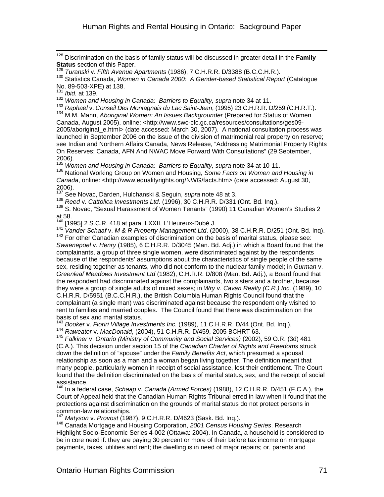128 Discrimination on the basis of family status will be discussed in greater detail in the **Family** 

Status section of this Paper.<br><sup>129</sup> Turanski v. Fifth Avenue Apartments (1986), 7 C.H.R.R. D/3388 (B.C.C.H.R.).<br><sup>130</sup> Statistics Canada, *Women in Canada 2000: A Gender-based Statistical Report* (Catalogue No. 89-503-XPE) at 138.

<sup>131</sup> *Ibid.* at 139.

 $\overline{a}$ 

132 *Women and Housing in Canada: Barriers to Equality, supra* note 34 at 11.

<sup>133</sup> *Raphaël* v. *Conseil Des Montagnais du Lac Saint-Jean*, (1995) 23 C.H.R.R. D/259 (C.H.R.T.). 134 M.M. Mann, *Aboriginal Women: An Issues Backgrounder* (Prepared for Status of Women

Canada, August 2005), online: <http://www.swc-cfc.gc.ca/resources/consultations/ges09- 2005/aboriginal\_e.html> (date accessed: March 30, 2007). A national consultation process was launched in September 2006 on the issue of the division of matrimonial real property on reserve; see Indian and Northern Affairs Canada, News Release, "Addressing Matrimonial Property Rights On Reserves: Canada, AFN And NWAC Move Forward With Consultations" (29 September, 2006).

<sup>135</sup> *Women and Housing in Canada: Barriers to Equality, supra* note 34 at 10-11.

136 National Working Group on Women and Housing, *Some Facts on Women and Housing in Canada*, online: <http://www.equalityrights.org/NWG/facts.htm> (date accessed: August 30, 2006).

<sup>137</sup> See Novac, Darden, Hulchanski & Seguin, *supra* note 48 at 3.<br><sup>138</sup> Reed v. Cattolica Investments Ltd. (1996), 30 C.H.R.R. D/331 (Ont. Bd. Inq.).

<sup>139</sup> S. Novac, "Sexual Harassment of Women Tenants" (1990) 11 Canadian Women's Studies 2 at 58.

 $140$  [1995] 2 S.C.R. 418 at para. LXXII, L'Heureux-Dubé J.

<sup>141</sup> *Vander Schaaf* v. *M & R Property Management Ltd*. (2000), 38 C.H.R.R. D/251 (Ont. Bd. Inq). 142 For other Canadian examples of discrimination on the basis of marital status, please see:

*Swaenepoel* v. *Henry* (1985), 6 C.H.R.R. D/3045 (Man. Bd. Adj.) in which a Board found that the complainants, a group of three single women, were discriminated against by the respondents because of the respondents' assumptions about the characteristics of single people of the same sex, residing together as tenants, who did not conform to the nuclear family model; in *Gurman* v. *Greenleaf Meadows Investment Ltd* (1982), C.H.R.R. D/808 (Man. Bd. Adj.), a Board found that the respondent had discriminated against the complainants, two sisters and a brother, because they were a group of single adults of mixed sexes; in *Wry* v. *Cavan Realty (C.R.) Inc.* (1989), 10 C.H.R.R. D/5951 (B.C.C.H.R.), the British Columbia Human Rights Council found that the complainant (a single man) was discriminated against because the respondent only wished to rent to families and married couples. The Council found that there was discrimination on the basis of sex and marital status.<br><sup>143</sup> Booker v. Floriri Village Investments Inc. (1989), 11 C.H.R.R. D/44 (Ont. Bd. Ing.).

<sup>144</sup> Raweater v. MacDonald, (2004), 51 C.H.R.R. D/459, 2005 BCHRT 63.<br><sup>145</sup> Falkiner v. Ontario (Ministry of Community and Social Services) (2002), 59 O.R. (3d) 481

(C.A.). This decision under section 15 of the *Canadian Charter of Rights and Freedoms* struck down the definition of "spouse" under the *Family Benefits Act*, which presumed a spousal relationship as soon as a man and a woman began living together. The definition meant that many people, particularly women in receipt of social assistance, lost their entitlement. The Court found that the definition discriminated on the basis of marital status, sex, and the receipt of social assistance.

146 In a federal case, *Schaap* v. *Canada (Armed Forces)* (1988), 12 C.H.R.R. D/451 (F.C.A.), the Court of Appeal held that the Canadian Human Rights Tribunal erred in law when it found that the protections against discrimination on the grounds of marital status do not protect persons in common-law relationships.<br><sup>147</sup> Matyson v. Provost (1987), 9 C.H.R.R. D/4623 (Sask. Bd. Inq.).

<sup>148</sup> Canada Mortgage and Housing Corporation, 2001 Census Housing Series. Research Highlight Socio-Economic Series 4-002 (Ottawa: 2004). In Canada, a household is considered to be in core need if: they are paying 30 percent or more of their before tax income on mortgage payments, taxes, utilities and rent; the dwelling is in need of major repairs; or, parents and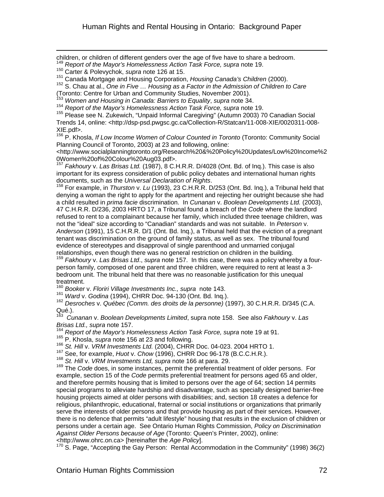children, or children of different genders over the age of five have to share a bedroom.

<sup>2</sup> Report of the Mayor's Homelessness Action Task Force, supra note 19.

 $\overline{a}$ 

150 Cepens of the may of a communite 126 at 15.<br><sup>150</sup> Carter & Polevychok, *supra* note 126 at 15.<br><sup>151</sup> Canada Mortgage and Housing Corporation, *Housing Canada's Children* (2000).

<sup>152</sup> S. Chau at al., *One in Five ... Housing as a Factor in the Admission of Children to Care* (Toronto: Centre for Urban and Community Studies, November 2001).

<sup>153</sup> *Women and Housing in Canada: Barriers to Equality*, *supra* note 34.

<sup>154</sup> Report of the Mayor's Homelessness Action Task Force, supra note 19.

155 Please see N. Zukewich, "Unpaid Informal Caregiving" (Autumn 2003) 70 Canadian Social Trends 14, online: <http://dsp-psd.pwgsc.gc.ca/Collection-R/Statcan/11-008-XIE/0020311-008-

XIE.pdf>.<br><sup>156</sup> P. Khosla, *If Low Income Women of Colour Counted in Toronto* (Toronto: Community Social Planning Council of Toronto, 2003) at 23 and following, online:

<http://www.socialplanningtoronto.org/Research%20&%20Policy%20Updates/Low%20Income%2 0Women%20of%20Colour%20Aug03.pdf>.

<sup>157</sup> *Fakhoury* v. *Las Brisas Ltd.* (1987), 8 C.H.R.R. D/4028 (Ont. Bd. of Inq.). This case is also important for its express consideration of public policy debates and international human rights documents, such as the *Universal Declaration of Rights*.<br><sup>158</sup> For example, in *Thurston* v. *Lu* (1993), 23 C.H.R.R. D/253 (Ont. Bd. Inq.), a Tribunal held that

denying a woman the right to apply for the apartment and rejecting her outright because she had a child resulted in *prima facie* discrimination. In *Cunanan* v. *Boolean Developments Ltd.* (2003), 47 C.H.R.R. D/236, 2003 HRTO 17, a Tribunal found a breach of the *Code* where the landlord refused to rent to a complainant because her family, which included three teenage children, was not the "ideal" size according to "Canadian" standards and was not suitable. In *Peterson* v. *Anderson* (1991), 15 C.H.R.R. D/1 (Ont. Bd. Inq.), a Tribunal held that the eviction of a pregnant tenant was discrimination on the ground of family status, as well as sex. The tribunal found evidence of stereotypes and disapproval of single parenthood and unmarried conjugal<br>relationships, even though there was no general restriction on children in the building.

<sup>159</sup> Fakhoury v. Las Brisas Ltd., supra note 157. In this case, there was a policy whereby a fourperson family, composed of one parent and three children, were required to rent at least a 3 bedroom unit. The tribunal held that there was no reasonable justification for this unequal treatment.

<sup>160</sup> Booker v. Floriri Village Investments Inc., supra note 143.<br><sup>161</sup> Ward v. Godina (1994), CHRR Doc. 94-130 (Ont. Bd. Inq.).

<sup>162</sup> Desroches v. Québec (Comm. des droits de la personne) (1997), 30 C.H.R.R. D/345 (C.A. Qué.).

163 *Cunanan* v. *Boolean Developments Limited*, supra note 158. See also *Fakhoury* v. *Las Brisas Ltd., supra* note 157.

<sup>164</sup> *Report of the Mayor's Homelessness Action Task Force, supra note 19 at 91.*<br><sup>165</sup> P. Khosla, *supra* note 156 at 23 and following.

<sup>166</sup> St. Hill v. VRM Investments Ltd. (2004), CHRR Doc. 04-023. 2004 HRTO 1.<br><sup>167</sup> See, for example, *Huot v. Chow* (1996), CHRR Doc 96-178 (B.C.C.H.R.).<br><sup>168</sup> St. Hill v. VRM Investments Ltd, supra note 166 at para. 29. example, section 15 of the *Code* permits preferential treatment for persons aged 65 and older, and therefore permits housing that is limited to persons over the age of 64; section 14 permits special programs to alleviate hardship and disadvantage, such as specially designed barrier-free housing projects aimed at older persons with disabilities; and, section 18 creates a defence for religious, philanthropic, educational, fraternal or social institutions or organizations that primarily serve the interests of older persons and that provide housing as part of their services. However, there is no defence that permits "adult lifestyle" housing that results in the exclusion of children or persons under a certain age. See Ontario Human Rights Commission, *Policy on Discrimination Against Older Persons because of Age* (Toronto: Queen's Printer, 2002), online: <http://www.ohrc.on.ca> [hereinafter the *Age Policy*].

 $170$  S. Page, "Accepting the Gay Person: Rental Accommodation in the Community" (1998) 36(2)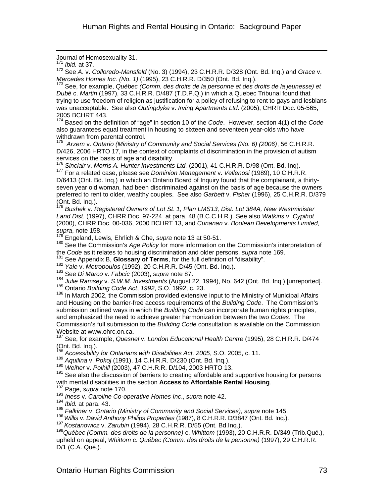Journal of Homosexuality 31.

<sup>171</sup> *Ibid.* at 37.

 $\overline{a}$ 

172 See *A*. v. *Colloredo-Mansfeld* (No. 3) (1994), 23 C.H.R.R. D/328 (Ont. Bd. Inq.) and *Grace* v. *Mercedes Homes Inc. (No. 1)* (1995), 23 C.H.R.R. D/350 (Ont. Bd. Inq.).<br><sup>173</sup> See, for example, *Québec (Comm. des droits de la personne et des droits de la jeunesse) et* 

*Dubé* c. *Martin* (1997), 33 C.H.R.R. D/487 (T.D.P.Q.) in which a Quebec Tribunal found that trying to use freedom of religion as justification for a policy of refusing to rent to gays and lesbians was unacceptable. See also *Outingdyke* v. *Irving Apartments Ltd*. (2005), CHRR Doc. 05-565, 2005 BCHRT 443.

174 Based on the definition of "age" in section 10 of the *Code*. However, section 4(1) of the *Code*  also guarantees equal treatment in housing to sixteen and seventeen year-olds who have withdrawn from parental control.

<sup>175</sup> *Arzem* v. *Ontario (Ministry of Community and Social Services (No. 6) (2006)*, 56 C.H.R.R. D/426, 2006 HRTO 17, in the context of complaints of discrimination in the provision of autism services on the basis of age and disability.<br><sup>176</sup> Sinclair v. Morris A. Hunter Investments Ltd. (2001), 41 C.H.R.R. D/98 (Ont. Bd. Ing).

177 For a related case, please see *Dominion Management* v. Vellenosi (1989), 10 C.H.R.R. D/6413 (Ont. Bd. Inq.) in which an Ontario Board of Inquiry found that the complainant, a thirtyseven year old woman, had been discriminated against on the basis of age because the owners preferred to rent to older, wealthy couples. See also *Garbett* v. *Fisher* (1996), 25 C.H.R.R. D/379 (Ont. Bd. Inq.).

<sup>178</sup> *Bushek* v. *Registered Owners of Lot SL 1, Plan LMS13, Dist. Lot 384A, New Westminister Land Dist.* (1997), CHRR Doc. 97-224 at para. 48 (B.C.C.H.R.). See also *Watkins* v. *Cypihot* (2000), CHRR Doc. 00-036, 2000 BCHRT 13, and *Cunanan* v. *Boolean Developments Limited*, *supra*, note 158.

179 Engeland, Lewis, Ehrlich & Che, *supra* note 13 at 50-51.

180 See the Commission's *Age Policy* for more information on the Commission's interpretation of the *Code* as it relates to housing discrimination and older persons, *supra* note 169.

<sup>182</sup> Yale v. Metropoulos (1992), 20 C.H.R.R. D/45 (Ont. Bd. Inq.).<br><sup>183</sup> See Di Marco v. Fabcic (2003), supra note 87.

<sup>184</sup> *Julie Ramsey* v. *S.W.M. Investments* (August 22, 1994), No. 642 (Ont. Bd. Inq.) [unreported]. 185 Ontario *Building Code Act*, *1992*, S.O. 1992, c. 23.

<sup>186</sup> In March 2002, the Commission provided extensive input to the Ministry of Municipal Affairs and Housing on the barrier-free access requirements of the *Building Code*. The Commission's submission outlined ways in which the *Building Code* can incorporate human rights principles, and emphasized the need to achieve greater harmonization between the two *Codes*. The Commission's full submission to the *Building Code* consultation is available on the Commission Website at www.ohrc.on.ca.

187 See, for example, *Quesnel* v. *London Educational Health Centre* (1995), 28 C.H.R.R. D/474 (Ont. Bd. Inq.).

<sup>188</sup> *Accessibility for Ontarians with Disabilities Act, 2005*, S.O. 2005, c. 11.

189 Aquilina v. Pokoj (1991), 14 C.H.R.R. D/230 (Ont. Bd. Inq.).<br><sup>190</sup> Weiher v. Polhill (2003), 47 C.H.R.R. D/104, 2003 HRTO 13.<br><sup>191</sup> See also the discussion of barriers to creating affordable and supportive housing for with mental disabilities in the section **Access to Affordable Rental Housing**.<br><sup>192</sup> Page, *supra* note 170.

<sup>193</sup> *Iness* v. *Caroline Co-operative Homes Inc*., *supra* note 42.

<sup>195</sup> *Falkiner v. Ontario (Ministry of Community and Social Services), supra note 145.*<br><sup>196</sup> Willis v. David Anthony Philips Properties (1987), 8 C.H.R.R. D/3847 (Ont. Bd. Inq.).

<sup>197</sup> Kostanowicz v. Zarubin (1994), 28 C.H.R.R. D/55 (Ont. Bd.Inq.).<br><sup>198</sup> Québec *(Comm. des droits de la personne)* c. Whittom (1993), 20 C.H.R.R. D/349 (Trib.Qué.), upheld on appeal, *Whittom* c. *Québec (Comm. des droits de la personne)* (1997), 29 C.H.R.R. D/1 (C.A. Qué.).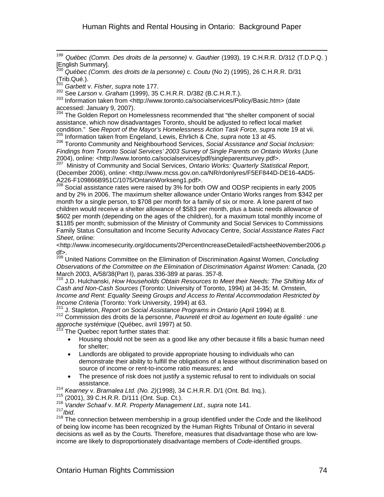199 <sup>199</sup> *Québec (Comm. Des droits de la personne)* v. *Gauthier* (1993), 19 C.H.R.R. D/312 (T.D.P.Q. ) [English Summary].

<sup>200</sup> *Québec (Comm. des droits de la personne)* c. *Coutu* (No 2) (1995), 26 C.H.R.R. D/31 (Trib.Qué.).

<sup>201</sup> *Garbett* v. *Fisher, supra* note 177.<br><sup>202</sup> See Larson v. *Graham* (1999), 35 C.H.R.R. D/382 (B.C.H.R.T.).

203 **CCC Larson in Economic (http://www.toronto.ca/socialservices/Policy/Basic.htm> (date** accessed: January 9, 2007).

<sup>204</sup> The Golden Report on Homelessness recommended that "the shelter component of social assistance, which now disadvantages Toronto, should be adjusted to reflect local market condition." See *Report of the Mayor's Homelessness Action Task Force, supra* note 19 at vii. 205 Information taken from Engeland, Lewis, Ehrlich & Che, *supra* note 13 at 45.

206 Toronto Community and Neighbourhood Services, *Social Assistance and Social Inclusion: Findings from Toronto Social Services' 2003 Survey of Single Parents on Ontario Works* (June 2004), online: <http://www.toronto.ca/socialservices/pdf/singleparentsurvey.pdf>. 207 Ministry of Community and Social Services, *Ontario Works: Quarterly Statistical Report*,

(December 2006), online: <http://www.mcss.gov.on.ca/NR/rdonlyres/F5EF844D-DE16-4AD5- A226-F109866B951C/1075/OntarioWorkseng1.pdf>.

<sup>208</sup> Social assistance rates were raised by 3% for both OW and ODSP recipients in early 2005 and by 2% in 2006. The maximum shelter allowance under Ontario Works ranges from \$342 per month for a single person, to \$708 per month for a family of six or more. A lone parent of two children would receive a shelter allowance of \$583 per month, plus a basic needs allowance of \$602 per month (depending on the ages of the children), for a maximum total monthly income of \$1185 per month; submission of the Ministry of Community and Social Services to Commissions Family Status Consultation and Income Security Advocacy Centre, *Social Assistance Rates Fact Sheet*, online:

<http://www.incomesecurity.org/documents/2PercentIncreaseDetailedFactsheetNovember2006.p df>.

209 United Nations Committee on the Elimination of Discrimination Against Women, *Concluding Observations of the Committee on the Elimination of Discrimination Against Women: Canada,* (20 March 2003, A/58/38(Part I), paras.336-389 at paras. 357-8.<br><sup>210</sup> J.D. Hulchanski, *How Households Obtain Resources to Meet their Needs: The Shifting Mix of* 

*Cash and Non-Cash Sources* (Toronto: University of Toronto, 1994) at 34-35; M. Ornstein, *Income and Rent: Equality Seeing Groups and Access to Rental Accommodation Restricted by* 

Income Criteria (Toronto: York University, 1994) at 63.<br><sup>211</sup> J. Stapleton, *Report on Social Assistance Programs in Ontario* (April 1994) at 8.<br><sup>212</sup> Commission des droits de la personne, *Pauvreté et droit au logement en approche systémique* (Québec, avril 1997) at 50.<br><sup>213</sup> The Quebec report further states that:

- Housing should not be seen as a good like any other because it fills a basic human need for shelter;
- Landlords are obligated to provide appropriate housing to individuals who can demonstrate their ability to fulfill the obligations of a lease without discrimination based on source of income or rent-to-income ratio measures; and
- The presence of risk does not justify a systemic refusal to rent to individuals on social
- assistance.<br><sup>214</sup> Kearney v. Bramalea Ltd. (No. 2)(1998), 34 C.H.R.R. D/1 (Ont. Bd. Inq.).

215 Kearney **v. Bramalea Ltd. (No. 2)**(1999), 2001), 39 C.H.R.R. D/111 (Ont. Sup. Ct.).<br><sup>216</sup> Vander Schaaf v. *M.R. Property Management Ltd., supra* note 141.<br><sup>217</sup> *Ibid.* 

<sup>218</sup> The connection between membership in a group identified under the *Code* and the likelihood of being low income has been recognized by the Human Rights Tribunal of Ontario in several decisions as well as by the Courts. Therefore, measures that disadvantage those who are lowincome are likely to disproportionately disadvantage members of *Code*-identified groups.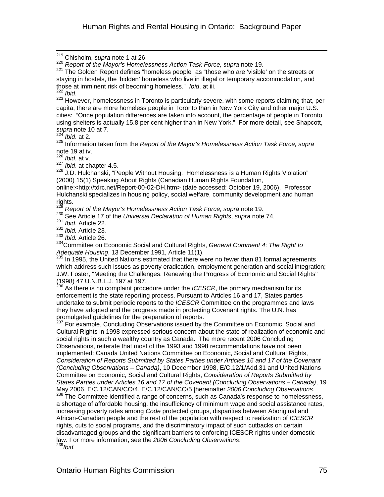219 Chisholm, *supra* note 1 at 26.

<sup>220</sup> *Report of the Mayor's Homelessness Action Task Force, supra* note 19.

 $221$  The Golden Report defines "homeless people" as "those who are 'visible' on the streets or staying in hostels, the 'hidden' homeless who live in illegal or temporary accommodation, and those at imminent risk of becoming homeless." *Ibid*. at iii.

<sup>223</sup> However, homelessness in Toronto is particularly severe, with some reports claiming that, per capita, there are more homeless people in Toronto than in New York City and other major U.S. cities: "Once population differences are taken into account, the percentage of people in Toronto using shelters is actually 15.8 per cent higher than in New York." For more detail, see Shapcott, *supra* note 10 at 7.

<sup>224</sup> *Ibid*. at 2.

 $\overline{a}$ 

225 Information taken from the *Report of the Mayor's Homelessness Action Task Force, supra*  note 19 at iv.

 $\frac{226}{227}$  *Ibid.* at v.<br> $\frac{227}{1}$  *Ibid.* at chapter 4.5.

<sup>228</sup> J.D. Hulchanski, "People Without Housing: Homelessness is a Human Rights Violation" (2000) 15(1) Speaking About Rights (Canadian Human Rights Foundation,

online:<http://tdrc.net/Report-00-02-DH.htm> (date accessed: October 19, 2006). Professor Hulchanski specializes in housing policy, social welfare, community development and human rights.

<sup>229</sup> *Report of the Mayor's Homelessness Action Task Force, supra* note 19.

230<br>
231 Ibid. Article 22.<br>
231 Ibid. Article 22.<br>
232 Ibid. Article 23.<br>
233 Ibid. Article 26.<br>
234 Committee on Economic Social and Cultural Rights, General Comment 4: The Right to Adequate Housing, 13 December 1991, Article 11(1).<br><sup>235</sup> In 1995, the United Nations estimated that there were no fewer than 81 formal agreements

which address such issues as poverty eradication, employment generation and social integration; J.W. Foster, "Meeting the Challenges: Renewing the Progress of Economic and Social Rights" (1998) 47 U.N.B.L.J. 197 at 197.

<sup>236</sup> As there is no complaint procedure under the *ICESCR*, the primary mechanism for its enforcement is the state reporting process. Pursuant to Articles 16 and 17, States parties undertake to submit periodic reports to the *ICESCR* Committee on the programmes and laws they have adopted and the progress made in protecting Covenant rights. The U.N. has promulgated guidelines for the preparation of reports.

<sup>237</sup> For example, Concluding Observations issued by the Committee on Economic, Social and Cultural Rights in 1998 expressed serious concern about the state of realization of economic and social rights in such a wealthy country as Canada. The more recent 2006 Concluding Observations, reiterate that most of the 1993 and 1998 recommendations have not been implemented: Canada United Nations Committee on Economic, Social and Cultural Rights, *Consideration of Reports Submitted by States Parties under Articles 16 and 17 of the Covenant (Concluding Observations – Canada)*, 10 December 1998, E/C.12/1/Add.31 and United Nations Committee on Economic, Social and Cultural Rights, *Consideration of Reports Submitted by States Parties under Articles 16 and 17 of the Covenant (Concluding Observations – Canada)*, 19 May 2006, E/C.12/CAN/CO/4, E/C.12/CAN/CO/5 [hereinafter *2006 Concluding Observations.*<br><sup>238</sup> The Committee identified a range of concerns, such as Canada's response to homelessness,

a shortage of affordable housing, the insufficiency of minimum wage and social assistance rates, increasing poverty rates among *Code* protected groups, disparities between Aboriginal and African-Canadian people and the rest of the population with respect to realization of *ICESCR* rights, cuts to social programs, and the discriminatory impact of such cutbacks on certain disadvantaged groups and the significant barriers to enforcing ICESCR rights under domestic law. For more information, see the *2006 Concluding Observations*. 239*Ibid.*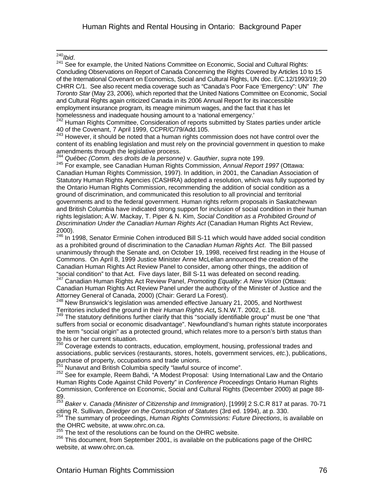$240$  Ibid.

<sup>240</sup>*Ibid*. 241 See for example, the United Nations Committee on Economic, Social and Cultural Rights: Concluding Observations on Report of Canada Concerning the Rights Covered by Articles 10 to 15 of the International Covenant on Economics, Social and Cultural Rights, UN doc. E/C.12/1993/19; 20 CHRR C/1. See also recent media coverage such as "Canada's Poor Face 'Emergency": UN" *The Toronto Star* (May 23, 2006), which reported that the United Nations Committee on Economic, Social and Cultural Rights again criticized Canada in its 2006 Annual Report for its inaccessible employment insurance program, its meagre minimum wages, and the fact that it has let homelessness and inadequate housing amount to a 'national emergency.'

<sup>242</sup> Human Rights Committee, Consideration of reports submitted by States parties under article 40 of the Covenant, 7 April 1999, CCPR/C/79/Add.105.

<sup>243</sup> However, it should be noted that a human rights commission does not have control over the content of its enabling legislation and must rely on the provincial government in question to make amendments through the legislative process.

<sup>244</sup> Québec (Comm. des droits de la personne) v. Gauthier, *supra* note 199.

245 For example, see Canadian Human Rights Commission, *Annual Report 1997* (Ottawa: Canadian Human Rights Commission, 1997). In addition, in 2001, the Canadian Association of Statutory Human Rights Agencies (CASHRA) adopted a resolution, which was fully supported by the Ontario Human Rights Commission, recommending the addition of social condition as a ground of discrimination, and communicated this resolution to all provincial and territorial governments and to the federal government. Human rights reform proposals in Saskatchewan and British Columbia have indicated strong support for inclusion of social condition in their human rights legislation; A.W. Mackay, T. Piper & N. Kim, *Social Condition as a Prohibited Ground of Discrimination Under the Canadian Human Rights Act* (Canadian Human Rights Act Review, 2000).

 $246$  In 1998, Senator Erminie Cohen introduced Bill S-11 which would have added social condition as a prohibited ground of discrimination to the *Canadian Human Rights Act*. The Bill passed unanimously through the Senate and, on October 19, 1998, received first reading in the House of Commons. On April 8, 1999 Justice Minister Anne McLellan announced the creation of the Canadian Human Rights Act Review Panel to consider, among other things, the addition of "social condition" to that Act. Five days later, Bill S-11 was defeated on second reading. 247 Canadian Human Rights Act Review Panel, *Promoting Equality: A New Vision* (Ottawa:

Canadian Human Rights Act Review Panel under the authority of the Minister of Justice and the Attorney General of Canada, 2000) (Chair: Gerard La Forest).

 $248$  New Brunswick's legislation was amended effective January 21, 2005, and Northwest Territories included the ground in their *Human Rights Act***,** S.N.W.T. 2002, c.18.

249 The statutory definitions further clarify that this "socially identifiable group" must be one "that suffers from social or economic disadvantage". Newfoundland's human rights statute incorporates the term "social origin" as a protected ground, which relates more to a person's birth status than to his or her current situation.

<sup>250</sup> Coverage extends to contracts, education, employment, housing, professional trades and associations, public services (restaurants, stores, hotels, government services, *etc.*), publications, purchase of property, occupations and trade unions.<br>
<sup>251</sup> Nunavut and British Columbia specify "lawful source of income".

252 Nunavut and British Columbia specific specifies the modest Proposal: Using International Law and the Ontario Human Rights Code Against Child Poverty" in *Conference Proceedings* Ontario Human Rights Commission, Conference on Economic, Social and Cultural Rights (December 2000) at page 88- 89.

<sup>253</sup> Baker v. Canada (Minister of Citizenship and Immigration), [1999] 2 S.C.R 817 at paras. 70-71 citing R. Sullivan, *Driedger on the Construction of Statutes* (3rd ed. 1994), at p. 330.

<sup>254</sup> The summary of proceedings, Human Rights Commissions: Future Directions, is available on the OHRC website, at www.ohrc.on.ca.

The text of the resolutions can be found on the OHRC website.

 $256$  This document, from September 2001, is available on the publications page of the OHRC website, at www.ohrc.on.ca.